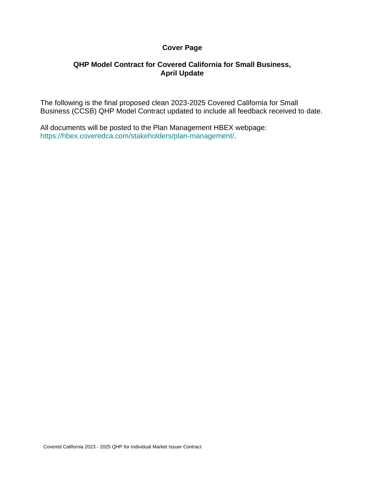### **Cover Page**

### **QHP Model Contract for Covered California for Small Business, April Update**

The following is the final proposed clean 2023-2025 Covered California for Small Business (CCSB) QHP Model Contract updated to include all feedback received to date.

All documents will be posted to the Plan Management HBEX webpage: https://hbex.coveredca.com/stakeholders/plan-management/.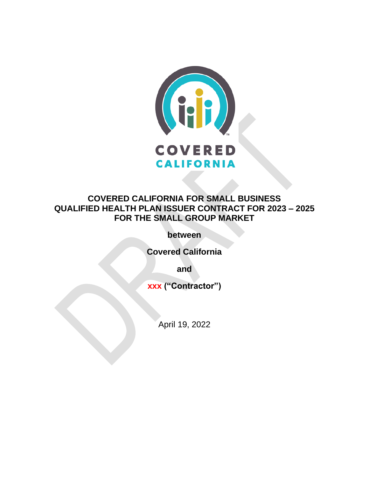

# **COVERED CALIFORNIA FOR SMALL BUSINESS QUALIFIED HEALTH PLAN ISSUER CONTRACT FOR 2023 – 2025 FOR THE SMALL GROUP MARKET**

**between**

**Covered California**

**and**

**xxx ("Contractor")**

April 19, 2022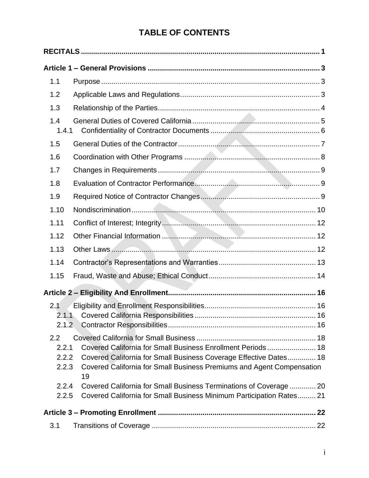# **TABLE OF CONTENTS**

| 1.1                       |                                                                                                                                           |  |
|---------------------------|-------------------------------------------------------------------------------------------------------------------------------------------|--|
| 1.2                       |                                                                                                                                           |  |
| 1.3                       |                                                                                                                                           |  |
| 1.4<br>1.4.1              |                                                                                                                                           |  |
| 1.5                       |                                                                                                                                           |  |
| 1.6                       |                                                                                                                                           |  |
| 1.7                       |                                                                                                                                           |  |
| 1.8                       |                                                                                                                                           |  |
| 1.9                       |                                                                                                                                           |  |
| 1.10                      |                                                                                                                                           |  |
| 1.11                      |                                                                                                                                           |  |
| 1.12                      |                                                                                                                                           |  |
| 1.13                      |                                                                                                                                           |  |
| 1.14                      |                                                                                                                                           |  |
| 1.15                      |                                                                                                                                           |  |
|                           |                                                                                                                                           |  |
| 2.1                       |                                                                                                                                           |  |
|                           |                                                                                                                                           |  |
| 2.1.2                     |                                                                                                                                           |  |
| $2.2\phantom{0}$<br>2.2.1 | Covered California for Small Business Enrollment Periods 18                                                                               |  |
| 2.2.2                     | Covered California for Small Business Coverage Effective Dates 18                                                                         |  |
| 2.2.3                     | Covered California for Small Business Premiums and Agent Compensation<br>19                                                               |  |
| 2.2.4<br>2.2.5            | Covered California for Small Business Terminations of Coverage  20<br>Covered California for Small Business Minimum Participation Rates21 |  |
|                           |                                                                                                                                           |  |
| 3.1                       |                                                                                                                                           |  |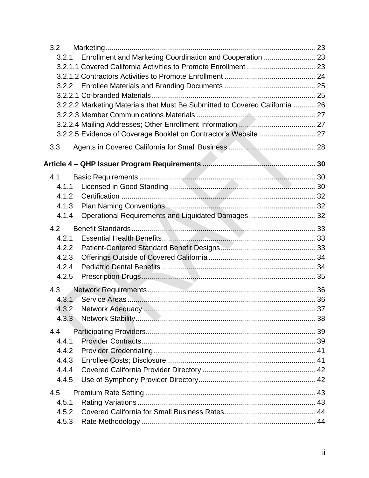| 3.2                                                                          |  |
|------------------------------------------------------------------------------|--|
| Enrollment and Marketing Coordination and Cooperation  23<br>3.2.1           |  |
|                                                                              |  |
|                                                                              |  |
|                                                                              |  |
|                                                                              |  |
| 3.2.2.2 Marketing Materials that Must Be Submitted to Covered California  26 |  |
|                                                                              |  |
|                                                                              |  |
| 3.2.2.5 Evidence of Coverage Booklet on Contractor's Website  27             |  |
| 3.3                                                                          |  |
|                                                                              |  |
| 4.1                                                                          |  |
| 4.1.1                                                                        |  |
| 4.1.2                                                                        |  |
| 4.1.3                                                                        |  |
| Operational Requirements and Liquidated Damages 32<br>4.1.4                  |  |
| 4.2                                                                          |  |
| 4.2.1                                                                        |  |
| 4.2.2                                                                        |  |
| 4.2.3                                                                        |  |
| 4.2.4                                                                        |  |
| 4.2.5                                                                        |  |
| 4.3                                                                          |  |
| 4.3.1                                                                        |  |
| 4.3.2                                                                        |  |
| 4.3.3                                                                        |  |
|                                                                              |  |
| 4.4                                                                          |  |
| 4.4.1                                                                        |  |
| 4.4.2                                                                        |  |
| 4.4.3                                                                        |  |
| 4.4.4                                                                        |  |
| 4.4.5                                                                        |  |
| 4.5                                                                          |  |
| 4.5.1                                                                        |  |
| 4.5.2                                                                        |  |
| 4.5.3                                                                        |  |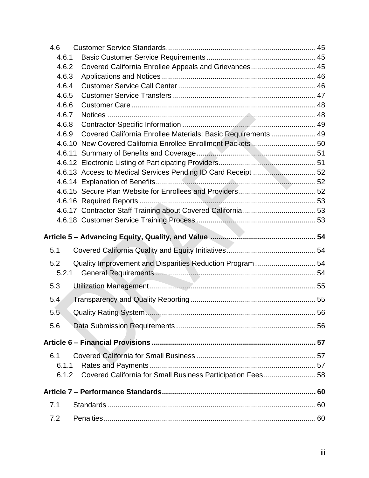| 4.6    |                                                               |    |
|--------|---------------------------------------------------------------|----|
| 4.6.1  |                                                               |    |
| 4.6.2  | Covered California Enrollee Appeals and Grievances 45         |    |
| 4.6.3  |                                                               |    |
| 4.6.4  |                                                               |    |
| 4.6.5  |                                                               |    |
| 4.6.6  |                                                               |    |
| 4.6.7  |                                                               |    |
| 4.6.8  |                                                               |    |
| 4.6.9  | Covered California Enrollee Materials: Basic Requirements  49 |    |
|        | 4.6.10 New Covered California Enrollee Enrollment Packets 50  |    |
| 4.6.11 |                                                               |    |
|        |                                                               |    |
|        |                                                               |    |
|        |                                                               |    |
|        |                                                               |    |
|        |                                                               |    |
|        |                                                               |    |
|        |                                                               |    |
|        |                                                               |    |
|        |                                                               |    |
| 5.1    |                                                               |    |
| 5.2    |                                                               |    |
| 5.2.1  | Quality Improvement and Disparities Reduction Program  54     |    |
| 5.3    |                                                               |    |
| 5.4    |                                                               |    |
| 5.5    | Quality Rating System                                         | 56 |
| 5.6    |                                                               |    |
|        |                                                               |    |
|        |                                                               |    |
| 6.1    |                                                               |    |
| 6.1.1  |                                                               |    |
| 6.1.2  | Covered California for Small Business Participation Fees 58   |    |
|        |                                                               |    |
| 7.1    |                                                               |    |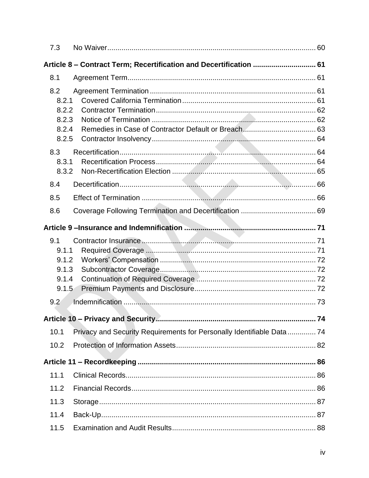| 7.3                                                                |                                                                        |  |
|--------------------------------------------------------------------|------------------------------------------------------------------------|--|
| Article 8 – Contract Term; Recertification and Decertification  61 |                                                                        |  |
| 8.1                                                                |                                                                        |  |
| 8.2<br>8.2.1<br>8.2.2<br>8.2.3                                     |                                                                        |  |
| 8.2.4<br>8.2.5                                                     |                                                                        |  |
| 8.3<br>8.3.1<br>8.3.2                                              |                                                                        |  |
| 8.4                                                                |                                                                        |  |
| 8.5                                                                |                                                                        |  |
| 8.6                                                                |                                                                        |  |
|                                                                    |                                                                        |  |
| 9.1<br>9.1.1<br>9.1.2<br>9.1.3<br>9.1.4<br>9.1.5                   |                                                                        |  |
| 9.2                                                                |                                                                        |  |
|                                                                    |                                                                        |  |
| 10.1                                                               | Privacy and Security Requirements for Personally Identifiable Data  74 |  |
| 10.2                                                               |                                                                        |  |
|                                                                    |                                                                        |  |
| 11.1                                                               |                                                                        |  |
| 11.2                                                               |                                                                        |  |
| 11.3                                                               |                                                                        |  |
| 11.4                                                               |                                                                        |  |
| 11.5                                                               |                                                                        |  |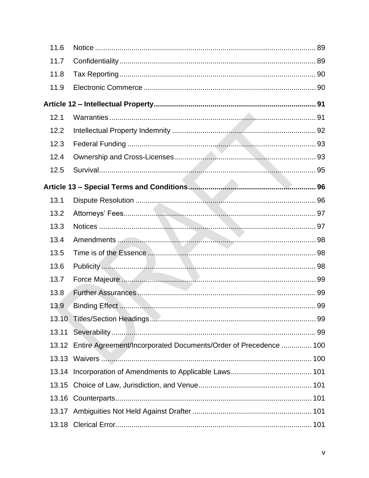| 11.6  |                                                                        |  |
|-------|------------------------------------------------------------------------|--|
| 11.7  |                                                                        |  |
| 11.8  |                                                                        |  |
| 11.9  |                                                                        |  |
|       |                                                                        |  |
| 12.1  |                                                                        |  |
| 12.2  |                                                                        |  |
| 12.3  |                                                                        |  |
| 12.4  |                                                                        |  |
| 12.5  |                                                                        |  |
|       |                                                                        |  |
| 13.1  |                                                                        |  |
| 13.2  |                                                                        |  |
| 13.3  |                                                                        |  |
| 13.4  |                                                                        |  |
| 13.5  |                                                                        |  |
| 13.6  |                                                                        |  |
| 13.7  |                                                                        |  |
| 13.8  |                                                                        |  |
| 13.9  |                                                                        |  |
|       |                                                                        |  |
| 13.11 |                                                                        |  |
|       | 13.12 Entire Agreement/Incorporated Documents/Order of Precedence  100 |  |
|       |                                                                        |  |
| 13.14 |                                                                        |  |
| 13.15 |                                                                        |  |
|       |                                                                        |  |
|       |                                                                        |  |
| 13.18 |                                                                        |  |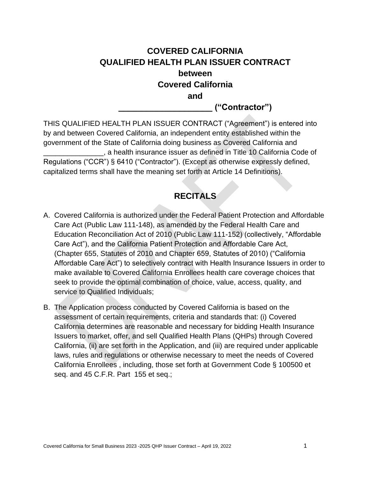# **COVERED CALIFORNIA QUALIFIED HEALTH PLAN ISSUER CONTRACT between Covered California and**

**\_\_\_\_\_\_\_\_\_\_\_\_\_\_\_\_\_\_\_\_ ("Contractor")**

THIS QUALIFIED HEALTH PLAN ISSUER CONTRACT ("Agreement") is entered into by and between Covered California, an independent entity established within the government of the State of California doing business as Covered California and \_\_\_\_\_\_\_\_\_\_\_\_\_\_\_, a health insurance issuer as defined in Title 10 California Code of Regulations ("CCR") § 6410 ("Contractor"). (Except as otherwise expressly defined, capitalized terms shall have the meaning set forth at Article 14 Definitions).

# **RECITALS**

- <span id="page-9-0"></span>A. Covered California is authorized under the Federal Patient Protection and Affordable Care Act (Public Law 111-148), as amended by the Federal Health Care and Education Reconciliation Act of 2010 (Public Law 111-152) (collectively, "Affordable Care Act"), and the California Patient Protection and Affordable Care Act, (Chapter 655, Statutes of 2010 and Chapter 659, Statutes of 2010) ("California Affordable Care Act") to selectively contract with Health Insurance Issuers in order to make available to Covered California Enrollees health care coverage choices that seek to provide the optimal combination of choice, value, access, quality, and service to Qualified Individuals;
- B. The Application process conducted by Covered California is based on the assessment of certain requirements, criteria and standards that: (i) Covered California determines are reasonable and necessary for bidding Health Insurance Issuers to market, offer, and sell Qualified Health Plans (QHPs) through Covered California, (ii) are set forth in the Application, and (iii) are required under applicable laws, rules and regulations or otherwise necessary to meet the needs of Covered California Enrollees , including, those set forth at Government Code § 100500 et seq. and 45 C.F.R. Part 155 et seq.;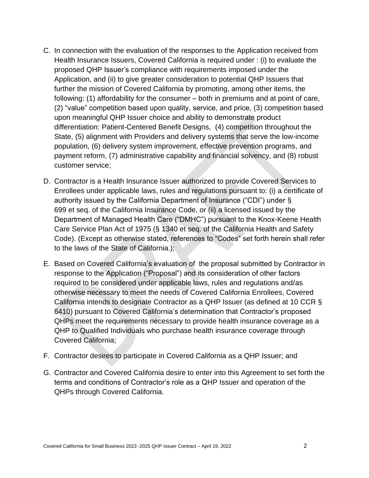- C. In connection with the evaluation of the responses to the Application received from Health Insurance Issuers, Covered California is required under : (i) to evaluate the proposed QHP Issuer's compliance with requirements imposed under the Application, and (ii) to give greater consideration to potential QHP Issuers that further the mission of Covered California by promoting, among other items, the following: (1) affordability for the consumer – both in premiums and at point of care, (2) "value" competition based upon quality, service, and price, (3) competition based upon meaningful QHP Issuer choice and ability to demonstrate product differentiation: Patient-Centered Benefit Designs, (4) competition throughout the State, (5) alignment with Providers and delivery systems that serve the low-income population, (6) delivery system improvement, effective prevention programs, and payment reform, (7) administrative capability and financial solvency, and (8) robust customer service;
- D. Contractor is a Health Insurance Issuer authorized to provide Covered Services to Enrollees under applicable laws, rules and regulations pursuant to: (i) a certificate of authority issued by the California Department of Insurance ("CDI") under § 699 et seq. of the California Insurance Code, or (ii) a licensed issued by the Department of Managed Health Care ("DMHC") pursuant to the Knox-Keene Health Care Service Plan Act of 1975 (§ 1340 et seq. of the California Health and Safety Code). (Except as otherwise stated, references to "Codes" set forth herein shall refer to the laws of the State of California.);
- E. Based on Covered California's evaluation of the proposal submitted by Contractor in response to the Application ("Proposal") and its consideration of other factors required to be considered under applicable laws, rules and regulations and/as otherwise necessary to meet the needs of Covered California Enrollees, Covered California intends to designate Contractor as a QHP Issuer (as defined at 10 CCR § 6410) pursuant to Covered California's determination that Contractor's proposed QHPs meet the requirements necessary to provide health insurance coverage as a QHP to Qualified Individuals who purchase health insurance coverage through Covered California;
- F. Contractor desires to participate in Covered California as a QHP Issuer; and
- G. Contractor and Covered California desire to enter into this Agreement to set forth the terms and conditions of Contractor's role as a QHP Issuer and operation of the QHPs through Covered California.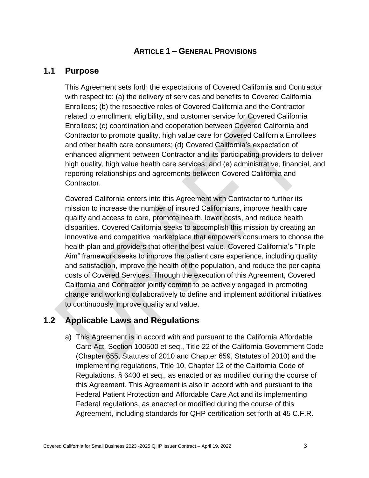### **ARTICLE 1 – GENERAL PROVISIONS**

### <span id="page-11-1"></span><span id="page-11-0"></span>**1.1 Purpose**

This Agreement sets forth the expectations of Covered California and Contractor with respect to: (a) the delivery of services and benefits to Covered California Enrollees; (b) the respective roles of Covered California and the Contractor related to enrollment, eligibility, and customer service for Covered California Enrollees; (c) coordination and cooperation between Covered California and Contractor to promote quality, high value care for Covered California Enrollees and other health care consumers; (d) Covered California's expectation of enhanced alignment between Contractor and its participating providers to deliver high quality, high value health care services; and (e) administrative, financial, and reporting relationships and agreements between Covered California and Contractor.

Covered California enters into this Agreement with Contractor to further its mission to increase the number of insured Californians, improve health care quality and access to care, promote health, lower costs, and reduce health disparities. Covered California seeks to accomplish this mission by creating an innovative and competitive marketplace that empowers consumers to choose the health plan and providers that offer the best value. Covered California's "Triple Aim" framework seeks to improve the patient care experience, including quality and satisfaction, improve the health of the population, and reduce the per capita costs of Covered Services. Through the execution of this Agreement, Covered California and Contractor jointly commit to be actively engaged in promoting change and working collaboratively to define and implement additional initiatives to continuously improve quality and value.

# <span id="page-11-2"></span>**1.2 Applicable Laws and Regulations**

a) This Agreement is in accord with and pursuant to the California Affordable Care Act, Section 100500 et seq., Title 22 of the California Government Code (Chapter 655, Statutes of 2010 and Chapter 659, Statutes of 2010) and the implementing regulations, Title 10, Chapter 12 of the California Code of Regulations, § 6400 et seq., as enacted or as modified during the course of this Agreement. This Agreement is also in accord with and pursuant to the Federal Patient Protection and Affordable Care Act and its implementing Federal regulations, as enacted or modified during the course of this Agreement, including standards for QHP certification set forth at 45 C.F.R.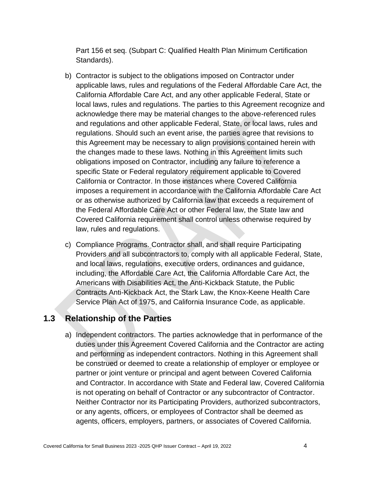Part 156 et seq. (Subpart C: Qualified Health Plan Minimum Certification Standards).

- b) Contractor is subject to the obligations imposed on Contractor under applicable laws, rules and regulations of the Federal Affordable Care Act, the California Affordable Care Act, and any other applicable Federal, State or local laws, rules and regulations. The parties to this Agreement recognize and acknowledge there may be material changes to the above-referenced rules and regulations and other applicable Federal, State, or local laws, rules and regulations. Should such an event arise, the parties agree that revisions to this Agreement may be necessary to align provisions contained herein with the changes made to these laws. Nothing in this Agreement limits such obligations imposed on Contractor, including any failure to reference a specific State or Federal regulatory requirement applicable to Covered California or Contractor. In those instances where Covered California imposes a requirement in accordance with the California Affordable Care Act or as otherwise authorized by California law that exceeds a requirement of the Federal Affordable Care Act or other Federal law, the State law and Covered California requirement shall control unless otherwise required by law, rules and regulations.
- c) Compliance Programs. Contractor shall, and shall require Participating Providers and all subcontractors to, comply with all applicable Federal, State, and local laws, regulations, executive orders, ordinances and guidance, including, the Affordable Care Act, the California Affordable Care Act, the Americans with Disabilities Act, the Anti-Kickback Statute, the Public Contracts Anti-Kickback Act, the Stark Law, the Knox-Keene Health Care Service Plan Act of 1975, and California Insurance Code, as applicable.

### <span id="page-12-0"></span>**1.3 Relationship of the Parties**

a) Independent contractors. The parties acknowledge that in performance of the duties under this Agreement Covered California and the Contractor are acting and performing as independent contractors. Nothing in this Agreement shall be construed or deemed to create a relationship of employer or employee or partner or joint venture or principal and agent between Covered California and Contractor. In accordance with State and Federal law, Covered California is not operating on behalf of Contractor or any subcontractor of Contractor. Neither Contractor nor its Participating Providers, authorized subcontractors, or any agents, officers, or employees of Contractor shall be deemed as agents, officers, employers, partners, or associates of Covered California.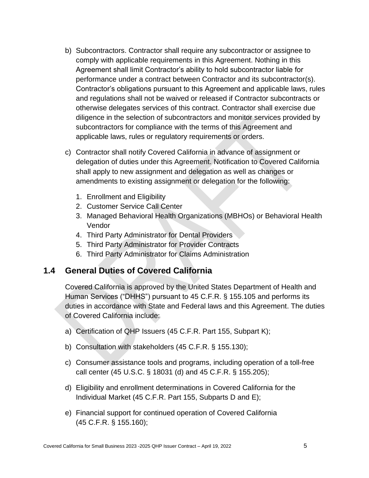- b) Subcontractors. Contractor shall require any subcontractor or assignee to comply with applicable requirements in this Agreement. Nothing in this Agreement shall limit Contractor's ability to hold subcontractor liable for performance under a contract between Contractor and its subcontractor(s). Contractor's obligations pursuant to this Agreement and applicable laws, rules and regulations shall not be waived or released if Contractor subcontracts or otherwise delegates services of this contract. Contractor shall exercise due diligence in the selection of subcontractors and monitor services provided by subcontractors for compliance with the terms of this Agreement and applicable laws, rules or regulatory requirements or orders.
- <span id="page-13-0"></span>c) Contractor shall notify Covered California in advance of assignment or delegation of duties under this Agreement. Notification to Covered California shall apply to new assignment and delegation as well as changes or amendments to existing assignment or delegation for the following:
	- 1. Enrollment and Eligibility
	- 2. Customer Service Call Center
	- 3. Managed Behavioral Health Organizations (MBHOs) or Behavioral Health Vendor
	- 4. Third Party Administrator for Dental Providers
	- 5. Third Party Administrator for Provider Contracts
	- 6. Third Party Administrator for Claims Administration

### **1.4 General Duties of Covered California**

Covered California is approved by the United States Department of Health and Human Services ("DHHS") pursuant to 45 C.F.R. § 155.105 and performs its duties in accordance with State and Federal laws and this Agreement. The duties of Covered California include:

- a) Certification of QHP Issuers (45 C.F.R. Part 155, Subpart K);
- b) Consultation with stakeholders (45 C.F.R. § 155.130);
- c) Consumer assistance tools and programs, including operation of a toll-free call center (45 U.S.C. § 18031 (d) and 45 C.F.R. § 155.205);
- d) Eligibility and enrollment determinations in Covered California for the Individual Market (45 C.F.R. Part 155, Subparts D and E);
- e) Financial support for continued operation of Covered California (45 C.F.R. § 155.160);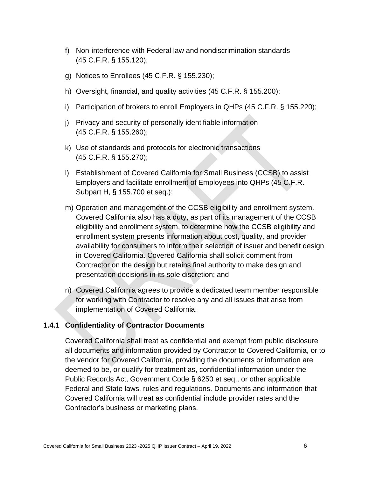- f) Non-interference with Federal law and nondiscrimination standards (45 C.F.R. § 155.120);
- g) Notices to Enrollees (45 C.F.R. § 155.230);
- h) Oversight, financial, and quality activities (45 C.F.R. § 155.200);
- i) Participation of brokers to enroll Employers in QHPs (45 C.F.R. § 155.220);
- j) Privacy and security of personally identifiable information (45 C.F.R. § 155.260);
- k) Use of standards and protocols for electronic transactions (45 C.F.R. § 155.270);
- l) Establishment of Covered California for Small Business (CCSB) to assist Employers and facilitate enrollment of Employees into QHPs (45 C.F.R. Subpart H, § 155.700 et seq.);
- m) Operation and management of the CCSB eligibility and enrollment system. Covered California also has a duty, as part of its management of the CCSB eligibility and enrollment system, to determine how the CCSB eligibility and enrollment system presents information about cost, quality, and provider availability for consumers to inform their selection of issuer and benefit design in Covered California. Covered California shall solicit comment from Contractor on the design but retains final authority to make design and presentation decisions in its sole discretion; and
- n) Covered California agrees to provide a dedicated team member responsible for working with Contractor to resolve any and all issues that arise from implementation of Covered California.

### <span id="page-14-0"></span>**1.4.1 Confidentiality of Contractor Documents**

Covered California shall treat as confidential and exempt from public disclosure all documents and information provided by Contractor to Covered California, or to the vendor for Covered California, providing the documents or information are deemed to be, or qualify for treatment as, confidential information under the Public Records Act, Government Code § 6250 et seq., or other applicable Federal and State laws, rules and regulations. Documents and information that Covered California will treat as confidential include provider rates and the Contractor's business or marketing plans.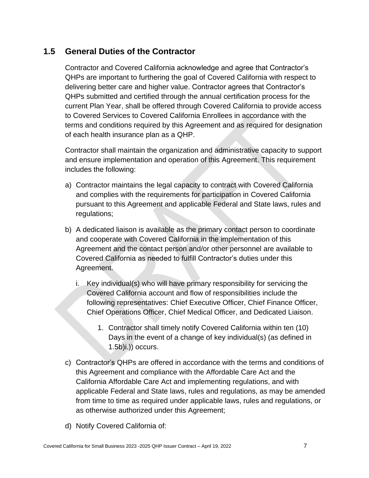# <span id="page-15-0"></span>**1.5 General Duties of the Contractor**

Contractor and Covered California acknowledge and agree that Contractor's QHPs are important to furthering the goal of Covered California with respect to delivering better care and higher value. Contractor agrees that Contractor's QHPs submitted and certified through the annual certification process for the current Plan Year, shall be offered through Covered California to provide access to Covered Services to Covered California Enrollees in accordance with the terms and conditions required by this Agreement and as required for designation of each health insurance plan as a QHP.

Contractor shall maintain the organization and administrative capacity to support and ensure implementation and operation of this Agreement. This requirement includes the following:

- a) Contractor maintains the legal capacity to contract with Covered California and complies with the requirements for participation in Covered California pursuant to this Agreement and applicable Federal and State laws, rules and regulations;
- b) A dedicated liaison is available as the primary contact person to coordinate and cooperate with Covered California in the implementation of this Agreement and the contact person and/or other personnel are available to Covered California as needed to fulfill Contractor's duties under this Agreement.
	- i. Key individual(s) who will have primary responsibility for servicing the Covered California account and flow of responsibilities include the following representatives: Chief Executive Officer, Chief Finance Officer, Chief Operations Officer, Chief Medical Officer, and Dedicated Liaison.
		- 1. Contractor shall timely notify Covered California within ten (10) Days in the event of a change of key individual(s) (as defined in  $(1.5b)$ i.)) occurs.
- c) Contractor's QHPs are offered in accordance with the terms and conditions of this Agreement and compliance with the Affordable Care Act and the California Affordable Care Act and implementing regulations, and with applicable Federal and State laws, rules and regulations, as may be amended from time to time as required under applicable laws, rules and regulations, or as otherwise authorized under this Agreement;
- d) Notify Covered California of: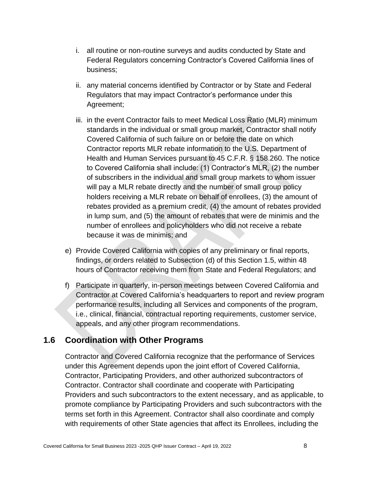- i. all routine or non-routine surveys and audits conducted by State and Federal Regulators concerning Contractor's Covered California lines of business;
- ii. any material concerns identified by Contractor or by State and Federal Regulators that may impact Contractor's performance under this Agreement;
- iii. in the event Contractor fails to meet Medical Loss Ratio (MLR) minimum standards in the individual or small group market, Contractor shall notify Covered California of such failure on or before the date on which Contractor reports MLR rebate information to the U.S. Department of Health and Human Services pursuant to 45 C.F.R. § 158.260. The notice to Covered California shall include: (1) Contractor's MLR, (2) the number of subscribers in the individual and small group markets to whom issuer will pay a MLR rebate directly and the number of small group policy holders receiving a MLR rebate on behalf of enrollees, (3) the amount of rebates provided as a premium credit, (4) the amount of rebates provided in lump sum, and (5) the amount of rebates that were de minimis and the number of enrollees and policyholders who did not receive a rebate because it was de minimis; and
- e) Provide Covered California with copies of any preliminary or final reports, findings, or orders related to Subsection (d) of this Section 1.5, within 48 hours of Contractor receiving them from State and Federal Regulators; and
- f) Participate in quarterly, in-person meetings between Covered California and Contractor at Covered California's headquarters to report and review program performance results, including all Services and components of the program, i.e., clinical, financial, contractual reporting requirements, customer service, appeals, and any other program recommendations.

### <span id="page-16-0"></span>**1.6 Coordination with Other Programs**

Contractor and Covered California recognize that the performance of Services under this Agreement depends upon the joint effort of Covered California, Contractor, Participating Providers, and other authorized subcontractors of Contractor. Contractor shall coordinate and cooperate with Participating Providers and such subcontractors to the extent necessary, and as applicable, to promote compliance by Participating Providers and such subcontractors with the terms set forth in this Agreement. Contractor shall also coordinate and comply with requirements of other State agencies that affect its Enrollees, including the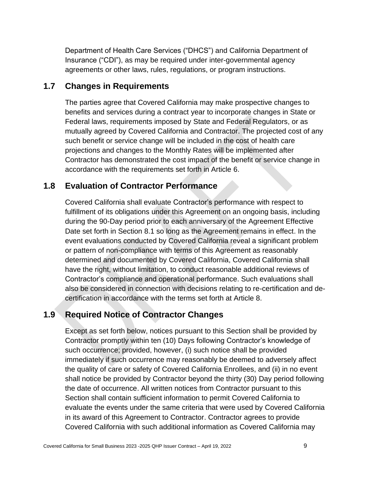Department of Health Care Services ("DHCS") and California Department of Insurance ("CDI"), as may be required under inter-governmental agency agreements or other laws, rules, regulations, or program instructions.

## <span id="page-17-0"></span>**1.7 Changes in Requirements**

The parties agree that Covered California may make prospective changes to benefits and services during a contract year to incorporate changes in State or Federal laws, requirements imposed by State and Federal Regulators, or as mutually agreed by Covered California and Contractor. The projected cost of any such benefit or service change will be included in the cost of health care projections and changes to the Monthly Rates will be implemented after Contractor has demonstrated the cost impact of the benefit or service change in accordance with the requirements set forth in Article 6.

## <span id="page-17-1"></span>**1.8 Evaluation of Contractor Performance**

Covered California shall evaluate Contractor's performance with respect to fulfillment of its obligations under this Agreement on an ongoing basis, including during the 90-Day period prior to each anniversary of the Agreement Effective Date set forth in Section 8.1 so long as the Agreement remains in effect. In the event evaluations conducted by Covered California reveal a significant problem or pattern of non-compliance with terms of this Agreement as reasonably determined and documented by Covered California, Covered California shall have the right, without limitation, to conduct reasonable additional reviews of Contractor's compliance and operational performance. Such evaluations shall also be considered in connection with decisions relating to re-certification and decertification in accordance with the terms set forth at Article 8.

# <span id="page-17-2"></span>**1.9 Required Notice of Contractor Changes**

Except as set forth below, notices pursuant to this Section shall be provided by Contractor promptly within ten (10) Days following Contractor's knowledge of such occurrence; provided, however, (i) such notice shall be provided immediately if such occurrence may reasonably be deemed to adversely affect the quality of care or safety of Covered California Enrollees, and (ii) in no event shall notice be provided by Contractor beyond the thirty (30) Day period following the date of occurrence. All written notices from Contractor pursuant to this Section shall contain sufficient information to permit Covered California to evaluate the events under the same criteria that were used by Covered California in its award of this Agreement to Contractor. Contractor agrees to provide Covered California with such additional information as Covered California may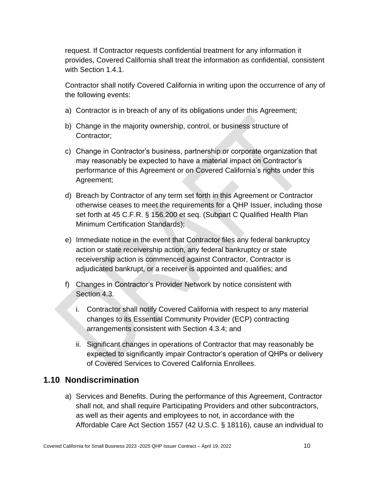request. If Contractor requests confidential treatment for any information it provides, Covered California shall treat the information as confidential, consistent with Section 1.4.1.

Contractor shall notify Covered California in writing upon the occurrence of any of the following events:

- a) Contractor is in breach of any of its obligations under this Agreement;
- b) Change in the majority ownership, control, or business structure of Contractor;
- c) Change in Contractor's business, partnership or corporate organization that may reasonably be expected to have a material impact on Contractor's performance of this Agreement or on Covered California's rights under this Agreement;
- d) Breach by Contractor of any term set forth in this Agreement or Contractor otherwise ceases to meet the requirements for a QHP Issuer, including those set forth at 45 C.F.R. § 156.200 et seq. (Subpart C Qualified Health Plan Minimum Certification Standards);
- e) Immediate notice in the event that Contractor files any federal bankruptcy action or state receivership action, any federal bankruptcy or state receivership action is commenced against Contractor, Contractor is adjudicated bankrupt, or a receiver is appointed and qualifies; and
- f) Changes in Contractor's Provider Network by notice consistent with Section 4.3.
	- i. Contractor shall notify Covered California with respect to any material changes to its Essential Community Provider (ECP) contracting arrangements consistent with Section 4.3.4; and
	- ii. Significant changes in operations of Contractor that may reasonably be expected to significantly impair Contractor's operation of QHPs or delivery of Covered Services to Covered California Enrollees.

### <span id="page-18-0"></span>**1.10 Nondiscrimination**

a) Services and Benefits. During the performance of this Agreement, Contractor shall not, and shall require Participating Providers and other subcontractors, as well as their agents and employees to not, in accordance with the Affordable Care Act Section 1557 (42 U.S.C. § 18116), cause an individual to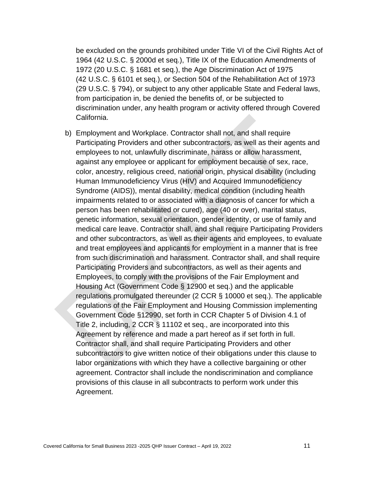be excluded on the grounds prohibited under Title VI of the Civil Rights Act of 1964 (42 U.S.C. § 2000d et seq.), Title IX of the Education Amendments of 1972 (20 U.S.C. § 1681 et seq.), the Age Discrimination Act of 1975 (42 U.S.C. § 6101 et seq.), or Section 504 of the Rehabilitation Act of 1973 (29 U.S.C. § 794), or subject to any other applicable State and Federal laws, from participation in, be denied the benefits of, or be subjected to discrimination under, any health program or activity offered through Covered California.

b) Employment and Workplace. Contractor shall not, and shall require Participating Providers and other subcontractors, as well as their agents and employees to not, unlawfully discriminate, harass or allow harassment, against any employee or applicant for employment because of sex, race, color, ancestry, religious creed, national origin, physical disability (including Human Immunodeficiency Virus (HIV) and Acquired Immunodeficiency Syndrome (AIDS)), mental disability, medical condition (including health impairments related to or associated with a diagnosis of cancer for which a person has been rehabilitated or cured), age (40 or over), marital status, genetic information, sexual orientation, gender identity, or use of family and medical care leave. Contractor shall, and shall require Participating Providers and other subcontractors, as well as their agents and employees, to evaluate and treat employees and applicants for employment in a manner that is free from such discrimination and harassment. Contractor shall, and shall require Participating Providers and subcontractors, as well as their agents and Employees, to comply with the provisions of the Fair Employment and Housing Act (Government Code § 12900 et seq.) and the applicable regulations promulgated thereunder (2 CCR § 10000 et seq.). The applicable regulations of the Fair Employment and Housing Commission implementing Government Code §12990, set forth in CCR Chapter 5 of Division 4.1 of Title 2, including, 2 CCR § 11102 et seq., are incorporated into this Agreement by reference and made a part hereof as if set forth in full. Contractor shall, and shall require Participating Providers and other subcontractors to give written notice of their obligations under this clause to labor organizations with which they have a collective bargaining or other agreement. Contractor shall include the nondiscrimination and compliance provisions of this clause in all subcontracts to perform work under this Agreement.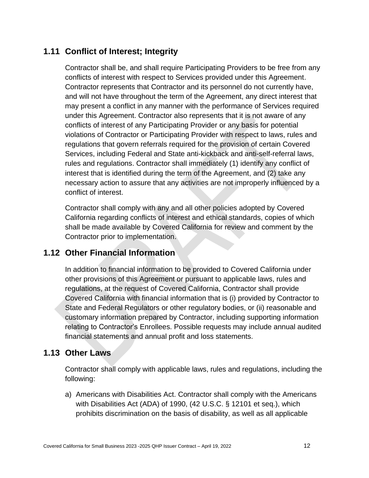# <span id="page-20-0"></span>**1.11 Conflict of Interest; Integrity**

Contractor shall be, and shall require Participating Providers to be free from any conflicts of interest with respect to Services provided under this Agreement. Contractor represents that Contractor and its personnel do not currently have, and will not have throughout the term of the Agreement, any direct interest that may present a conflict in any manner with the performance of Services required under this Agreement. Contractor also represents that it is not aware of any conflicts of interest of any Participating Provider or any basis for potential violations of Contractor or Participating Provider with respect to laws, rules and regulations that govern referrals required for the provision of certain Covered Services, including Federal and State anti-kickback and anti-self-referral laws, rules and regulations. Contractor shall immediately (1) identify any conflict of interest that is identified during the term of the Agreement, and (2) take any necessary action to assure that any activities are not improperly influenced by a conflict of interest.

Contractor shall comply with any and all other policies adopted by Covered California regarding conflicts of interest and ethical standards, copies of which shall be made available by Covered California for review and comment by the Contractor prior to implementation.

# <span id="page-20-1"></span>**1.12 Other Financial Information**

In addition to financial information to be provided to Covered California under other provisions of this Agreement or pursuant to applicable laws, rules and regulations, at the request of Covered California, Contractor shall provide Covered California with financial information that is (i) provided by Contractor to State and Federal Regulators or other regulatory bodies, or (ii) reasonable and customary information prepared by Contractor, including supporting information relating to Contractor's Enrollees. Possible requests may include annual audited financial statements and annual profit and loss statements.

# <span id="page-20-2"></span>**1.13 Other Laws**

Contractor shall comply with applicable laws, rules and regulations, including the following:

a) Americans with Disabilities Act. Contractor shall comply with the Americans with Disabilities Act (ADA) of 1990, (42 U.S.C. § 12101 et seq.), which prohibits discrimination on the basis of disability, as well as all applicable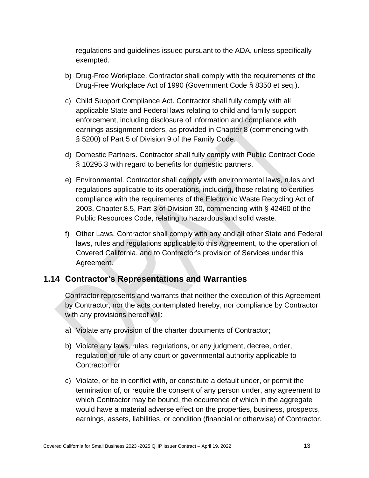regulations and guidelines issued pursuant to the ADA, unless specifically exempted.

- b) Drug-Free Workplace. Contractor shall comply with the requirements of the Drug-Free Workplace Act of 1990 (Government Code § 8350 et seq.).
- c) Child Support Compliance Act. Contractor shall fully comply with all applicable State and Federal laws relating to child and family support enforcement, including disclosure of information and compliance with earnings assignment orders, as provided in Chapter 8 (commencing with § 5200) of Part 5 of Division 9 of the Family Code.
- d) Domestic Partners. Contractor shall fully comply with Public Contract Code § 10295.3 with regard to benefits for domestic partners.
- e) Environmental. Contractor shall comply with environmental laws, rules and regulations applicable to its operations, including, those relating to certifies compliance with the requirements of the Electronic Waste Recycling Act of 2003, Chapter 8.5, Part 3 of Division 30, commencing with § 42460 of the Public Resources Code, relating to hazardous and solid waste.
- f) Other Laws. Contractor shall comply with any and all other State and Federal laws, rules and regulations applicable to this Agreement, to the operation of Covered California, and to Contractor's provision of Services under this Agreement.

## <span id="page-21-0"></span>**1.14 Contractor's Representations and Warranties**

Contractor represents and warrants that neither the execution of this Agreement by Contractor, nor the acts contemplated hereby, nor compliance by Contractor with any provisions hereof will:

- a) Violate any provision of the charter documents of Contractor;
- b) Violate any laws, rules, regulations, or any judgment, decree, order, regulation or rule of any court or governmental authority applicable to Contractor; or
- c) Violate, or be in conflict with, or constitute a default under, or permit the termination of, or require the consent of any person under, any agreement to which Contractor may be bound, the occurrence of which in the aggregate would have a material adverse effect on the properties, business, prospects, earnings, assets, liabilities, or condition (financial or otherwise) of Contractor.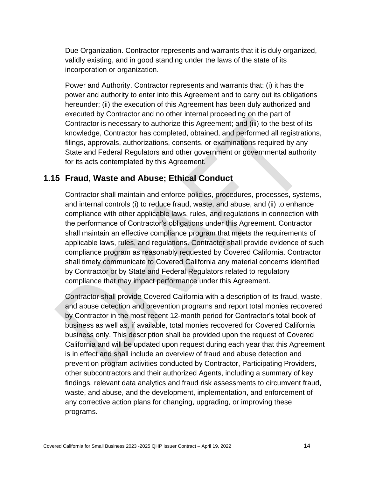Due Organization. Contractor represents and warrants that it is duly organized, validly existing, and in good standing under the laws of the state of its incorporation or organization.

Power and Authority. Contractor represents and warrants that: (i) it has the power and authority to enter into this Agreement and to carry out its obligations hereunder; (ii) the execution of this Agreement has been duly authorized and executed by Contractor and no other internal proceeding on the part of Contractor is necessary to authorize this Agreement; and (iii) to the best of its knowledge, Contractor has completed, obtained, and performed all registrations, filings, approvals, authorizations, consents, or examinations required by any State and Federal Regulators and other government or governmental authority for its acts contemplated by this Agreement.

### <span id="page-22-0"></span>**1.15 Fraud, Waste and Abuse; Ethical Conduct**

Contractor shall maintain and enforce policies, procedures, processes, systems, and internal controls (i) to reduce fraud, waste, and abuse, and (ii) to enhance compliance with other applicable laws, rules, and regulations in connection with the performance of Contractor's obligations under this Agreement. Contractor shall maintain an effective compliance program that meets the requirements of applicable laws, rules, and regulations. Contractor shall provide evidence of such compliance program as reasonably requested by Covered California. Contractor shall timely communicate to Covered California any material concerns identified by Contractor or by State and Federal Regulators related to regulatory compliance that may impact performance under this Agreement.

Contractor shall provide Covered California with a description of its fraud, waste, and abuse detection and prevention programs and report total monies recovered by Contractor in the most recent 12-month period for Contractor's total book of business as well as, if available, total monies recovered for Covered California business only. This description shall be provided upon the request of Covered California and will be updated upon request during each year that this Agreement is in effect and shall include an overview of fraud and abuse detection and prevention program activities conducted by Contractor, Participating Providers, other subcontractors and their authorized Agents, including a summary of key findings, relevant data analytics and fraud risk assessments to circumvent fraud, waste, and abuse, and the development, implementation, and enforcement of any corrective action plans for changing, upgrading, or improving these programs.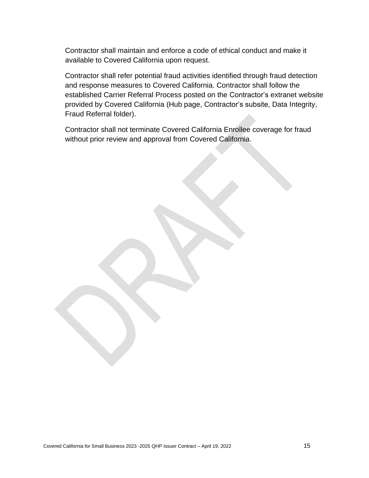Contractor shall maintain and enforce a code of ethical conduct and make it available to Covered California upon request.

Contractor shall refer potential fraud activities identified through fraud detection and response measures to Covered California. Contractor shall follow the established Carrier Referral Process posted on the Contractor's extranet website provided by Covered California (Hub page, Contractor's subsite, Data Integrity, Fraud Referral folder).

Contractor shall not terminate Covered California Enrollee coverage for fraud without prior review and approval from Covered California.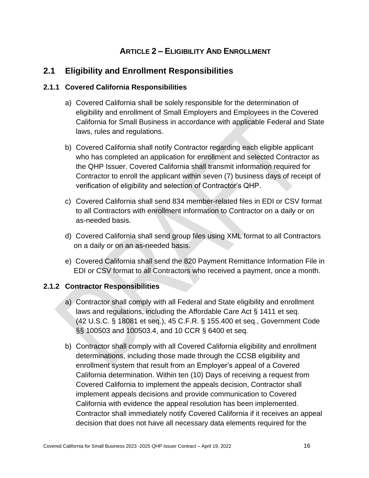# **ARTICLE 2 – ELIGIBILITY AND ENROLLMENT**

# <span id="page-24-1"></span><span id="page-24-0"></span>**2.1 Eligibility and Enrollment Responsibilities**

### <span id="page-24-2"></span>**2.1.1 Covered California Responsibilities**

- a) Covered California shall be solely responsible for the determination of eligibility and enrollment of Small Employers and Employees in the Covered California for Small Business in accordance with applicable Federal and State laws, rules and regulations.
- b) Covered California shall notify Contractor regarding each eligible applicant who has completed an application for enrollment and selected Contractor as the QHP Issuer. Covered California shall transmit information required for Contractor to enroll the applicant within seven (7) business days of receipt of verification of eligibility and selection of Contractor's QHP.
- c) Covered California shall send 834 member-related files in EDI or CSV format to all Contractors with enrollment information to Contractor on a daily or on as-needed basis.
- d) Covered California shall send group files using XML format to all Contractors on a daily or on an as-needed basis.
- e) Covered California shall send the 820 Payment Remittance Information File in EDI or CSV format to all Contractors who received a payment, once a month.

### <span id="page-24-3"></span>**2.1.2 Contractor Responsibilities**

- a) Contractor shall comply with all Federal and State eligibility and enrollment laws and regulations, including the Affordable Care Act § 1411 et seq. (42 U.S.C. § 18081 et seq.), 45 C.F.R. § 155.400 et seq., Government Code §§ 100503 and 100503.4, and 10 CCR § 6400 et seq.
- b) Contractor shall comply with all Covered California eligibility and enrollment determinations, including those made through the CCSB eligibility and enrollment system that result from an Employer's appeal of a Covered California determination. Within ten (10) Days of receiving a request from Covered California to implement the appeals decision, Contractor shall implement appeals decisions and provide communication to Covered California with evidence the appeal resolution has been implemented. Contractor shall immediately notify Covered California if it receives an appeal decision that does not have all necessary data elements required for the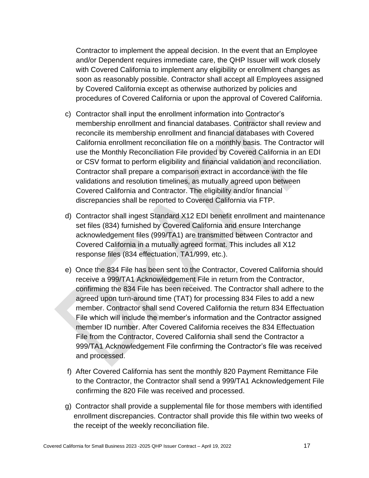Contractor to implement the appeal decision. In the event that an Employee and/or Dependent requires immediate care, the QHP Issuer will work closely with Covered California to implement any eligibility or enrollment changes as soon as reasonably possible. Contractor shall accept all Employees assigned by Covered California except as otherwise authorized by policies and procedures of Covered California or upon the approval of Covered California.

- c) Contractor shall input the enrollment information into Contractor's membership enrollment and financial databases. Contractor shall review and reconcile its membership enrollment and financial databases with Covered California enrollment reconciliation file on a monthly basis. The Contractor will use the Monthly Reconciliation File provided by Covered California in an EDI or CSV format to perform eligibility and financial validation and reconciliation. Contractor shall prepare a comparison extract in accordance with the file validations and resolution timelines, as mutually agreed upon between Covered California and Contractor. The eligibility and/or financial discrepancies shall be reported to Covered California via FTP.
- d) Contractor shall ingest Standard X12 EDI benefit enrollment and maintenance set files (834) furnished by Covered California and ensure Interchange acknowledgement files (999/TA1) are transmitted between Contractor and Covered California in a mutually agreed format. This includes all X12 response files (834 effectuation, TA1/999, etc.).
- e) Once the 834 File has been sent to the Contractor, Covered California should receive a 999/TA1 Acknowledgement File in return from the Contractor, confirming the 834 File has been received. The Contractor shall adhere to the agreed upon turn-around time (TAT) for processing 834 Files to add a new member. Contractor shall send Covered California the return 834 Effectuation File which will include the member's information and the Contractor assigned member ID number. After Covered California receives the 834 Effectuation File from the Contractor, Covered California shall send the Contractor a 999/TA1 Acknowledgement File confirming the Contractor's file was received and processed.
- f) After Covered California has sent the monthly 820 Payment Remittance File to the Contractor, the Contractor shall send a 999/TA1 Acknowledgement File confirming the 820 File was received and processed.
- g) Contractor shall provide a supplemental file for those members with identified enrollment discrepancies. Contractor shall provide this file within two weeks of the receipt of the weekly reconciliation file.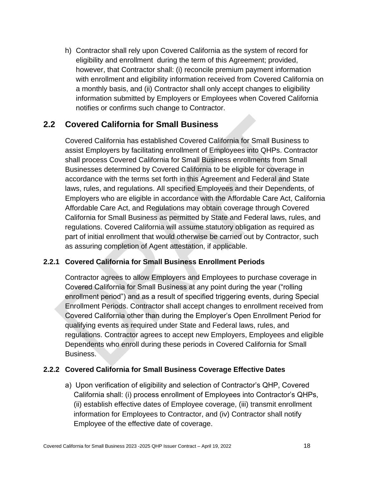h) Contractor shall rely upon Covered California as the system of record for eligibility and enrollment during the term of this Agreement; provided, however, that Contractor shall: (i) reconcile premium payment information with enrollment and eligibility information received from Covered California on a monthly basis, and (ii) Contractor shall only accept changes to eligibility information submitted by Employers or Employees when Covered California notifies or confirms such change to Contractor.

## <span id="page-26-0"></span>**2.2 Covered California for Small Business**

Covered California has established Covered California for Small Business to assist Employers by facilitating enrollment of Employees into QHPs. Contractor shall process Covered California for Small Business enrollments from Small Businesses determined by Covered California to be eligible for coverage in accordance with the terms set forth in this Agreement and Federal and State laws, rules, and regulations. All specified Employees and their Dependents, of Employers who are eligible in accordance with the Affordable Care Act, California Affordable Care Act, and Regulations may obtain coverage through Covered California for Small Business as permitted by State and Federal laws, rules, and regulations. Covered California will assume statutory obligation as required as part of initial enrollment that would otherwise be carried out by Contractor, such as assuring completion of Agent attestation, if applicable.

### <span id="page-26-1"></span>**2.2.1 Covered California for Small Business Enrollment Periods**

Contractor agrees to allow Employers and Employees to purchase coverage in Covered California for Small Business at any point during the year ("rolling enrollment period") and as a result of specified triggering events, during Special Enrollment Periods. Contractor shall accept changes to enrollment received from Covered California other than during the Employer's Open Enrollment Period for qualifying events as required under State and Federal laws, rules, and regulations. Contractor agrees to accept new Employers, Employees and eligible Dependents who enroll during these periods in Covered California for Small Business.

### <span id="page-26-2"></span>**2.2.2 Covered California for Small Business Coverage Effective Dates**

a) Upon verification of eligibility and selection of Contractor's QHP, Covered California shall: (i) process enrollment of Employees into Contractor's QHPs, (ii) establish effective dates of Employee coverage, (iii) transmit enrollment information for Employees to Contractor, and (iv) Contractor shall notify Employee of the effective date of coverage.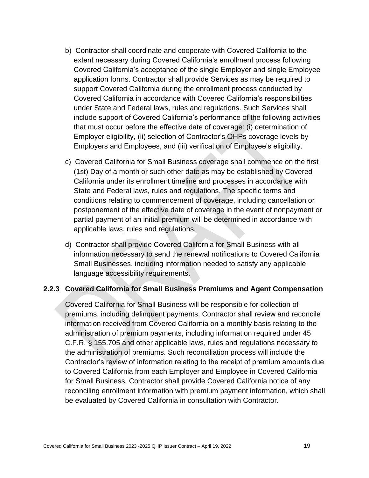- b) Contractor shall coordinate and cooperate with Covered California to the extent necessary during Covered California's enrollment process following Covered California's acceptance of the single Employer and single Employee application forms. Contractor shall provide Services as may be required to support Covered California during the enrollment process conducted by Covered California in accordance with Covered California's responsibilities under State and Federal laws, rules and regulations. Such Services shall include support of Covered California's performance of the following activities that must occur before the effective date of coverage: (i) determination of Employer eligibility, (ii) selection of Contractor's QHPs coverage levels by Employers and Employees, and (iii) verification of Employee's eligibility.
- c) Covered California for Small Business coverage shall commence on the first (1st) Day of a month or such other date as may be established by Covered California under its enrollment timeline and processes in accordance with State and Federal laws, rules and regulations. The specific terms and conditions relating to commencement of coverage, including cancellation or postponement of the effective date of coverage in the event of nonpayment or partial payment of an initial premium will be determined in accordance with applicable laws, rules and regulations.
- d) Contractor shall provide Covered California for Small Business with all information necessary to send the renewal notifications to Covered California Small Businesses, including information needed to satisfy any applicable language accessibility requirements.

#### <span id="page-27-0"></span>**2.2.3 Covered California for Small Business Premiums and Agent Compensation**

Covered California for Small Business will be responsible for collection of premiums, including delinquent payments. Contractor shall review and reconcile information received from Covered California on a monthly basis relating to the administration of premium payments, including information required under 45 C.F.R. § 155.705 and other applicable laws, rules and regulations necessary to the administration of premiums. Such reconciliation process will include the Contractor's review of information relating to the receipt of premium amounts due to Covered California from each Employer and Employee in Covered California for Small Business. Contractor shall provide Covered California notice of any reconciling enrollment information with premium payment information, which shall be evaluated by Covered California in consultation with Contractor.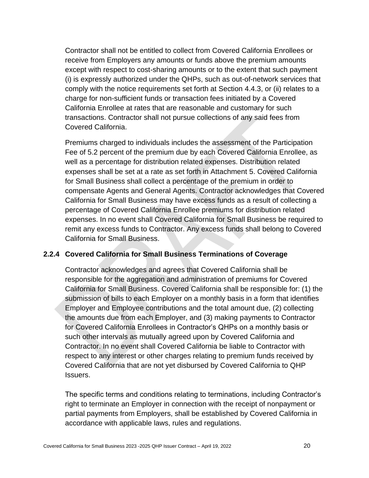Contractor shall not be entitled to collect from Covered California Enrollees or receive from Employers any amounts or funds above the premium amounts except with respect to cost-sharing amounts or to the extent that such payment (i) is expressly authorized under the QHPs, such as out-of-network services that comply with the notice requirements set forth at Section 4.4.3, or (ii) relates to a charge for non-sufficient funds or transaction fees initiated by a Covered California Enrollee at rates that are reasonable and customary for such transactions. Contractor shall not pursue collections of any said fees from Covered California.

Premiums charged to individuals includes the assessment of the Participation Fee of 5.2 percent of the premium due by each Covered California Enrollee, as well as a percentage for distribution related expenses. Distribution related expenses shall be set at a rate as set forth in Attachment 5. Covered California for Small Business shall collect a percentage of the premium in order to compensate Agents and General Agents. Contractor acknowledges that Covered California for Small Business may have excess funds as a result of collecting a percentage of Covered California Enrollee premiums for distribution related expenses. In no event shall Covered California for Small Business be required to remit any excess funds to Contractor. Any excess funds shall belong to Covered California for Small Business.

### <span id="page-28-0"></span>**2.2.4 Covered California for Small Business Terminations of Coverage**

Contractor acknowledges and agrees that Covered California shall be responsible for the aggregation and administration of premiums for Covered California for Small Business. Covered California shall be responsible for: (1) the submission of bills to each Employer on a monthly basis in a form that identifies Employer and Employee contributions and the total amount due, (2) collecting the amounts due from each Employer, and (3) making payments to Contractor for Covered California Enrollees in Contractor's QHPs on a monthly basis or such other intervals as mutually agreed upon by Covered California and Contractor. In no event shall Covered California be liable to Contractor with respect to any interest or other charges relating to premium funds received by Covered California that are not yet disbursed by Covered California to QHP Issuers.

The specific terms and conditions relating to terminations, including Contractor's right to terminate an Employer in connection with the receipt of nonpayment or partial payments from Employers, shall be established by Covered California in accordance with applicable laws, rules and regulations.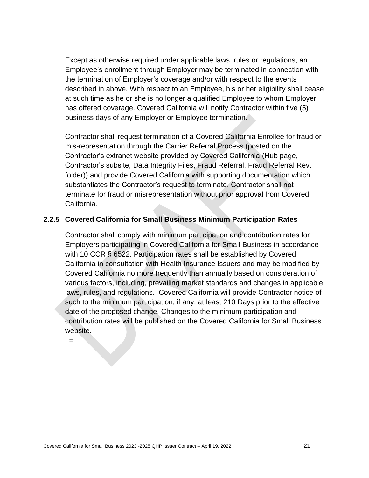Except as otherwise required under applicable laws, rules or regulations, an Employee's enrollment through Employer may be terminated in connection with the termination of Employer's coverage and/or with respect to the events described in above. With respect to an Employee, his or her eligibility shall cease at such time as he or she is no longer a qualified Employee to whom Employer has offered coverage. Covered California will notify Contractor within five (5) business days of any Employer or Employee termination.

Contractor shall request termination of a Covered California Enrollee for fraud or mis-representation through the Carrier Referral Process (posted on the Contractor's extranet website provided by Covered California (Hub page, Contractor's subsite, Data Integrity Files, Fraud Referral, Fraud Referral Rev. folder)) and provide Covered California with supporting documentation which substantiates the Contractor's request to terminate. Contractor shall not terminate for fraud or misrepresentation without prior approval from Covered California.

#### <span id="page-29-0"></span>**2.2.5 Covered California for Small Business Minimum Participation Rates**

Contractor shall comply with minimum participation and contribution rates for Employers participating in Covered California for Small Business in accordance with 10 CCR § 6522. Participation rates shall be established by Covered California in consultation with Health Insurance Issuers and may be modified by Covered California no more frequently than annually based on consideration of various factors, including, prevailing market standards and changes in applicable laws, rules, and regulations. Covered California will provide Contractor notice of such to the minimum participation, if any, at least 210 Days prior to the effective date of the proposed change. Changes to the minimum participation and contribution rates will be published on the Covered California for Small Business website.

=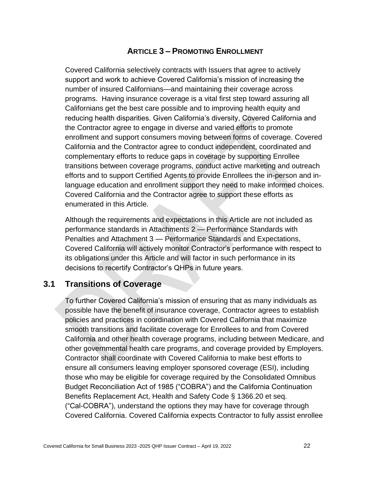### **ARTICLE 3 – PROMOTING ENROLLMENT**

<span id="page-30-0"></span>Covered California selectively contracts with Issuers that agree to actively support and work to achieve Covered California's mission of increasing the number of insured Californians—and maintaining their coverage across programs. Having insurance coverage is a vital first step toward assuring all Californians get the best care possible and to improving health equity and reducing health disparities. Given California's diversity, Covered California and the Contractor agree to engage in diverse and varied efforts to promote enrollment and support consumers moving between forms of coverage. Covered California and the Contractor agree to conduct independent, coordinated and complementary efforts to reduce gaps in coverage by supporting Enrollee transitions between coverage programs, conduct active marketing and outreach efforts and to support Certified Agents to provide Enrollees the in-person and inlanguage education and enrollment support they need to make informed choices. Covered California and the Contractor agree to support these efforts as enumerated in this Article.

Although the requirements and expectations in this Article are not included as performance standards in Attachments 2 — Performance Standards with Penalties and Attachment 3 — Performance Standards and Expectations, Covered California will actively monitor Contractor's performance with respect to its obligations under this Article and will factor in such performance in its decisions to recertify Contractor's QHPs in future years.

### <span id="page-30-1"></span>**3.1 Transitions of Coverage**

To further Covered California's mission of ensuring that as many individuals as possible have the benefit of insurance coverage, Contractor agrees to establish policies and practices in coordination with Covered California that maximize smooth transitions and facilitate coverage for Enrollees to and from Covered California and other health coverage programs, including between Medicare, and other governmental health care programs, and coverage provided by Employers. Contractor shall coordinate with Covered California to make best efforts to ensure all consumers leaving employer sponsored coverage (ESI), including those who may be eligible for coverage required by the Consolidated Omnibus Budget Reconciliation Act of 1985 ("COBRA") and the California Continuation Benefits Replacement Act, Health and Safety Code § 1366.20 et seq. ("Cal-COBRA"), understand the options they may have for coverage through Covered California. Covered California expects Contractor to fully assist enrollee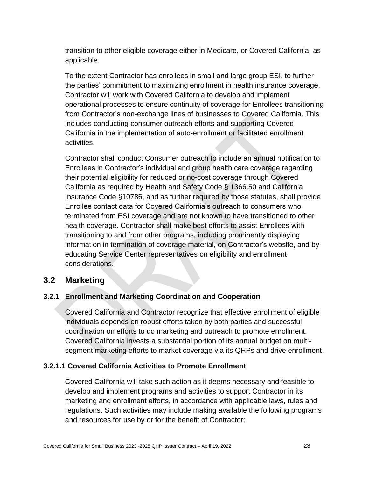transition to other eligible coverage either in Medicare, or Covered California, as applicable.

To the extent Contractor has enrollees in small and large group ESI, to further the parties' commitment to maximizing enrollment in health insurance coverage, Contractor will work with Covered California to develop and implement operational processes to ensure continuity of coverage for Enrollees transitioning from Contractor's non-exchange lines of businesses to Covered California. This includes conducting consumer outreach efforts and supporting Covered California in the implementation of auto-enrollment or facilitated enrollment activities.

Contractor shall conduct Consumer outreach to include an annual notification to Enrollees in Contractor's individual and group health care coverage regarding their potential eligibility for reduced or no-cost coverage through Covered California as required by Health and Safety Code § 1366.50 and California Insurance Code §10786, and as further required by those statutes, shall provide Enrollee contact data for Covered California's outreach to consumers who terminated from ESI coverage and are not known to have transitioned to other health coverage. Contractor shall make best efforts to assist Enrollees with transitioning to and from other programs, including prominently displaying information in termination of coverage material, on Contractor's website, and by educating Service Center representatives on eligibility and enrollment considerations.

### <span id="page-31-0"></span>**3.2 Marketing**

### <span id="page-31-1"></span>**3.2.1 Enrollment and Marketing Coordination and Cooperation**

Covered California and Contractor recognize that effective enrollment of eligible individuals depends on robust efforts taken by both parties and successful coordination on efforts to do marketing and outreach to promote enrollment. Covered California invests a substantial portion of its annual budget on multisegment marketing efforts to market coverage via its QHPs and drive enrollment.

### <span id="page-31-2"></span>**3.2.1.1 Covered California Activities to Promote Enrollment**

Covered California will take such action as it deems necessary and feasible to develop and implement programs and activities to support Contractor in its marketing and enrollment efforts, in accordance with applicable laws, rules and regulations. Such activities may include making available the following programs and resources for use by or for the benefit of Contractor: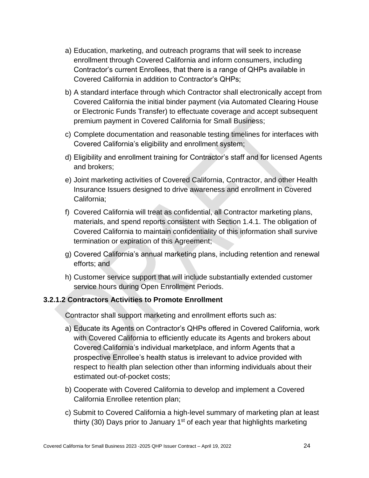- a) Education, marketing, and outreach programs that will seek to increase enrollment through Covered California and inform consumers, including Contractor's current Enrollees, that there is a range of QHPs available in Covered California in addition to Contractor's QHPs;
- b) A standard interface through which Contractor shall electronically accept from Covered California the initial binder payment (via Automated Clearing House or Electronic Funds Transfer) to effectuate coverage and accept subsequent premium payment in Covered California for Small Business;
- c) Complete documentation and reasonable testing timelines for interfaces with Covered California's eligibility and enrollment system;
- d) Eligibility and enrollment training for Contractor's staff and for licensed Agents and brokers;
- e) Joint marketing activities of Covered California, Contractor, and other Health Insurance Issuers designed to drive awareness and enrollment in Covered California;
- f) Covered California will treat as confidential, all Contractor marketing plans, materials, and spend reports consistent with Section 1.4.1. The obligation of Covered California to maintain confidentiality of this information shall survive termination or expiration of this Agreement;
- g) Covered California's annual marketing plans, including retention and renewal efforts; and
- h) Customer service support that will include substantially extended customer service hours during Open Enrollment Periods.

### <span id="page-32-0"></span>**3.2.1.2 Contractors Activities to Promote Enrollment**

Contractor shall support marketing and enrollment efforts such as:

- a) Educate its Agents on Contractor's QHPs offered in Covered California, work with Covered California to efficiently educate its Agents and brokers about Covered California's individual marketplace, and inform Agents that a prospective Enrollee's health status is irrelevant to advice provided with respect to health plan selection other than informing individuals about their estimated out-of-pocket costs;
- b) Cooperate with Covered California to develop and implement a Covered California Enrollee retention plan;
- c) Submit to Covered California a high-level summary of marketing plan at least thirty (30) Days prior to January  $1<sup>st</sup>$  of each year that highlights marketing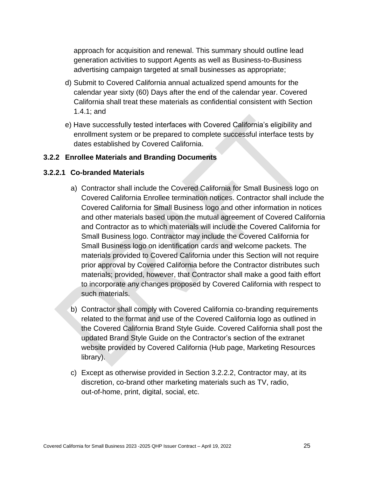approach for acquisition and renewal. This summary should outline lead generation activities to support Agents as well as Business-to-Business advertising campaign targeted at small businesses as appropriate;

- d) Submit to Covered California annual actualized spend amounts for the calendar year sixty (60) Days after the end of the calendar year. Covered California shall treat these materials as confidential consistent with Section 1.4.1; and
- e) Have successfully tested interfaces with Covered California's eligibility and enrollment system or be prepared to complete successful interface tests by dates established by Covered California.

### <span id="page-33-0"></span>**3.2.2 Enrollee Materials and Branding Documents**

#### <span id="page-33-1"></span>**3.2.2.1 Co-branded Materials**

- a) Contractor shall include the Covered California for Small Business logo on Covered California Enrollee termination notices. Contractor shall include the Covered California for Small Business logo and other information in notices and other materials based upon the mutual agreement of Covered California and Contractor as to which materials will include the Covered California for Small Business logo. Contractor may include the Covered California for Small Business logo on identification cards and welcome packets. The materials provided to Covered California under this Section will not require prior approval by Covered California before the Contractor distributes such materials; provided, however, that Contractor shall make a good faith effort to incorporate any changes proposed by Covered California with respect to such materials.
- b) Contractor shall comply with Covered California co-branding requirements related to the format and use of the Covered California logo as outlined in the Covered California Brand Style Guide. Covered California shall post the updated Brand Style Guide on the Contractor's section of the extranet website provided by Covered California (Hub page, Marketing Resources library).
- c) Except as otherwise provided in Section 3.2.2.2, Contractor may, at its discretion, co-brand other marketing materials such as TV, radio, out-of-home, print, digital, social, etc.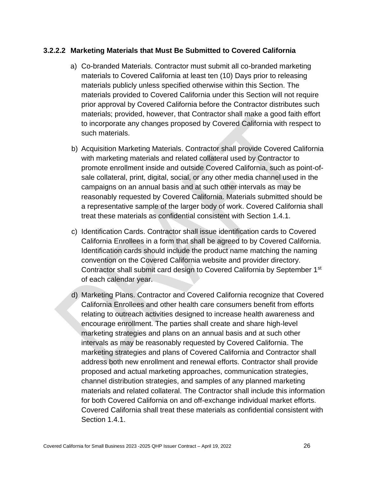#### <span id="page-34-0"></span>**3.2.2.2 Marketing Materials that Must Be Submitted to Covered California**

- a) Co-branded Materials. Contractor must submit all co-branded marketing materials to Covered California at least ten (10) Days prior to releasing materials publicly unless specified otherwise within this Section. The materials provided to Covered California under this Section will not require prior approval by Covered California before the Contractor distributes such materials; provided, however, that Contractor shall make a good faith effort to incorporate any changes proposed by Covered California with respect to such materials.
- b) Acquisition Marketing Materials. Contractor shall provide Covered California with marketing materials and related collateral used by Contractor to promote enrollment inside and outside Covered California, such as point-ofsale collateral, print, digital, social, or any other media channel used in the campaigns on an annual basis and at such other intervals as may be reasonably requested by Covered California. Materials submitted should be a representative sample of the larger body of work. Covered California shall treat these materials as confidential consistent with Section 1.4.1.
- c) Identification Cards. Contractor shall issue identification cards to Covered California Enrollees in a form that shall be agreed to by Covered California. Identification cards should include the product name matching the naming convention on the Covered California website and provider directory. Contractor shall submit card design to Covered California by September 1st of each calendar year.
- d) Marketing Plans. Contractor and Covered California recognize that Covered California Enrollees and other health care consumers benefit from efforts relating to outreach activities designed to increase health awareness and encourage enrollment. The parties shall create and share high-level marketing strategies and plans on an annual basis and at such other intervals as may be reasonably requested by Covered California. The marketing strategies and plans of Covered California and Contractor shall address both new enrollment and renewal efforts. Contractor shall provide proposed and actual marketing approaches, communication strategies, channel distribution strategies, and samples of any planned marketing materials and related collateral. The Contractor shall include this information for both Covered California on and off-exchange individual market efforts. Covered California shall treat these materials as confidential consistent with Section 1.4.1.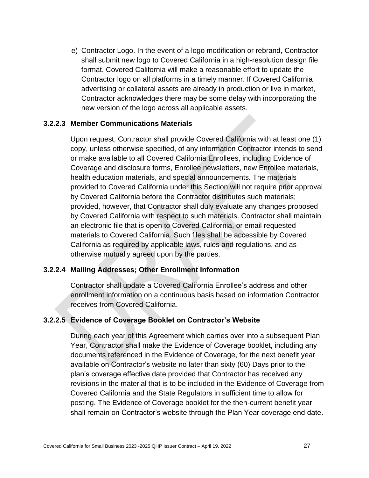e) Contractor Logo. In the event of a logo modification or rebrand, Contractor shall submit new logo to Covered California in a high-resolution design file format. Covered California will make a reasonable effort to update the Contractor logo on all platforms in a timely manner. If Covered California advertising or collateral assets are already in production or live in market, Contractor acknowledges there may be some delay with incorporating the new version of the logo across all applicable assets.

#### <span id="page-35-0"></span>**3.2.2.3 Member Communications Materials**

Upon request, Contractor shall provide Covered California with at least one (1) copy, unless otherwise specified, of any information Contractor intends to send or make available to all Covered California Enrollees, including Evidence of Coverage and disclosure forms, Enrollee newsletters, new Enrollee materials, health education materials, and special announcements. The materials provided to Covered California under this Section will not require prior approval by Covered California before the Contractor distributes such materials; provided, however, that Contractor shall duly evaluate any changes proposed by Covered California with respect to such materials. Contractor shall maintain an electronic file that is open to Covered California, or email requested materials to Covered California. Such files shall be accessible by Covered California as required by applicable laws, rules and regulations, and as otherwise mutually agreed upon by the parties.

### <span id="page-35-1"></span>**3.2.2.4 Mailing Addresses; Other Enrollment Information**

Contractor shall update a Covered California Enrollee's address and other enrollment information on a continuous basis based on information Contractor receives from Covered California.

### <span id="page-35-2"></span>**3.2.2.5 Evidence of Coverage Booklet on Contractor's Website**

During each year of this Agreement which carries over into a subsequent Plan Year, Contractor shall make the Evidence of Coverage booklet, including any documents referenced in the Evidence of Coverage, for the next benefit year available on Contractor's website no later than sixty (60) Days prior to the plan's coverage effective date provided that Contractor has received any revisions in the material that is to be included in the Evidence of Coverage from Covered California and the State Regulators in sufficient time to allow for posting. The Evidence of Coverage booklet for the then-current benefit year shall remain on Contractor's website through the Plan Year coverage end date.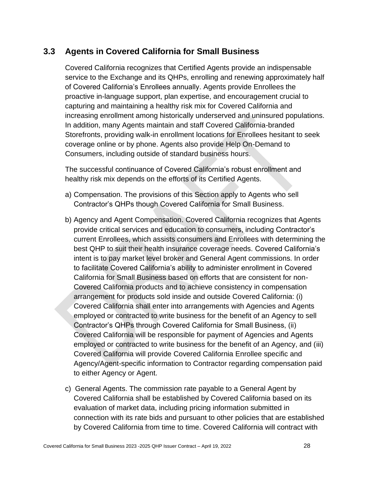# **3.3 Agents in Covered California for Small Business**

Covered California recognizes that Certified Agents provide an indispensable service to the Exchange and its QHPs, enrolling and renewing approximately half of Covered California's Enrollees annually. Agents provide Enrollees the proactive in-language support, plan expertise, and encouragement crucial to capturing and maintaining a healthy risk mix for Covered California and increasing enrollment among historically underserved and uninsured populations. In addition, many Agents maintain and staff Covered California-branded Storefronts, providing walk-in enrollment locations for Enrollees hesitant to seek coverage online or by phone. Agents also provide Help On-Demand to Consumers, including outside of standard business hours.

The successful continuance of Covered California's robust enrollment and healthy risk mix depends on the efforts of its Certified Agents.

- a) Compensation. The provisions of this Section apply to Agents who sell Contractor's QHPs though Covered California for Small Business.
- b) Agency and Agent Compensation. Covered California recognizes that Agents provide critical services and education to consumers, including Contractor's current Enrollees, which assists consumers and Enrollees with determining the best QHP to suit their health insurance coverage needs. Covered California's intent is to pay market level broker and General Agent commissions. In order to facilitate Covered California's ability to administer enrollment in Covered California for Small Business based on efforts that are consistent for non-Covered California products and to achieve consistency in compensation arrangement for products sold inside and outside Covered California: (i) Covered California shall enter into arrangements with Agencies and Agents employed or contracted to write business for the benefit of an Agency to sell Contractor's QHPs through Covered California for Small Business, (ii) Covered California will be responsible for payment of Agencies and Agents employed or contracted to write business for the benefit of an Agency, and (iii) Covered California will provide Covered California Enrollee specific and Agency/Agent-specific information to Contractor regarding compensation paid to either Agency or Agent.
- c) General Agents. The commission rate payable to a General Agent by Covered California shall be established by Covered California based on its evaluation of market data, including pricing information submitted in connection with its rate bids and pursuant to other policies that are established by Covered California from time to time. Covered California will contract with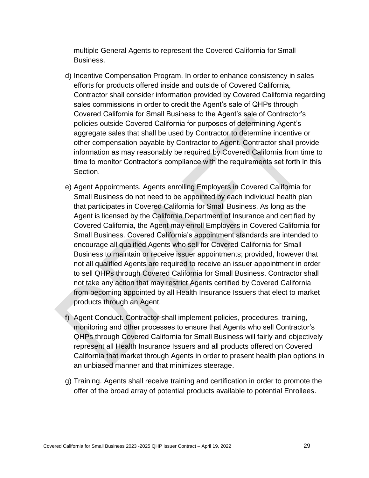multiple General Agents to represent the Covered California for Small Business.

- d) Incentive Compensation Program. In order to enhance consistency in sales efforts for products offered inside and outside of Covered California, Contractor shall consider information provided by Covered California regarding sales commissions in order to credit the Agent's sale of QHPs through Covered California for Small Business to the Agent's sale of Contractor's policies outside Covered California for purposes of determining Agent's aggregate sales that shall be used by Contractor to determine incentive or other compensation payable by Contractor to Agent. Contractor shall provide information as may reasonably be required by Covered California from time to time to monitor Contractor's compliance with the requirements set forth in this Section.
- e) Agent Appointments. Agents enrolling Employers in Covered California for Small Business do not need to be appointed by each individual health plan that participates in Covered California for Small Business. As long as the Agent is licensed by the California Department of Insurance and certified by Covered California, the Agent may enroll Employers in Covered California for Small Business. Covered California's appointment standards are intended to encourage all qualified Agents who sell for Covered California for Small Business to maintain or receive issuer appointments; provided, however that not all qualified Agents are required to receive an issuer appointment in order to sell QHPs through Covered California for Small Business. Contractor shall not take any action that may restrict Agents certified by Covered California from becoming appointed by all Health Insurance Issuers that elect to market products through an Agent.
- f) Agent Conduct. Contractor shall implement policies, procedures, training, monitoring and other processes to ensure that Agents who sell Contractor's QHPs through Covered California for Small Business will fairly and objectively represent all Health Insurance Issuers and all products offered on Covered California that market through Agents in order to present health plan options in an unbiased manner and that minimizes steerage.
- g) Training. Agents shall receive training and certification in order to promote the offer of the broad array of potential products available to potential Enrollees.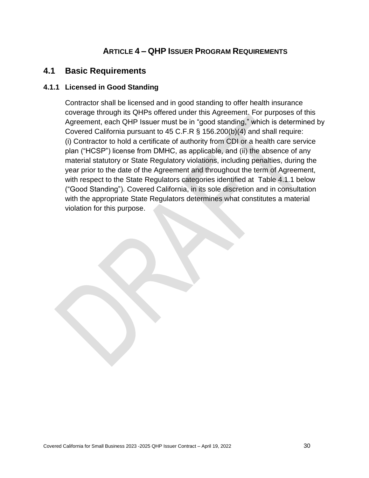# **ARTICLE 4 – QHP ISSUER PROGRAM REQUIREMENTS**

## **4.1 Basic Requirements**

## **4.1.1 Licensed in Good Standing**

Contractor shall be licensed and in good standing to offer health insurance coverage through its QHPs offered under this Agreement. For purposes of this Agreement, each QHP Issuer must be in "good standing," which is determined by Covered California pursuant to 45 C.F.R § 156.200(b)(4) and shall require: (i) Contractor to hold a certificate of authority from CDI or a health care service plan ("HCSP") license from DMHC, as applicable, and (ii) the absence of any material statutory or State Regulatory violations, including penalties, during the year prior to the date of the Agreement and throughout the term of Agreement, with respect to the State Regulators categories identified at Table 4.1.1 below ("Good Standing"). Covered California, in its sole discretion and in consultation with the appropriate State Regulators determines what constitutes a material violation for this purpose.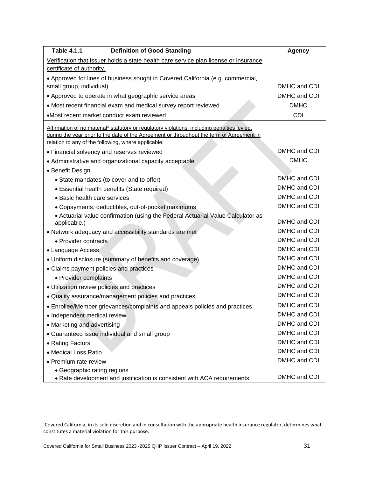| <b>Table 4.1.1</b><br><b>Definition of Good Standing</b>                                                | <b>Agency</b> |
|---------------------------------------------------------------------------------------------------------|---------------|
| Verification that issuer holds a state health care service plan license or insurance                    |               |
| certificate of authority.                                                                               |               |
| • Approved for lines of business sought in Covered California (e.g. commercial,                         |               |
| small group, individual)                                                                                | DMHC and CDI  |
| • Approved to operate in what geographic service areas                                                  | DMHC and CDI  |
| • Most recent financial exam and medical survey report reviewed                                         | <b>DMHC</b>   |
| •Most recent market conduct exam reviewed                                                               | <b>CDI</b>    |
| Affirmation of no material <sup>1</sup> statutory or regulatory violations, including penalties levied, |               |
| during the year prior to the date of the Agreement or throughout the term of Agreement in               |               |
| relation to any of the following, where applicable:                                                     |               |
| • Financial solvency and reserves reviewed                                                              | DMHC and CDI  |
| • Administrative and organizational capacity acceptable                                                 | <b>DMHC</b>   |
| • Benefit Design                                                                                        |               |
| • State mandates (to cover and to offer)                                                                | DMHC and CDI  |
| • Essential health benefits (State required)                                                            | DMHC and CDI  |
| • Basic health care services                                                                            | DMHC and CDI  |
| • Copayments, deductibles, out-of-pocket maximums                                                       | DMHC and CDI  |
| • Actuarial value confirmation (using the Federal Actuarial Value Calculator as<br>applicable.)         | DMHC and CDI  |
| • Network adequacy and accessibility standards are met                                                  | DMHC and CDI  |
| • Provider contracts                                                                                    | DMHC and CDI  |
| • Language Access                                                                                       | DMHC and CDI  |
| • Uniform disclosure (summary of benefits and coverage)                                                 | DMHC and CDI  |
| • Claims payment policies and practices                                                                 | DMHC and CDI  |
| • Provider complaints                                                                                   | DMHC and CDI  |
| • Utilization review policies and practices                                                             | DMHC and CDI  |
| • Quality assurance/management policies and practices                                                   | DMHC and CDI  |
| • Enrollee/Member grievances/complaints and appeals policies and practices                              | DMHC and CDI  |
| · Independent medical review                                                                            | DMHC and CDI  |
| • Marketing and advertising                                                                             | DMHC and CDI  |
| • Guaranteed issue individual and small group                                                           | DMHC and CDI  |
| • Rating Factors                                                                                        | DMHC and CDI  |
| • Medical Loss Ratio                                                                                    | DMHC and CDI  |
| • Premium rate review                                                                                   | DMHC and CDI  |
| • Geographic rating regions                                                                             |               |
| • Rate development and justification is consistent with ACA requirements                                | DMHC and CDI  |

<sup>1</sup>Covered California, in its sole discretion and in consultation with the appropriate health insurance regulator, determines what constitutes a material violation for this purpose.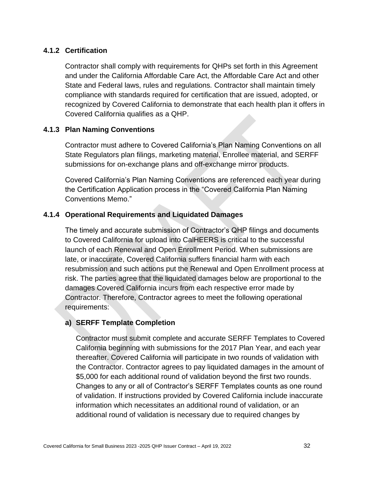## **4.1.2 Certification**

Contractor shall comply with requirements for QHPs set forth in this Agreement and under the California Affordable Care Act, the Affordable Care Act and other State and Federal laws, rules and regulations*.* Contractor shall maintain timely compliance with standards required for certification that are issued, adopted, or recognized by Covered California to demonstrate that each health plan it offers in Covered California qualifies as a QHP.

## **4.1.3 Plan Naming Conventions**

Contractor must adhere to Covered California's Plan Naming Conventions on all State Regulators plan filings, marketing material, Enrollee material, and SERFF submissions for on-exchange plans and off-exchange mirror products.

Covered California's Plan Naming Conventions are referenced each year during the Certification Application process in the "Covered California Plan Naming Conventions Memo."

## **4.1.4 Operational Requirements and Liquidated Damages**

The timely and accurate submission of Contractor's QHP filings and documents to Covered California for upload into CalHEERS is critical to the successful launch of each Renewal and Open Enrollment Period. When submissions are late, or inaccurate, Covered California suffers financial harm with each resubmission and such actions put the Renewal and Open Enrollment process at risk. The parties agree that the liquidated damages below are proportional to the damages Covered California incurs from each respective error made by Contractor. Therefore, Contractor agrees to meet the following operational requirements:

#### **a) SERFF Template Completion**

Contractor must submit complete and accurate SERFF Templates to Covered California beginning with submissions for the 2017 Plan Year, and each year thereafter. Covered California will participate in two rounds of validation with the Contractor. Contractor agrees to pay liquidated damages in the amount of \$5,000 for each additional round of validation beyond the first two rounds. Changes to any or all of Contractor's SERFF Templates counts as one round of validation. If instructions provided by Covered California include inaccurate information which necessitates an additional round of validation, or an additional round of validation is necessary due to required changes by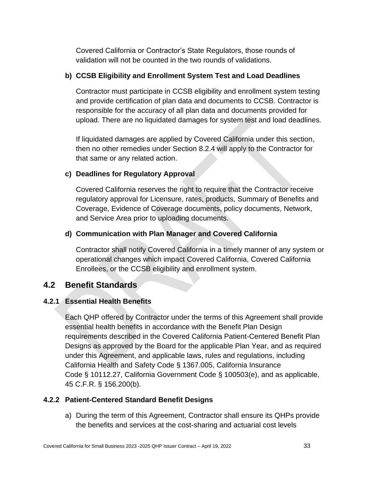Covered California or Contractor's State Regulators, those rounds of validation will not be counted in the two rounds of validations.

## **b) CCSB Eligibility and Enrollment System Test and Load Deadlines**

Contractor must participate in CCSB eligibility and enrollment system testing and provide certification of plan data and documents to CCSB. Contractor is responsible for the accuracy of all plan data and documents provided for upload. There are no liquidated damages for system test and load deadlines.

If liquidated damages are applied by Covered California under this section, then no other remedies under Section 8.2.4 will apply to the Contractor for that same or any related action.

## **c) Deadlines for Regulatory Approval**

Covered California reserves the right to require that the Contractor receive regulatory approval for Licensure, rates, products, Summary of Benefits and Coverage, Evidence of Coverage documents, policy documents, Network, and Service Area prior to uploading documents.

## **d) Communication with Plan Manager and Covered California**

Contractor shall notify Covered California in a timely manner of any system or operational changes which impact Covered California, Covered California Enrollees, or the CCSB eligibility and enrollment system.

## **4.2 Benefit Standards**

## **4.2.1 Essential Health Benefits**

Each QHP offered by Contractor under the terms of this Agreement shall provide essential health benefits in accordance with the Benefit Plan Design requirements described in the Covered California Patient-Centered Benefit Plan Designs as approved by the Board for the applicable Plan Year, and as required under this Agreement, and applicable laws, rules and regulations, including California Health and Safety Code § 1367.005, California Insurance Code § 10112.27, California Government Code § 100503(e), and as applicable, 45 C.F.R. § 156.200(b).

## **4.2.2 Patient-Centered Standard Benefit Designs**

a) During the term of this Agreement, Contractor shall ensure its QHPs provide the benefits and services at the cost-sharing and actuarial cost levels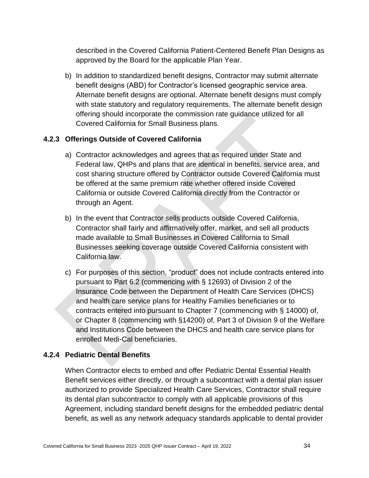described in the Covered California Patient-Centered Benefit Plan Designs as approved by the Board for the applicable Plan Year.

b) In addition to standardized benefit designs, Contractor may submit alternate benefit designs (ABD) for Contractor's licensed geographic service area. Alternate benefit designs are optional. Alternate benefit designs must comply with state statutory and regulatory requirements. The alternate benefit design offering should incorporate the commission rate guidance utilized for all Covered California for Small Business plans.

## **4.2.3 Offerings Outside of Covered California**

- a) Contractor acknowledges and agrees that as required under State and Federal law, QHPs and plans that are identical in benefits, service area, and cost sharing structure offered by Contractor outside Covered California must be offered at the same premium rate whether offered inside Covered California or outside Covered California directly from the Contractor or through an Agent.
- b) In the event that Contractor sells products outside Covered California, Contractor shall fairly and affirmatively offer, market, and sell all products made available to Small Businesses in Covered California to Small Businesses seeking coverage outside Covered California consistent with California law.
- c) For purposes of this section, "product" does not include contracts entered into pursuant to Part 6.2 (commencing with § 12693) of Division 2 of the Insurance Code between the Department of Health Care Services (DHCS) and health care service plans for Healthy Families beneficiaries or to contracts entered into pursuant to Chapter 7 (commencing with § 14000) of, or Chapter 8 (commencing with §14200) of, Part 3 of Division 9 of the Welfare and Institutions Code between the DHCS and health care service plans for enrolled Medi-Cal beneficiaries.

## **4.2.4 Pediatric Dental Benefits**

When Contractor elects to embed and offer Pediatric Dental Essential Health Benefit services either directly, or through a subcontract with a dental plan issuer authorized to provide Specialized Health Care Services, Contractor shall require its dental plan subcontractor to comply with all applicable provisions of this Agreement, including standard benefit designs for the embedded pediatric dental benefit, as well as any network adequacy standards applicable to dental provider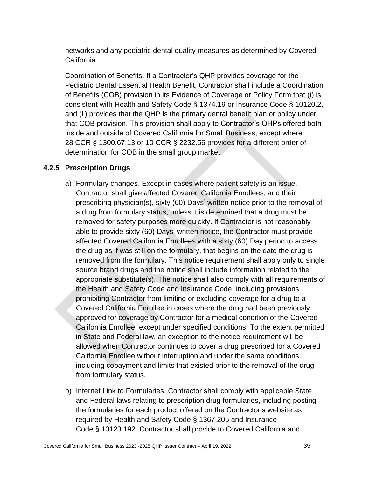networks and any pediatric dental quality measures as determined by Covered California.

Coordination of Benefits. If a Contractor's QHP provides coverage for the Pediatric Dental Essential Health Benefit, Contractor shall include a Coordination of Benefits (COB) provision in its Evidence of Coverage or Policy Form that (i) is consistent with Health and Safety Code § 1374.19 or Insurance Code § 10120.2, and (ii) provides that the QHP is the primary dental benefit plan or policy under that COB provision. This provision shall apply to Contractor's QHPs offered both inside and outside of Covered California for Small Business, except where 28 CCR § 1300.67.13 or 10 CCR § 2232.56 provides for a different order of determination for COB in the small group market.

## **4.2.5 Prescription Drugs**

- a) Formulary changes. Except in cases where patient safety is an issue, Contractor shall give affected Covered California Enrollees, and their prescribing physician(s), sixty (60) Days' written notice prior to the removal of a drug from formulary status, unless it is determined that a drug must be removed for safety purposes more quickly. If Contractor is not reasonably able to provide sixty (60) Days' written notice, the Contractor must provide affected Covered California Enrollees with a sixty (60) Day period to access the drug as if was still on the formulary, that begins on the date the drug is removed from the formulary. This notice requirement shall apply only to single source brand drugs and the notice shall include information related to the appropriate substitute(s). The notice shall also comply with all requirements of the Health and Safety Code and Insurance Code, including provisions prohibiting Contractor from limiting or excluding coverage for a drug to a Covered California Enrollee in cases where the drug had been previously approved for coverage by Contractor for a medical condition of the Covered California Enrollee, except under specified conditions. To the extent permitted in State and Federal law, an exception to the notice requirement will be allowed when Contractor continues to cover a drug prescribed for a Covered California Enrollee without interruption and under the same conditions, including copayment and limits that existed prior to the removal of the drug from formulary status.
- b) Internet Link to Formularies. Contractor shall comply with applicable State and Federal laws relating to prescription drug formularies, including posting the formularies for each product offered on the Contractor's website as required by Health and Safety Code § 1367.205 and Insurance Code § 10123.192. Contractor shall provide to Covered California and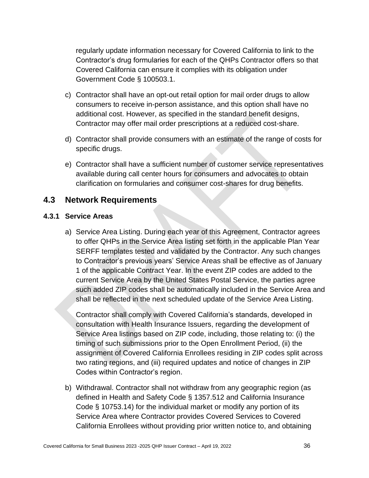regularly update information necessary for Covered California to link to the Contractor's drug formularies for each of the QHPs Contractor offers so that Covered California can ensure it complies with its obligation under Government Code § 100503.1.

- c) Contractor shall have an opt-out retail option for mail order drugs to allow consumers to receive in-person assistance, and this option shall have no additional cost. However, as specified in the standard benefit designs, Contractor may offer mail order prescriptions at a reduced cost-share.
- d) Contractor shall provide consumers with an estimate of the range of costs for specific drugs.
- e) Contractor shall have a sufficient number of customer service representatives available during call center hours for consumers and advocates to obtain clarification on formularies and consumer cost-shares for drug benefits.

## **4.3 Network Requirements**

## **4.3.1 Service Areas**

a) Service Area Listing. During each year of this Agreement, Contractor agrees to offer QHPs in the Service Area listing set forth in the applicable Plan Year SERFF templates tested and validated by the Contractor. Any such changes to Contractor's previous years' Service Areas shall be effective as of January 1 of the applicable Contract Year. In the event ZIP codes are added to the current Service Area by the United States Postal Service, the parties agree such added ZIP codes shall be automatically included in the Service Area and shall be reflected in the next scheduled update of the Service Area Listing.

Contractor shall comply with Covered California's standards, developed in consultation with Health Insurance Issuers, regarding the development of Service Area listings based on ZIP code, including, those relating to: (i) the timing of such submissions prior to the Open Enrollment Period, (ii) the assignment of Covered California Enrollees residing in ZIP codes split across two rating regions, and (iii) required updates and notice of changes in ZIP Codes within Contractor's region.

b) Withdrawal. Contractor shall not withdraw from any geographic region (as defined in Health and Safety Code § 1357.512 and California Insurance Code § 10753.14) for the individual market or modify any portion of its Service Area where Contractor provides Covered Services to Covered California Enrollees without providing prior written notice to, and obtaining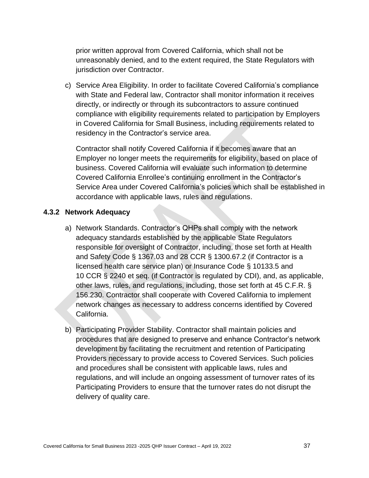prior written approval from Covered California, which shall not be unreasonably denied, and to the extent required, the State Regulators with jurisdiction over Contractor.

c) Service Area Eligibility. In order to facilitate Covered California's compliance with State and Federal law, Contractor shall monitor information it receives directly, or indirectly or through its subcontractors to assure continued compliance with eligibility requirements related to participation by Employers in Covered California for Small Business, including requirements related to residency in the Contractor's service area.

Contractor shall notify Covered California if it becomes aware that an Employer no longer meets the requirements for eligibility, based on place of business. Covered California will evaluate such information to determine Covered California Enrollee's continuing enrollment in the Contractor's Service Area under Covered California's policies which shall be established in accordance with applicable laws, rules and regulations.

#### **4.3.2 Network Adequacy**

- a) Network Standards. Contractor's QHPs shall comply with the network adequacy standards established by the applicable State Regulators responsible for oversight of Contractor, including, those set forth at Health and Safety Code § 1367.03 and 28 CCR § 1300.67.2 (if Contractor is a licensed health care service plan) or Insurance Code § 10133.5 and 10 CCR § 2240 et seq. (if Contractor is regulated by CDI), and, as applicable, other laws, rules, and regulations, including, those set forth at 45 C.F.R. § 156.230. Contractor shall cooperate with Covered California to implement network changes as necessary to address concerns identified by Covered California.
- b) Participating Provider Stability. Contractor shall maintain policies and procedures that are designed to preserve and enhance Contractor's network development by facilitating the recruitment and retention of Participating Providers necessary to provide access to Covered Services. Such policies and procedures shall be consistent with applicable laws, rules and regulations, and will include an ongoing assessment of turnover rates of its Participating Providers to ensure that the turnover rates do not disrupt the delivery of quality care.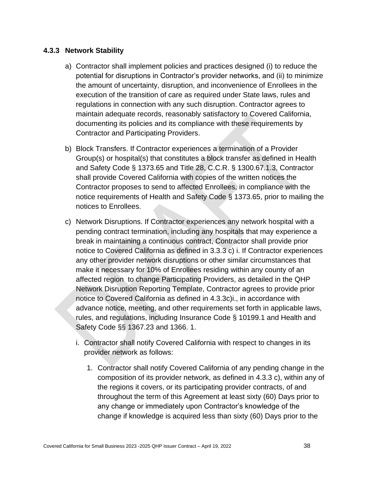#### **4.3.3 Network Stability**

- a) Contractor shall implement policies and practices designed (i) to reduce the potential for disruptions in Contractor's provider networks, and (ii) to minimize the amount of uncertainty, disruption, and inconvenience of Enrollees in the execution of the transition of care as required under State laws, rules and regulations in connection with any such disruption. Contractor agrees to maintain adequate records, reasonably satisfactory to Covered California, documenting its policies and its compliance with these requirements by Contractor and Participating Providers.
- b) Block Transfers. If Contractor experiences a termination of a Provider Group(s) or hospital(s) that constitutes a block transfer as defined in Health and Safety Code § 1373.65 and Title 28, C.C.R. § 1300.67.1.3, Contractor shall provide Covered California with copies of the written notices the Contractor proposes to send to affected Enrollees, in compliance with the notice requirements of Health and Safety Code § 1373.65, prior to mailing the notices to Enrollees.
- c) Network Disruptions. If Contractor experiences any network hospital with a pending contract termination, including any hospitals that may experience a break in maintaining a continuous contract, Contractor shall provide prior notice to Covered California as defined in 3.3.3 c) i. If Contractor experiences any other provider network disruptions or other similar circumstances that make it necessary for 10% of Enrollees residing within any county of an affected region to change Participating Providers, as detailed in the QHP Network Disruption Reporting Template, Contractor agrees to provide prior notice to Covered California as defined in 4.3.3c)i., in accordance with advance notice, meeting, and other requirements set forth in applicable laws, rules, and regulations, including Insurance Code § 10199.1 and Health and Safety Code §§ 1367.23 and 1366. 1.
	- i. Contractor shall notify Covered California with respect to changes in its provider network as follows:
		- 1. Contractor shall notify Covered California of any pending change in the composition of its provider network, as defined in 4.3.3 c), within any of the regions it covers, or its participating provider contracts, of and throughout the term of this Agreement at least sixty (60) Days prior to any change or immediately upon Contractor's knowledge of the change if knowledge is acquired less than sixty (60) Days prior to the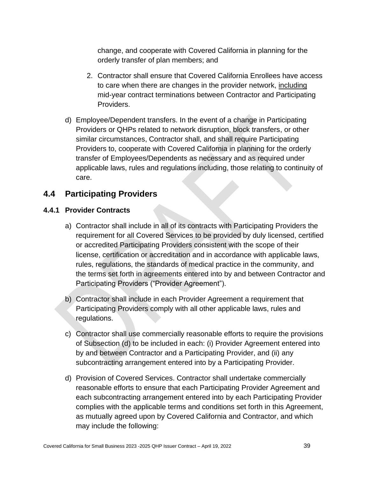change, and cooperate with Covered California in planning for the orderly transfer of plan members; and

- 2. Contractor shall ensure that Covered California Enrollees have access to care when there are changes in the provider network, including mid-year contract terminations between Contractor and Participating Providers.
- d) Employee/Dependent transfers. In the event of a change in Participating Providers or QHPs related to network disruption, block transfers, or other similar circumstances, Contractor shall, and shall require Participating Providers to, cooperate with Covered California in planning for the orderly transfer of Employees/Dependents as necessary and as required under applicable laws, rules and regulations including, those relating to continuity of care.

# **4.4 Participating Providers**

## **4.4.1 Provider Contracts**

- a) Contractor shall include in all of its contracts with Participating Providers the requirement for all Covered Services to be provided by duly licensed, certified or accredited Participating Providers consistent with the scope of their license, certification or accreditation and in accordance with applicable laws, rules, regulations, the standards of medical practice in the community, and the terms set forth in agreements entered into by and between Contractor and Participating Providers ("Provider Agreement").
- b) Contractor shall include in each Provider Agreement a requirement that Participating Providers comply with all other applicable laws, rules and regulations.
- c) Contractor shall use commercially reasonable efforts to require the provisions of Subsection (d) to be included in each: (i) Provider Agreement entered into by and between Contractor and a Participating Provider, and (ii) any subcontracting arrangement entered into by a Participating Provider.
- d) Provision of Covered Services. Contractor shall undertake commercially reasonable efforts to ensure that each Participating Provider Agreement and each subcontracting arrangement entered into by each Participating Provider complies with the applicable terms and conditions set forth in this Agreement, as mutually agreed upon by Covered California and Contractor, and which may include the following: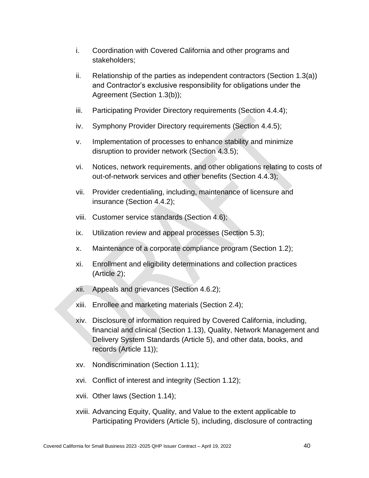- i. Coordination with Covered California and other programs and stakeholders;
- ii. Relationship of the parties as independent contractors (Section 1.3(a)) and Contractor's exclusive responsibility for obligations under the Agreement (Section 1.3(b));
- iii. Participating Provider Directory requirements (Section 4.4.4);
- iv. Symphony Provider Directory requirements (Section 4.4.5);
- v. Implementation of processes to enhance stability and minimize disruption to provider network (Section 4.3.5);
- vi. Notices, network requirements, and other obligations relating to costs of out-of-network services and other benefits (Section 4.4.3);
- vii. Provider credentialing, including, maintenance of licensure and insurance (Section 4.4.2);
- viii. Customer service standards (Section 4.6);
- ix. Utilization review and appeal processes (Section 5.3);
- x. Maintenance of a corporate compliance program (Section 1.2);
- xi. Enrollment and eligibility determinations and collection practices (Article 2);
- xii. Appeals and grievances (Section 4.6.2);
- xiii. Enrollee and marketing materials (Section 2.4);
- xiv. Disclosure of information required by Covered California, including, financial and clinical (Section 1.13), Quality, Network Management and Delivery System Standards (Article 5), and other data, books, and records (Article 11));
- xv. Nondiscrimination (Section 1.11);
- xvi. Conflict of interest and integrity (Section 1.12);
- xvii. Other laws (Section 1.14);
- xviii. Advancing Equity, Quality, and Value to the extent applicable to Participating Providers (Article 5), including, disclosure of contracting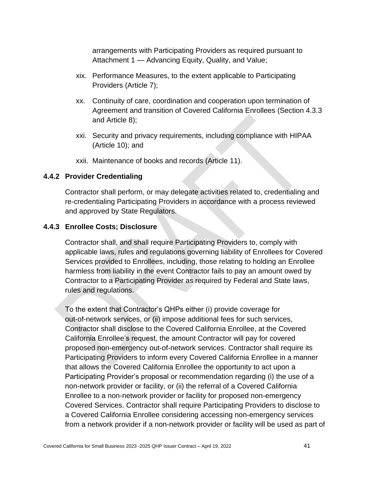arrangements with Participating Providers as required pursuant to Attachment 1 — Advancing Equity, Quality, and Value;

- xix. Performance Measures, to the extent applicable to Participating Providers (Article 7);
- xx. Continuity of care, coordination and cooperation upon termination of Agreement and transition of Covered California Enrollees (Section 4.3.3 and Article 8);
- xxi. Security and privacy requirements, including compliance with HIPAA (Article 10); and
- xxii. Maintenance of books and records (Article 11).

## **4.4.2 Provider Credentialing**

Contractor shall perform, or may delegate activities related to, credentialing and re-credentialing Participating Providers in accordance with a process reviewed and approved by State Regulators.

## **4.4.3 Enrollee Costs; Disclosure**

Contractor shall, and shall require Participating Providers to, comply with applicable laws, rules and regulations governing liability of Enrollees for Covered Services provided to Enrollees, including, those relating to holding an Enrollee harmless from liability in the event Contractor fails to pay an amount owed by Contractor to a Participating Provider as required by Federal and State laws, rules and regulations.

To the extent that Contractor's QHPs either (i) provide coverage for out-of-network services, or (ii) impose additional fees for such services, Contractor shall disclose to the Covered California Enrollee, at the Covered California Enrollee's request, the amount Contractor will pay for covered proposed non-emergency out-of-network services. Contractor shall require its Participating Providers to inform every Covered California Enrollee in a manner that allows the Covered California Enrollee the opportunity to act upon a Participating Provider's proposal or recommendation regarding (i) the use of a non-network provider or facility, or (ii) the referral of a Covered California Enrollee to a non-network provider or facility for proposed non-emergency Covered Services. Contractor shall require Participating Providers to disclose to a Covered California Enrollee considering accessing non-emergency services from a network provider if a non-network provider or facility will be used as part of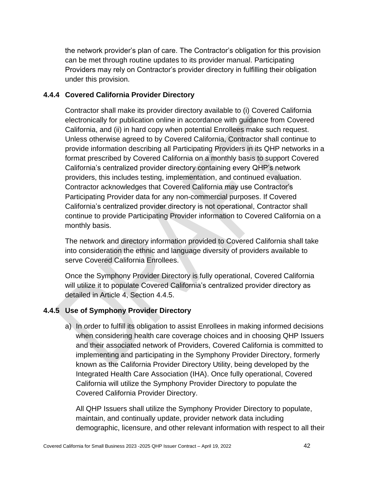the network provider's plan of care. The Contractor's obligation for this provision can be met through routine updates to its provider manual. Participating Providers may rely on Contractor's provider directory in fulfilling their obligation under this provision.

## **4.4.4 Covered California Provider Directory**

Contractor shall make its provider directory available to (i) Covered California electronically for publication online in accordance with guidance from Covered California, and (ii) in hard copy when potential Enrollees make such request. Unless otherwise agreed to by Covered California, Contractor shall continue to provide information describing all Participating Providers in its QHP networks in a format prescribed by Covered California on a monthly basis to support Covered California's centralized provider directory containing every QHP's network providers, this includes testing, implementation, and continued evaluation. Contractor acknowledges that Covered California may use Contractor's Participating Provider data for any non-commercial purposes. If Covered California's centralized provider directory is not operational, Contractor shall continue to provide Participating Provider information to Covered California on a monthly basis.

The network and directory information provided to Covered California shall take into consideration the ethnic and language diversity of providers available to serve Covered California Enrollees.

Once the Symphony Provider Directory is fully operational, Covered California will utilize it to populate Covered California's centralized provider directory as detailed in Article 4, Section 4.4.5.

## **4.4.5 Use of Symphony Provider Directory**

a) In order to fulfill its obligation to assist Enrollees in making informed decisions when considering health care coverage choices and in choosing QHP Issuers and their associated network of Providers, Covered California is committed to implementing and participating in the Symphony Provider Directory, formerly known as the California Provider Directory Utility, being developed by the Integrated Health Care Association (IHA). Once fully operational, Covered California will utilize the Symphony Provider Directory to populate the Covered California Provider Directory.

All QHP Issuers shall utilize the Symphony Provider Directory to populate, maintain, and continually update, provider network data including demographic, licensure, and other relevant information with respect to all their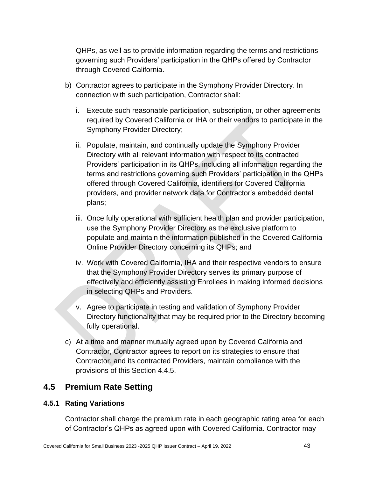QHPs, as well as to provide information regarding the terms and restrictions governing such Providers' participation in the QHPs offered by Contractor through Covered California.

- b) Contractor agrees to participate in the Symphony Provider Directory. In connection with such participation, Contractor shall:
	- i. Execute such reasonable participation, subscription, or other agreements required by Covered California or IHA or their vendors to participate in the Symphony Provider Directory;
	- ii. Populate, maintain, and continually update the Symphony Provider Directory with all relevant information with respect to its contracted Providers' participation in its QHPs, including all information regarding the terms and restrictions governing such Providers' participation in the QHPs offered through Covered California, identifiers for Covered California providers, and provider network data for Contractor's embedded dental plans;
	- iii. Once fully operational with sufficient health plan and provider participation, use the Symphony Provider Directory as the exclusive platform to populate and maintain the information published in the Covered California Online Provider Directory concerning its QHPs; and
	- iv. Work with Covered California, IHA and their respective vendors to ensure that the Symphony Provider Directory serves its primary purpose of effectively and efficiently assisting Enrollees in making informed decisions in selecting QHPs and Providers.
	- v. Agree to participate in testing and validation of Symphony Provider Directory functionality that may be required prior to the Directory becoming fully operational.
- c) At a time and manner mutually agreed upon by Covered California and Contractor, Contractor agrees to report on its strategies to ensure that Contractor, and its contracted Providers, maintain compliance with the provisions of this Section 4.4.5.

# **4.5 Premium Rate Setting**

## **4.5.1 Rating Variations**

Contractor shall charge the premium rate in each geographic rating area for each of Contractor's QHPs as agreed upon with Covered California. Contractor may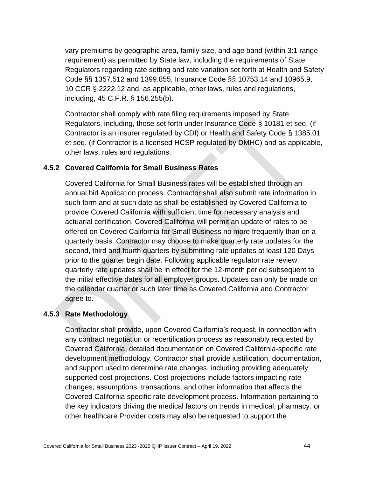vary premiums by geographic area, family size, and age band (within 3:1 range requirement) as permitted by State law, including the requirements of State Regulators regarding rate setting and rate variation set forth at Health and Safety Code §§ 1357.512 and 1399.855, Insurance Code §§ 10753.14 and 10965.9, 10 CCR § 2222.12 and, as applicable, other laws, rules and regulations, including, 45 C.F.R. § 156.255(b).

Contractor shall comply with rate filing requirements imposed by State Regulators, including, those set forth under Insurance Code § 10181 et seq. (if Contractor is an insurer regulated by CDI) or Health and Safety Code § 1385.01 et seq. (if Contractor is a licensed HCSP regulated by DMHC) and as applicable, other laws, rules and regulations.

## **4.5.2 Covered California for Small Business Rates**

Covered California for Small Business rates will be established through an annual bid Application process. Contractor shall also submit rate information in such form and at such date as shall be established by Covered California to provide Covered California with sufficient time for necessary analysis and actuarial certification. Covered California will permit an update of rates to be offered on Covered California for Small Business no more frequently than on a quarterly basis. Contractor may choose to make quarterly rate updates for the second, third and fourth quarters by submitting rate updates at least 120 Days prior to the quarter begin date. Following applicable regulator rate review, quarterly rate updates shall be in effect for the 12-month period subsequent to the initial effective dates for all employer groups. Updates can only be made on the calendar quarter or such later time as Covered California and Contractor agree to.

## **4.5.3 Rate Methodology**

Contractor shall provide, upon Covered California's request, in connection with any contract negotiation or recertification process as reasonably requested by Covered California, detailed documentation on Covered California-specific rate development methodology. Contractor shall provide justification, documentation, and support used to determine rate changes, including providing adequately supported cost projections. Cost projections include factors impacting rate changes, assumptions, transactions, and other information that affects the Covered California specific rate development process. Information pertaining to the key indicators driving the medical factors on trends in medical, pharmacy, or other healthcare Provider costs may also be requested to support the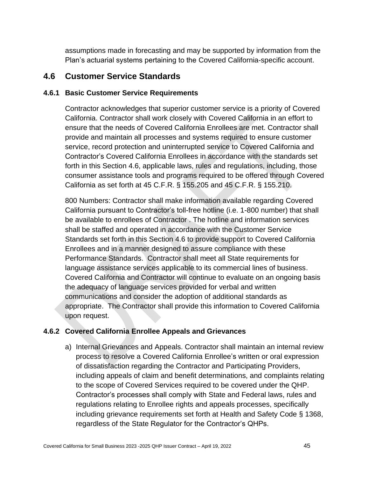assumptions made in forecasting and may be supported by information from the Plan's actuarial systems pertaining to the Covered California-specific account.

## **4.6 Customer Service Standards**

## **4.6.1 Basic Customer Service Requirements**

Contractor acknowledges that superior customer service is a priority of Covered California. Contractor shall work closely with Covered California in an effort to ensure that the needs of Covered California Enrollees are met. Contractor shall provide and maintain all processes and systems required to ensure customer service, record protection and uninterrupted service to Covered California and Contractor's Covered California Enrollees in accordance with the standards set forth in this Section 4.6, applicable laws, rules and regulations, including, those consumer assistance tools and programs required to be offered through Covered California as set forth at 45 C.F.R. § 155.205 and 45 C.F.R. § 155.210.

800 Numbers: Contractor shall make information available regarding Covered California pursuant to Contractor's toll-free hotline (i.e. 1-800 number) that shall be available to enrollees of Contractor . The hotline and information services shall be staffed and operated in accordance with the Customer Service Standards set forth in this Section 4.6 to provide support to Covered California Enrollees and in a manner designed to assure compliance with these Performance Standards. Contractor shall meet all State requirements for language assistance services applicable to its commercial lines of business. Covered California and Contractor will continue to evaluate on an ongoing basis the adequacy of language services provided for verbal and written communications and consider the adoption of additional standards as appropriate. The Contractor shall provide this information to Covered California upon request.

## **4.6.2 Covered California Enrollee Appeals and Grievances**

a) Internal Grievances and Appeals. Contractor shall maintain an internal review process to resolve a Covered California Enrollee's written or oral expression of dissatisfaction regarding the Contractor and Participating Providers, including appeals of claim and benefit determinations, and complaints relating to the scope of Covered Services required to be covered under the QHP. Contractor's processes shall comply with State and Federal laws, rules and regulations relating to Enrollee rights and appeals processes, specifically including grievance requirements set forth at Health and Safety Code § 1368, regardless of the State Regulator for the Contractor's QHPs.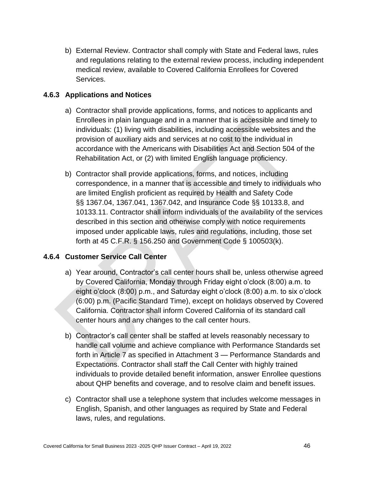b) External Review. Contractor shall comply with State and Federal laws, rules and regulations relating to the external review process, including independent medical review, available to Covered California Enrollees for Covered Services.

## **4.6.3 Applications and Notices**

- a) Contractor shall provide applications, forms, and notices to applicants and Enrollees in plain language and in a manner that is accessible and timely to individuals: (1) living with disabilities, including accessible websites and the provision of auxiliary aids and services at no cost to the individual in accordance with the Americans with Disabilities Act and Section 504 of the Rehabilitation Act, or (2) with limited English language proficiency.
- b) Contractor shall provide applications, forms, and notices, including correspondence, in a manner that is accessible and timely to individuals who are limited English proficient as required by Health and Safety Code §§ 1367.04, 1367.041, 1367.042, and Insurance Code §§ 10133.8, and 10133.11. Contractor shall inform individuals of the availability of the services described in this section and otherwise comply with notice requirements imposed under applicable laws, rules and regulations, including, those set forth at 45 C.F.R. § 156.250 and Government Code § 100503(k).

## **4.6.4 Customer Service Call Center**

- a) Year around, Contractor's call center hours shall be, unless otherwise agreed by Covered California, Monday through Friday eight o'clock (8:00) a.m. to eight o'clock (8:00) p.m., and Saturday eight o'clock (8:00) a.m. to six o'clock (6:00) p.m. (Pacific Standard Time), except on holidays observed by Covered California. Contractor shall inform Covered California of its standard call center hours and any changes to the call center hours.
- b) Contractor's call center shall be staffed at levels reasonably necessary to handle call volume and achieve compliance with Performance Standards set forth in Article 7 as specified in Attachment 3 — Performance Standards and Expectations. Contractor shall staff the Call Center with highly trained individuals to provide detailed benefit information, answer Enrollee questions about QHP benefits and coverage, and to resolve claim and benefit issues.
- c) Contractor shall use a telephone system that includes welcome messages in English, Spanish, and other languages as required by State and Federal laws, rules, and regulations.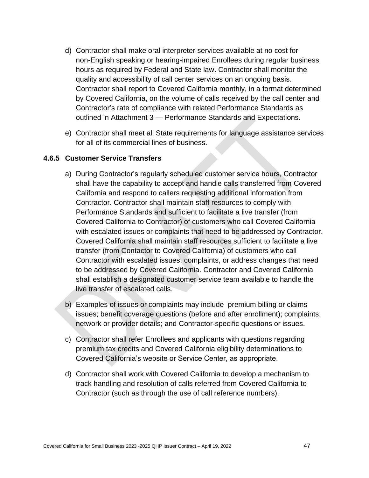- d) Contractor shall make oral interpreter services available at no cost for non-English speaking or hearing-impaired Enrollees during regular business hours as required by Federal and State law. Contractor shall monitor the quality and accessibility of call center services on an ongoing basis. Contractor shall report to Covered California monthly, in a format determined by Covered California, on the volume of calls received by the call center and Contractor's rate of compliance with related Performance Standards as outlined in Attachment 3 — Performance Standards and Expectations.
- e) Contractor shall meet all State requirements for language assistance services for all of its commercial lines of business.

#### **4.6.5 Customer Service Transfers**

- a) During Contractor's regularly scheduled customer service hours, Contractor shall have the capability to accept and handle calls transferred from Covered California and respond to callers requesting additional information from Contractor. Contractor shall maintain staff resources to comply with Performance Standards and sufficient to facilitate a live transfer (from Covered California to Contractor) of customers who call Covered California with escalated issues or complaints that need to be addressed by Contractor. Covered California shall maintain staff resources sufficient to facilitate a live transfer (from Contactor to Covered California) of customers who call Contractor with escalated issues, complaints, or address changes that need to be addressed by Covered California. Contractor and Covered California shall establish a designated customer service team available to handle the live transfer of escalated calls.
- b) Examples of issues or complaints may include premium billing or claims issues; benefit coverage questions (before and after enrollment); complaints; network or provider details; and Contractor-specific questions or issues.
- c) Contractor shall refer Enrollees and applicants with questions regarding premium tax credits and Covered California eligibility determinations to Covered California's website or Service Center, as appropriate.
- d) Contractor shall work with Covered California to develop a mechanism to track handling and resolution of calls referred from Covered California to Contractor (such as through the use of call reference numbers).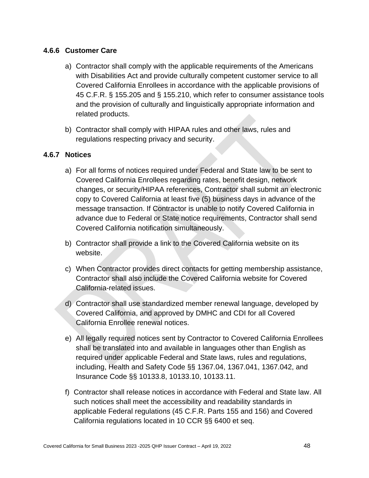## **4.6.6 Customer Care**

- a) Contractor shall comply with the applicable requirements of the Americans with Disabilities Act and provide culturally competent customer service to all Covered California Enrollees in accordance with the applicable provisions of 45 C.F.R. § 155.205 and § 155.210, which refer to consumer assistance tools and the provision of culturally and linguistically appropriate information and related products.
- b) Contractor shall comply with HIPAA rules and other laws, rules and regulations respecting privacy and security.

## **4.6.7 Notices**

- a) For all forms of notices required under Federal and State law to be sent to Covered California Enrollees regarding rates, benefit design, network changes, or security/HIPAA references, Contractor shall submit an electronic copy to Covered California at least five (5) business days in advance of the message transaction. If Contractor is unable to notify Covered California in advance due to Federal or State notice requirements, Contractor shall send Covered California notification simultaneously.
- b) Contractor shall provide a link to the Covered California website on its website.
- c) When Contractor provides direct contacts for getting membership assistance, Contractor shall also include the Covered California website for Covered California-related issues.
- d) Contractor shall use standardized member renewal language, developed by Covered California, and approved by DMHC and CDI for all Covered California Enrollee renewal notices.
- e) All legally required notices sent by Contractor to Covered California Enrollees shall be translated into and available in languages other than English as required under applicable Federal and State laws, rules and regulations, including, Health and Safety Code §§ 1367.04, 1367.041, 1367.042, and Insurance Code §§ 10133.8, 10133.10, 10133.11.
- f) Contractor shall release notices in accordance with Federal and State law. All such notices shall meet the accessibility and readability standards in applicable Federal regulations (45 C.F.R. Parts 155 and 156) and Covered California regulations located in 10 CCR §§ 6400 et seq.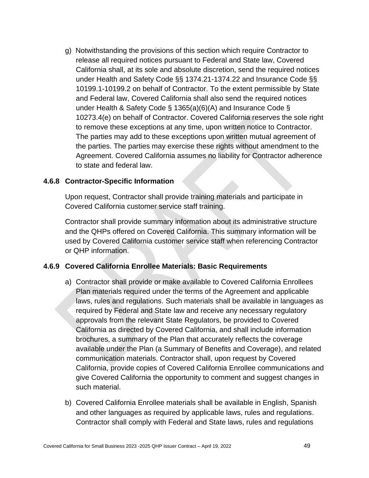g) Notwithstanding the provisions of this section which require Contractor to release all required notices pursuant to Federal and State law, Covered California shall, at its sole and absolute discretion, send the required notices under Health and Safety Code §§ 1374.21-1374.22 and Insurance Code §§ 10199.1-10199.2 on behalf of Contractor. To the extent permissible by State and Federal law, Covered California shall also send the required notices under Health & Safety Code § 1365(a)(6)(A) and Insurance Code § 10273.4(e) on behalf of Contractor. Covered California reserves the sole right to remove these exceptions at any time, upon written notice to Contractor. The parties may add to these exceptions upon written mutual agreement of the parties. The parties may exercise these rights without amendment to the Agreement. Covered California assumes no liability for Contractor adherence to state and federal law.

#### **4.6.8 Contractor-Specific Information**

Upon request, Contractor shall provide training materials and participate in Covered California customer service staff training.

Contractor shall provide summary information about its administrative structure and the QHPs offered on Covered California. This summary information will be used by Covered California customer service staff when referencing Contractor or QHP information.

#### **4.6.9 Covered California Enrollee Materials: Basic Requirements**

- a) Contractor shall provide or make available to Covered California Enrollees Plan materials required under the terms of the Agreement and applicable laws, rules and regulations. Such materials shall be available in languages as required by Federal and State law and receive any necessary regulatory approvals from the relevant State Regulators, be provided to Covered California as directed by Covered California, and shall include information brochures, a summary of the Plan that accurately reflects the coverage available under the Plan (a Summary of Benefits and Coverage), and related communication materials. Contractor shall, upon request by Covered California, provide copies of Covered California Enrollee communications and give Covered California the opportunity to comment and suggest changes in such material.
- b) Covered California Enrollee materials shall be available in English, Spanish and other languages as required by applicable laws, rules and regulations. Contractor shall comply with Federal and State laws, rules and regulations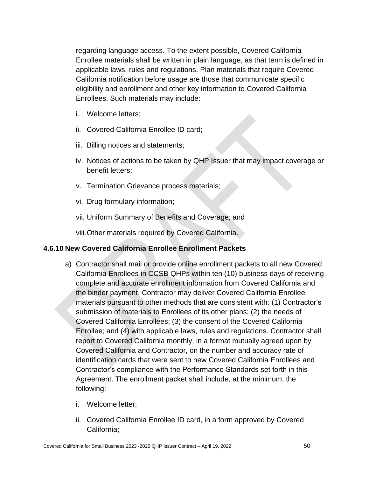regarding language access. To the extent possible, Covered California Enrollee materials shall be written in plain language, as that term is defined in applicable laws, rules and regulations. Plan materials that require Covered California notification before usage are those that communicate specific eligibility and enrollment and other key information to Covered California Enrollees. Such materials may include:

- i. Welcome letters;
- ii. Covered California Enrollee ID card;
- iii. Billing notices and statements;
- iv. Notices of actions to be taken by QHP Issuer that may impact coverage or benefit letters;
- v. Termination Grievance process materials;
- vi. Drug formulary information;
- vii. Uniform Summary of Benefits and Coverage; and

viii.Other materials required by Covered California.

## **4.6.10 New Covered California Enrollee Enrollment Packets**

- a) Contractor shall mail or provide online enrollment packets to all new Covered California Enrollees in CCSB QHPs within ten (10) business days of receiving complete and accurate enrollment information from Covered California and the binder payment. Contractor may deliver Covered California Enrollee materials pursuant to other methods that are consistent with: (1) Contractor's submission of materials to Enrollees of its other plans; (2) the needs of Covered California Enrollees; (3) the consent of the Covered California Enrollee; and (4) with applicable laws, rules and regulations. Contractor shall report to Covered California monthly, in a format mutually agreed upon by Covered California and Contractor, on the number and accuracy rate of identification cards that were sent to new Covered California Enrollees and Contractor's compliance with the Performance Standards set forth in this Agreement. The enrollment packet shall include, at the minimum, the following:
	- i. Welcome letter;
	- ii. Covered California Enrollee ID card, in a form approved by Covered California;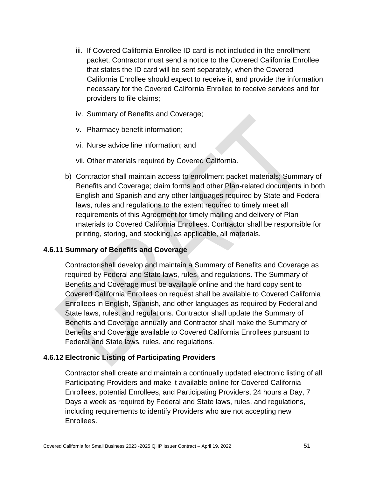- iii. If Covered California Enrollee ID card is not included in the enrollment packet, Contractor must send a notice to the Covered California Enrollee that states the ID card will be sent separately, when the Covered California Enrollee should expect to receive it, and provide the information necessary for the Covered California Enrollee to receive services and for providers to file claims;
- iv. Summary of Benefits and Coverage;
- v. Pharmacy benefit information;
- vi. Nurse advice line information; and
- vii. Other materials required by Covered California.
- b) Contractor shall maintain access to enrollment packet materials; Summary of Benefits and Coverage; claim forms and other Plan-related documents in both English and Spanish and any other languages required by State and Federal laws, rules and regulations to the extent required to timely meet all requirements of this Agreement for timely mailing and delivery of Plan materials to Covered California Enrollees. Contractor shall be responsible for printing, storing, and stocking, as applicable, all materials.

## **4.6.11 Summary of Benefits and Coverage**

Contractor shall develop and maintain a Summary of Benefits and Coverage as required by Federal and State laws, rules, and regulations. The Summary of Benefits and Coverage must be available online and the hard copy sent to Covered California Enrollees on request shall be available to Covered California Enrollees in English, Spanish, and other languages as required by Federal and State laws, rules, and regulations. Contractor shall update the Summary of Benefits and Coverage annually and Contractor shall make the Summary of Benefits and Coverage available to Covered California Enrollees pursuant to Federal and State laws, rules, and regulations.

#### **4.6.12 Electronic Listing of Participating Providers**

Contractor shall create and maintain a continually updated electronic listing of all Participating Providers and make it available online for Covered California Enrollees, potential Enrollees, and Participating Providers, 24 hours a Day, 7 Days a week as required by Federal and State laws, rules, and regulations, including requirements to identify Providers who are not accepting new Enrollees.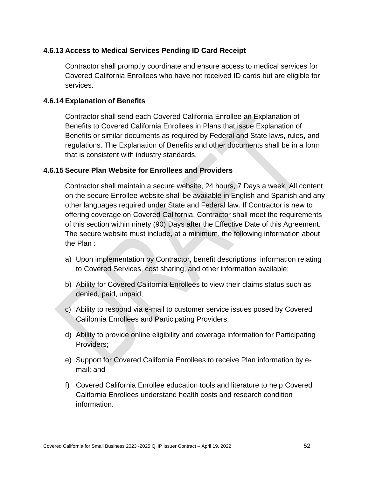## **4.6.13 Access to Medical Services Pending ID Card Receipt**

Contractor shall promptly coordinate and ensure access to medical services for Covered California Enrollees who have not received ID cards but are eligible for services.

#### **4.6.14 Explanation of Benefits**

Contractor shall send each Covered California Enrollee an Explanation of Benefits to Covered California Enrollees in Plans that issue Explanation of Benefits or similar documents as required by Federal and State laws, rules, and regulations. The Explanation of Benefits and other documents shall be in a form that is consistent with industry standards.

#### **4.6.15 Secure Plan Website for Enrollees and Providers**

Contractor shall maintain a secure website, 24 hours, 7 Days a week. All content on the secure Enrollee website shall be available in English and Spanish and any other languages required under State and Federal law. If Contractor is new to offering coverage on Covered California, Contractor shall meet the requirements of this section within ninety (90) Days after the Effective Date of this Agreement. The secure website must include, at a minimum, the following information about the Plan :

- a) Upon implementation by Contractor, benefit descriptions, information relating to Covered Services, cost sharing, and other information available;
- b) Ability for Covered California Enrollees to view their claims status such as denied, paid, unpaid;
- c) Ability to respond via e-mail to customer service issues posed by Covered California Enrollees and Participating Providers;
- d) Ability to provide online eligibility and coverage information for Participating Providers;
- e) Support for Covered California Enrollees to receive Plan information by email; and
- f) Covered California Enrollee education tools and literature to help Covered California Enrollees understand health costs and research condition information.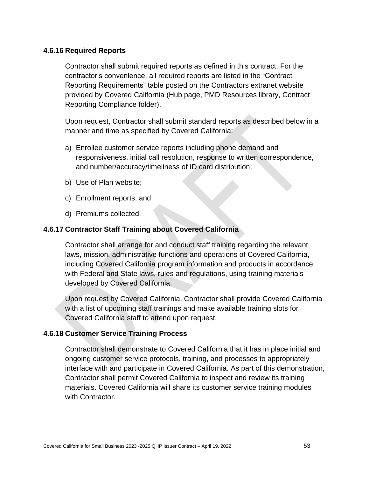#### **4.6.16 Required Reports**

Contractor shall submit required reports as defined in this contract. For the contractor's convenience, all required reports are listed in the "Contract Reporting Requirements" table posted on the Contractors extranet website provided by Covered California (Hub page, PMD Resources library, Contract Reporting Compliance folder).

Upon request, Contractor shall submit standard reports as described below in a manner and time as specified by Covered California:

- a) Enrollee customer service reports including phone demand and responsiveness, initial call resolution, response to written correspondence, and number/accuracy/timeliness of ID card distribution;
- b) Use of Plan website;
- c) Enrollment reports; and
- d) Premiums collected.

#### **4.6.17 Contractor Staff Training about Covered California**

Contractor shall arrange for and conduct staff training regarding the relevant laws, mission, administrative functions and operations of Covered California, including Covered California program information and products in accordance with Federal and State laws, rules and regulations, using training materials developed by Covered California.

Upon request by Covered California, Contractor shall provide Covered California with a list of upcoming staff trainings and make available training slots for Covered California staff to attend upon request.

#### **4.6.18 Customer Service Training Process**

Contractor shall demonstrate to Covered California that it has in place initial and ongoing customer service protocols, training, and processes to appropriately interface with and participate in Covered California. As part of this demonstration, Contractor shall permit Covered California to inspect and review its training materials. Covered California will share its customer service training modules with Contractor.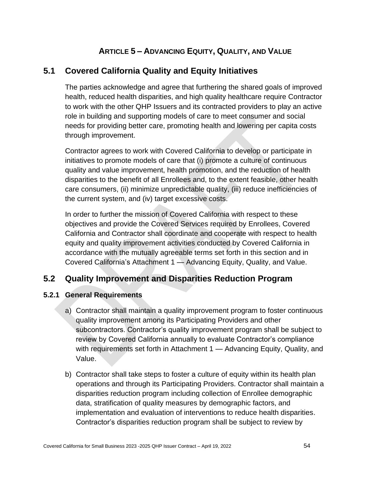# **ARTICLE 5 – ADVANCING EQUITY, QUALITY, AND VALUE**

# **5.1 Covered California Quality and Equity Initiatives**

The parties acknowledge and agree that furthering the shared goals of improved health, reduced health disparities, and high quality healthcare require Contractor to work with the other QHP Issuers and its contracted providers to play an active role in building and supporting models of care to meet consumer and social needs for providing better care, promoting health and lowering per capita costs through improvement.

Contractor agrees to work with Covered California to develop or participate in initiatives to promote models of care that (i) promote a culture of continuous quality and value improvement, health promotion, and the reduction of health disparities to the benefit of all Enrollees and, to the extent feasible, other health care consumers, (ii) minimize unpredictable quality, (iii) reduce inefficiencies of the current system, and (iv) target excessive costs.

In order to further the mission of Covered California with respect to these objectives and provide the Covered Services required by Enrollees, Covered California and Contractor shall coordinate and cooperate with respect to health equity and quality improvement activities conducted by Covered California in accordance with the mutually agreeable terms set forth in this section and in Covered California's Attachment 1 — Advancing Equity, Quality, and Value.

## **5.2 Quality Improvement and Disparities Reduction Program**

## **5.2.1 General Requirements**

- a) Contractor shall maintain a quality improvement program to foster continuous quality improvement among its Participating Providers and other subcontractors. Contractor's quality improvement program shall be subject to review by Covered California annually to evaluate Contractor's compliance with requirements set forth in Attachment 1 — Advancing Equity, Quality, and Value.
- b) Contractor shall take steps to foster a culture of equity within its health plan operations and through its Participating Providers. Contractor shall maintain a disparities reduction program including collection of Enrollee demographic data, stratification of quality measures by demographic factors, and implementation and evaluation of interventions to reduce health disparities. Contractor's disparities reduction program shall be subject to review by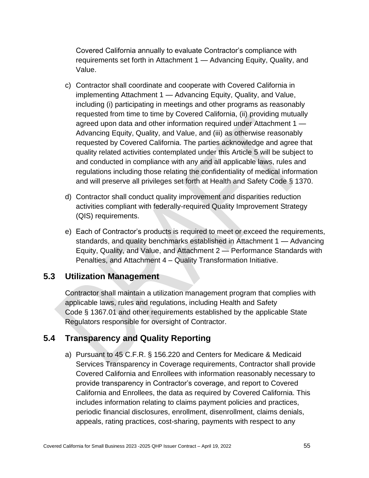Covered California annually to evaluate Contractor's compliance with requirements set forth in Attachment 1 — Advancing Equity, Quality, and Value.

- c) Contractor shall coordinate and cooperate with Covered California in implementing Attachment 1 — Advancing Equity, Quality, and Value, including (i) participating in meetings and other programs as reasonably requested from time to time by Covered California, (ii) providing mutually agreed upon data and other information required under Attachment 1 — Advancing Equity, Quality, and Value, and (iii) as otherwise reasonably requested by Covered California. The parties acknowledge and agree that quality related activities contemplated under this Article 5 will be subject to and conducted in compliance with any and all applicable laws, rules and regulations including those relating the confidentiality of medical information and will preserve all privileges set forth at Health and Safety Code § 1370.
- d) Contractor shall conduct quality improvement and disparities reduction activities compliant with federally-required Quality Improvement Strategy (QIS) requirements.
- e) Each of Contractor's products is required to meet or exceed the requirements, standards, and quality benchmarks established in Attachment 1 — Advancing Equity, Quality, and Value, and Attachment 2 — Performance Standards with Penalties, and Attachment 4 – Quality Transformation Initiative.

# **5.3 Utilization Management**

Contractor shall maintain a utilization management program that complies with applicable laws, rules and regulations, including Health and Safety Code § 1367.01 and other requirements established by the applicable State Regulators responsible for oversight of Contractor.

# **5.4 Transparency and Quality Reporting**

a) Pursuant to 45 C.F.R. § 156.220 and Centers for Medicare & Medicaid Services Transparency in Coverage requirements, Contractor shall provide Covered California and Enrollees with information reasonably necessary to provide transparency in Contractor's coverage, and report to Covered California and Enrollees, the data as required by Covered California. This includes information relating to claims payment policies and practices, periodic financial disclosures, enrollment, disenrollment, claims denials, appeals, rating practices, cost-sharing, payments with respect to any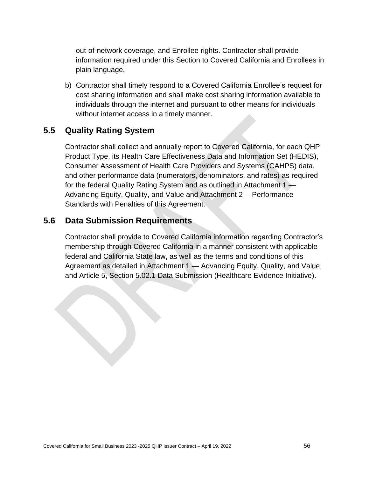out-of-network coverage, and Enrollee rights. Contractor shall provide information required under this Section to Covered California and Enrollees in plain language.

b) Contractor shall timely respond to a Covered California Enrollee's request for cost sharing information and shall make cost sharing information available to individuals through the internet and pursuant to other means for individuals without internet access in a timely manner.

# **5.5 Quality Rating System**

Contractor shall collect and annually report to Covered California, for each QHP Product Type, its Health Care Effectiveness Data and Information Set (HEDIS), Consumer Assessment of Health Care Providers and Systems (CAHPS) data, and other performance data (numerators, denominators, and rates) as required for the federal Quality Rating System and as outlined in Attachment 1  $\rightarrow$ Advancing Equity, Quality, and Value and Attachment 2— Performance Standards with Penalties of this Agreement.

## **5.6 Data Submission Requirements**

Contractor shall provide to Covered California information regarding Contractor's membership through Covered California in a manner consistent with applicable federal and California State law, as well as the terms and conditions of this Agreement as detailed in Attachment 1 — Advancing Equity, Quality, and Value and Article 5, Section 5.02.1 Data Submission (Healthcare Evidence Initiative).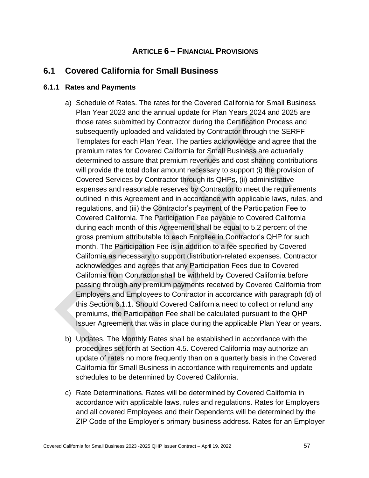## **ARTICLE 6 – FINANCIAL PROVISIONS**

## **6.1 Covered California for Small Business**

#### **6.1.1 Rates and Payments**

- a) Schedule of Rates. The rates for the Covered California for Small Business Plan Year 2023 and the annual update for Plan Years 2024 and 2025 are those rates submitted by Contractor during the Certification Process and subsequently uploaded and validated by Contractor through the SERFF Templates for each Plan Year. The parties acknowledge and agree that the premium rates for Covered California for Small Business are actuarially determined to assure that premium revenues and cost sharing contributions will provide the total dollar amount necessary to support (i) the provision of Covered Services by Contractor through its QHPs, (ii) administrative expenses and reasonable reserves by Contractor to meet the requirements outlined in this Agreement and in accordance with applicable laws, rules, and regulations, and (iii) the Contractor's payment of the Participation Fee to Covered California. The Participation Fee payable to Covered California during each month of this Agreement shall be equal to 5.2 percent of the gross premium attributable to each Enrollee in Contractor's QHP for such month. The Participation Fee is in addition to a fee specified by Covered California as necessary to support distribution-related expenses. Contractor acknowledges and agrees that any Participation Fees due to Covered California from Contractor shall be withheld by Covered California before passing through any premium payments received by Covered California from Employers and Employees to Contractor in accordance with paragraph (d) of this Section 6.1.1. Should Covered California need to collect or refund any premiums, the Participation Fee shall be calculated pursuant to the QHP Issuer Agreement that was in place during the applicable Plan Year or years.
- b) Updates. The Monthly Rates shall be established in accordance with the procedures set forth at Section 4.5. Covered California may authorize an update of rates no more frequently than on a quarterly basis in the Covered California for Small Business in accordance with requirements and update schedules to be determined by Covered California.
- c) Rate Determinations. Rates will be determined by Covered California in accordance with applicable laws, rules and regulations. Rates for Employers and all covered Employees and their Dependents will be determined by the ZIP Code of the Employer's primary business address. Rates for an Employer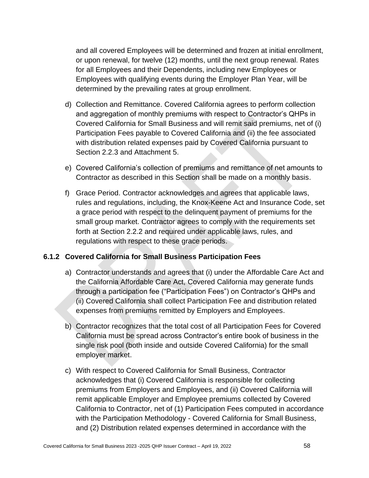and all covered Employees will be determined and frozen at initial enrollment, or upon renewal, for twelve (12) months, until the next group renewal. Rates for all Employees and their Dependents, including new Employees or Employees with qualifying events during the Employer Plan Year, will be determined by the prevailing rates at group enrollment.

- d) Collection and Remittance. Covered California agrees to perform collection and aggregation of monthly premiums with respect to Contractor's QHPs in Covered California for Small Business and will remit said premiums, net of (i) Participation Fees payable to Covered California and (ii) the fee associated with distribution related expenses paid by Covered California pursuant to Section 2.2.3 and Attachment 5.
- e) Covered California's collection of premiums and remittance of net amounts to Contractor as described in this Section shall be made on a monthly basis.
- f) Grace Period. Contractor acknowledges and agrees that applicable laws, rules and regulations, including, the Knox-Keene Act and Insurance Code, set a grace period with respect to the delinquent payment of premiums for the small group market. Contractor agrees to comply with the requirements set forth at Section 2.2.2 and required under applicable laws, rules, and regulations with respect to these grace periods.

## **6.1.2 Covered California for Small Business Participation Fees**

- a) Contractor understands and agrees that (i) under the Affordable Care Act and the California Affordable Care Act, Covered California may generate funds through a participation fee ("Participation Fees") on Contractor's QHPs and (ii) Covered California shall collect Participation Fee and distribution related expenses from premiums remitted by Employers and Employees.
- b) Contractor recognizes that the total cost of all Participation Fees for Covered California must be spread across Contractor's entire book of business in the single risk pool (both inside and outside Covered California) for the small employer market.
- c) With respect to Covered California for Small Business, Contractor acknowledges that (i) Covered California is responsible for collecting premiums from Employers and Employees, and (ii) Covered California will remit applicable Employer and Employee premiums collected by Covered California to Contractor, net of (1) Participation Fees computed in accordance with the Participation Methodology - Covered California for Small Business, and (2) Distribution related expenses determined in accordance with the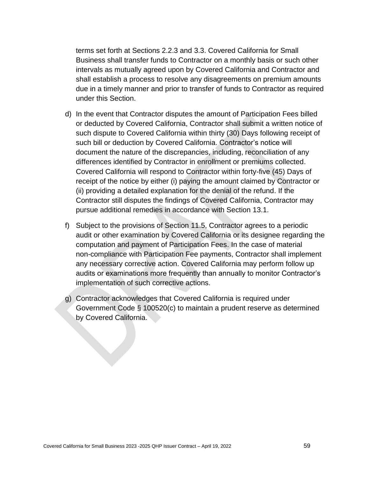terms set forth at Sections 2.2.3 and 3.3. Covered California for Small Business shall transfer funds to Contractor on a monthly basis or such other intervals as mutually agreed upon by Covered California and Contractor and shall establish a process to resolve any disagreements on premium amounts due in a timely manner and prior to transfer of funds to Contractor as required under this Section.

- d) In the event that Contractor disputes the amount of Participation Fees billed or deducted by Covered California, Contractor shall submit a written notice of such dispute to Covered California within thirty (30) Days following receipt of such bill or deduction by Covered California. Contractor's notice will document the nature of the discrepancies, including, reconciliation of any differences identified by Contractor in enrollment or premiums collected. Covered California will respond to Contractor within forty-five (45) Days of receipt of the notice by either (i) paying the amount claimed by Contractor or (ii) providing a detailed explanation for the denial of the refund. If the Contractor still disputes the findings of Covered California, Contractor may pursue additional remedies in accordance with Section 13.1.
- f) Subject to the provisions of Section 11.5, Contractor agrees to a periodic audit or other examination by Covered California or its designee regarding the computation and payment of Participation Fees. In the case of material non-compliance with Participation Fee payments, Contractor shall implement any necessary corrective action. Covered California may perform follow up audits or examinations more frequently than annually to monitor Contractor's implementation of such corrective actions.
- g) Contractor acknowledges that Covered California is required under Government Code § 100520(c) to maintain a prudent reserve as determined by Covered California.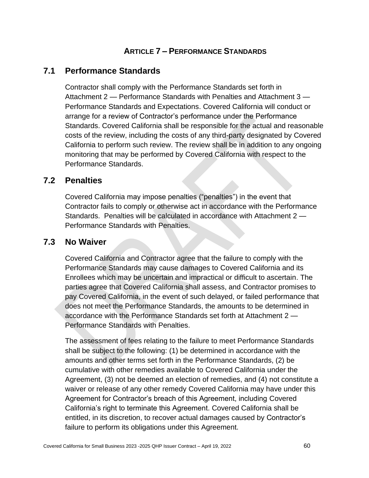# **ARTICLE 7 – PERFORMANCE STANDARDS**

## **7.1 Performance Standards**

Contractor shall comply with the Performance Standards set forth in Attachment 2 — Performance Standards with Penalties and Attachment 3 — Performance Standards and Expectations. Covered California will conduct or arrange for a review of Contractor's performance under the Performance Standards. Covered California shall be responsible for the actual and reasonable costs of the review, including the costs of any third-party designated by Covered California to perform such review. The review shall be in addition to any ongoing monitoring that may be performed by Covered California with respect to the Performance Standards.

## **7.2 Penalties**

Covered California may impose penalties ("penalties") in the event that Contractor fails to comply or otherwise act in accordance with the Performance Standards. Penalties will be calculated in accordance with Attachment 2 — Performance Standards with Penalties.

## **7.3 No Waiver**

Covered California and Contractor agree that the failure to comply with the Performance Standards may cause damages to Covered California and its Enrollees which may be uncertain and impractical or difficult to ascertain. The parties agree that Covered California shall assess, and Contractor promises to pay Covered California, in the event of such delayed, or failed performance that does not meet the Performance Standards, the amounts to be determined in accordance with the Performance Standards set forth at Attachment 2 — Performance Standards with Penalties.

The assessment of fees relating to the failure to meet Performance Standards shall be subject to the following: (1) be determined in accordance with the amounts and other terms set forth in the Performance Standards, (2) be cumulative with other remedies available to Covered California under the Agreement, (3) not be deemed an election of remedies, and (4) not constitute a waiver or release of any other remedy Covered California may have under this Agreement for Contractor's breach of this Agreement, including Covered California's right to terminate this Agreement. Covered California shall be entitled, in its discretion, to recover actual damages caused by Contractor's failure to perform its obligations under this Agreement.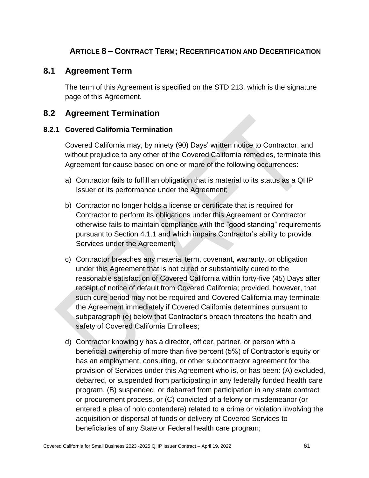# **ARTICLE 8 – CONTRACT TERM; RECERTIFICATION AND DECERTIFICATION**

## **8.1 Agreement Term**

The term of this Agreement is specified on the STD 213, which is the signature page of this Agreement.

## **8.2 Agreement Termination**

#### **8.2.1 Covered California Termination**

Covered California may, by ninety (90) Days' written notice to Contractor, and without prejudice to any other of the Covered California remedies, terminate this Agreement for cause based on one or more of the following occurrences:

- a) Contractor fails to fulfill an obligation that is material to its status as a QHP Issuer or its performance under the Agreement;
- b) Contractor no longer holds a license or certificate that is required for Contractor to perform its obligations under this Agreement or Contractor otherwise fails to maintain compliance with the "good standing" requirements pursuant to Section 4.1.1 and which impairs Contractor's ability to provide Services under the Agreement;
- c) Contractor breaches any material term, covenant, warranty, or obligation under this Agreement that is not cured or substantially cured to the reasonable satisfaction of Covered California within forty-five (45) Days after receipt of notice of default from Covered California; provided, however, that such cure period may not be required and Covered California may terminate the Agreement immediately if Covered California determines pursuant to subparagraph (e) below that Contractor's breach threatens the health and safety of Covered California Enrollees;
- d) Contractor knowingly has a director, officer, partner, or person with a beneficial ownership of more than five percent (5%) of Contractor's equity or has an employment, consulting, or other subcontractor agreement for the provision of Services under this Agreement who is, or has been: (A) excluded, debarred, or suspended from participating in any federally funded health care program, (B) suspended, or debarred from participation in any state contract or procurement process, or (C) convicted of a felony or misdemeanor (or entered a plea of nolo contendere) related to a crime or violation involving the acquisition or dispersal of funds or delivery of Covered Services to beneficiaries of any State or Federal health care program;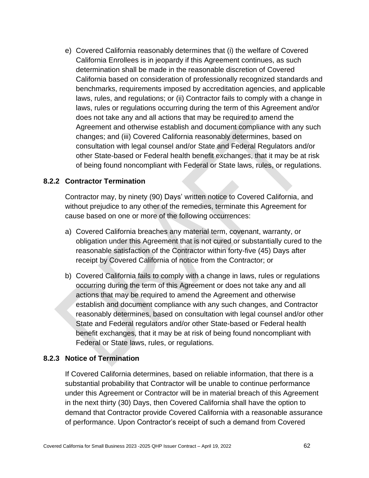e) Covered California reasonably determines that (i) the welfare of Covered California Enrollees is in jeopardy if this Agreement continues, as such determination shall be made in the reasonable discretion of Covered California based on consideration of professionally recognized standards and benchmarks, requirements imposed by accreditation agencies, and applicable laws, rules, and regulations; or (ii) Contractor fails to comply with a change in laws, rules or regulations occurring during the term of this Agreement and/or does not take any and all actions that may be required to amend the Agreement and otherwise establish and document compliance with any such changes; and (iii) Covered California reasonably determines, based on consultation with legal counsel and/or State and Federal Regulators and/or other State-based or Federal health benefit exchanges, that it may be at risk of being found noncompliant with Federal or State laws, rules, or regulations.

## **8.2.2 Contractor Termination**

Contractor may, by ninety (90) Days' written notice to Covered California, and without prejudice to any other of the remedies, terminate this Agreement for cause based on one or more of the following occurrences:

- a) Covered California breaches any material term, covenant, warranty, or obligation under this Agreement that is not cured or substantially cured to the reasonable satisfaction of the Contractor within forty-five (45) Days after receipt by Covered California of notice from the Contractor; or
- b) Covered California fails to comply with a change in laws, rules or regulations occurring during the term of this Agreement or does not take any and all actions that may be required to amend the Agreement and otherwise establish and document compliance with any such changes, and Contractor reasonably determines, based on consultation with legal counsel and/or other State and Federal regulators and/or other State-based or Federal health benefit exchanges, that it may be at risk of being found noncompliant with Federal or State laws, rules, or regulations.

#### **8.2.3 Notice of Termination**

If Covered California determines, based on reliable information, that there is a substantial probability that Contractor will be unable to continue performance under this Agreement or Contractor will be in material breach of this Agreement in the next thirty (30) Days, then Covered California shall have the option to demand that Contractor provide Covered California with a reasonable assurance of performance. Upon Contractor's receipt of such a demand from Covered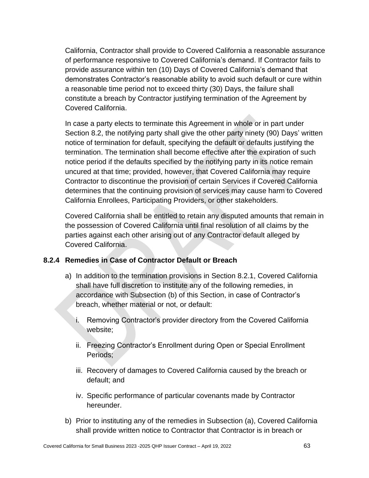California, Contractor shall provide to Covered California a reasonable assurance of performance responsive to Covered California's demand. If Contractor fails to provide assurance within ten (10) Days of Covered California's demand that demonstrates Contractor's reasonable ability to avoid such default or cure within a reasonable time period not to exceed thirty (30) Days, the failure shall constitute a breach by Contractor justifying termination of the Agreement by Covered California.

In case a party elects to terminate this Agreement in whole or in part under Section 8.2, the notifying party shall give the other party ninety (90) Days' written notice of termination for default, specifying the default or defaults justifying the termination. The termination shall become effective after the expiration of such notice period if the defaults specified by the notifying party in its notice remain uncured at that time; provided, however, that Covered California may require Contractor to discontinue the provision of certain Services if Covered California determines that the continuing provision of services may cause harm to Covered California Enrollees, Participating Providers, or other stakeholders.

Covered California shall be entitled to retain any disputed amounts that remain in the possession of Covered California until final resolution of all claims by the parties against each other arising out of any Contractor default alleged by Covered California.

## **8.2.4 Remedies in Case of Contractor Default or Breach**

- a) In addition to the termination provisions in Section 8.2.1, Covered California shall have full discretion to institute any of the following remedies, in accordance with Subsection (b) of this Section, in case of Contractor's breach, whether material or not, or default:
	- i. Removing Contractor's provider directory from the Covered California website;
	- ii. Freezing Contractor's Enrollment during Open or Special Enrollment Periods;
	- iii. Recovery of damages to Covered California caused by the breach or default; and
	- iv. Specific performance of particular covenants made by Contractor hereunder.
- b) Prior to instituting any of the remedies in Subsection (a), Covered California shall provide written notice to Contractor that Contractor is in breach or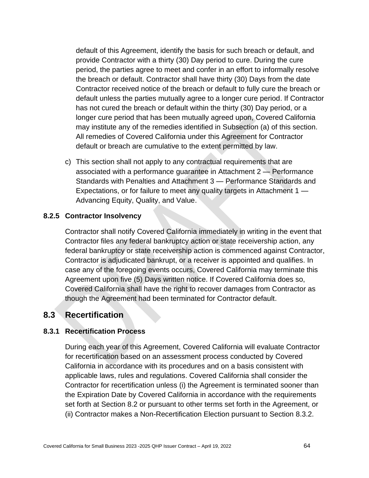default of this Agreement, identify the basis for such breach or default, and provide Contractor with a thirty (30) Day period to cure. During the cure period, the parties agree to meet and confer in an effort to informally resolve the breach or default. Contractor shall have thirty (30) Days from the date Contractor received notice of the breach or default to fully cure the breach or default unless the parties mutually agree to a longer cure period. If Contractor has not cured the breach or default within the thirty (30) Day period, or a longer cure period that has been mutually agreed upon, Covered California may institute any of the remedies identified in Subsection (a) of this section. All remedies of Covered California under this Agreement for Contractor default or breach are cumulative to the extent permitted by law.

c) This section shall not apply to any contractual requirements that are associated with a performance guarantee in Attachment 2 — Performance Standards with Penalties and Attachment 3 — Performance Standards and Expectations, or for failure to meet any quality targets in Attachment 1 — Advancing Equity, Quality, and Value.

#### **8.2.5 Contractor Insolvency**

Contractor shall notify Covered California immediately in writing in the event that Contractor files any federal bankruptcy action or state receivership action, any federal bankruptcy or state receivership action is commenced against Contractor, Contractor is adjudicated bankrupt, or a receiver is appointed and qualifies. In case any of the foregoing events occurs, Covered California may terminate this Agreement upon five (5) Days written notice. If Covered California does so, Covered California shall have the right to recover damages from Contractor as though the Agreement had been terminated for Contractor default.

## **8.3 Recertification**

#### **8.3.1 Recertification Process**

During each year of this Agreement, Covered California will evaluate Contractor for recertification based on an assessment process conducted by Covered California in accordance with its procedures and on a basis consistent with applicable laws, rules and regulations. Covered California shall consider the Contractor for recertification unless (i) the Agreement is terminated sooner than the Expiration Date by Covered California in accordance with the requirements set forth at Section 8.2 or pursuant to other terms set forth in the Agreement, or (ii) Contractor makes a Non-Recertification Election pursuant to Section 8.3.2.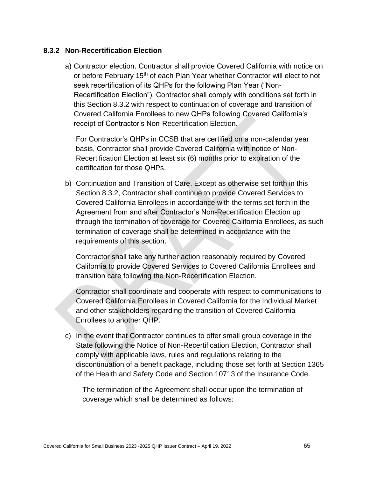#### **8.3.2 Non-Recertification Election**

a) Contractor election. Contractor shall provide Covered California with notice on or before February 15<sup>th</sup> of each Plan Year whether Contractor will elect to not seek recertification of its QHPs for the following Plan Year ("Non-Recertification Election"). Contractor shall comply with conditions set forth in this Section 8.3.2 with respect to continuation of coverage and transition of Covered California Enrollees to new QHPs following Covered California's receipt of Contractor's Non-Recertification Election.

For Contractor's QHPs in CCSB that are certified on a non-calendar year basis, Contractor shall provide Covered California with notice of Non-Recertification Election at least six (6) months prior to expiration of the certification for those QHPs.

b) Continuation and Transition of Care. Except as otherwise set forth in this Section 8.3.2, Contractor shall continue to provide Covered Services to Covered California Enrollees in accordance with the terms set forth in the Agreement from and after Contractor's Non-Recertification Election up through the termination of coverage for Covered California Enrollees, as such termination of coverage shall be determined in accordance with the requirements of this section.

Contractor shall take any further action reasonably required by Covered California to provide Covered Services to Covered California Enrollees and transition care following the Non-Recertification Election.

Contractor shall coordinate and cooperate with respect to communications to Covered California Enrollees in Covered California for the Individual Market and other stakeholders regarding the transition of Covered California Enrollees to another QHP.

c) In the event that Contractor continues to offer small group coverage in the State following the Notice of Non-Recertification Election, Contractor shall comply with applicable laws, rules and regulations relating to the discontinuation of a benefit package, including those set forth at Section 1365 of the Health and Safety Code and Section 10713 of the Insurance Code.

The termination of the Agreement shall occur upon the termination of coverage which shall be determined as follows: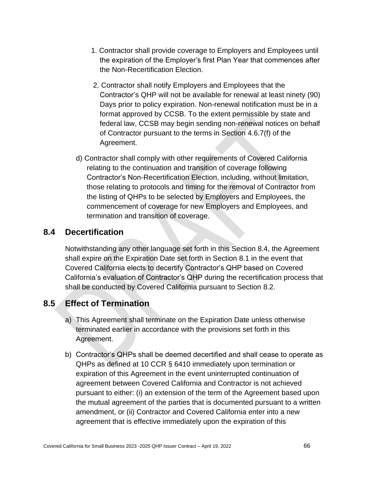- 1. Contractor shall provide coverage to Employers and Employees until the expiration of the Employer's first Plan Year that commences after the Non-Recertification Election.
- 2. Contractor shall notify Employers and Employees that the Contractor's QHP will not be available for renewal at least ninety (90) Days prior to policy expiration. Non-renewal notification must be in a format approved by CCSB. To the extent permissible by state and federal law, CCSB may begin sending non-renewal notices on behalf of Contractor pursuant to the terms in Section 4.6.7(f) of the Agreement.
- d) Contractor shall comply with other requirements of Covered California relating to the continuation and transition of coverage following Contractor's Non-Recertification Election, including, without limitation, those relating to protocols and timing for the removal of Contractor from the listing of QHPs to be selected by Employers and Employees, the commencement of coverage for new Employers and Employees, and termination and transition of coverage.

# **8.4 Decertification**

Notwithstanding any other language set forth in this Section 8.4, the Agreement shall expire on the Expiration Date set forth in Section 8.1 in the event that Covered California elects to decertify Contractor's QHP based on Covered California's evaluation of Contractor's QHP during the recertification process that shall be conducted by Covered California pursuant to Section 8.2.

# **8.5 Effect of Termination**

- a) This Agreement shall terminate on the Expiration Date unless otherwise terminated earlier in accordance with the provisions set forth in this Agreement.
- b) Contractor's QHPs shall be deemed decertified and shall cease to operate as QHPs as defined at 10 CCR § 6410 immediately upon termination or expiration of this Agreement in the event uninterrupted continuation of agreement between Covered California and Contractor is not achieved pursuant to either: (i) an extension of the term of the Agreement based upon the mutual agreement of the parties that is documented pursuant to a written amendment, or (ii) Contractor and Covered California enter into a new agreement that is effective immediately upon the expiration of this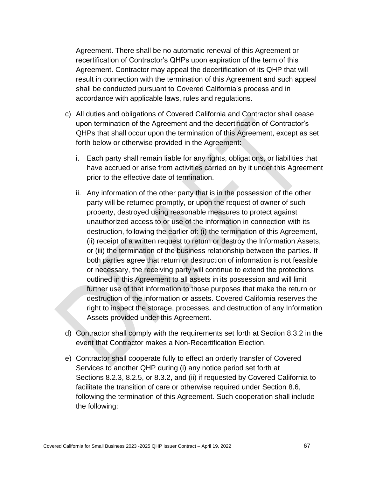Agreement. There shall be no automatic renewal of this Agreement or recertification of Contractor's QHPs upon expiration of the term of this Agreement. Contractor may appeal the decertification of its QHP that will result in connection with the termination of this Agreement and such appeal shall be conducted pursuant to Covered California's process and in accordance with applicable laws, rules and regulations.

- c) All duties and obligations of Covered California and Contractor shall cease upon termination of the Agreement and the decertification of Contractor's QHPs that shall occur upon the termination of this Agreement, except as set forth below or otherwise provided in the Agreement:
	- i. Each party shall remain liable for any rights, obligations, or liabilities that have accrued or arise from activities carried on by it under this Agreement prior to the effective date of termination.
	- ii. Any information of the other party that is in the possession of the other party will be returned promptly, or upon the request of owner of such property, destroyed using reasonable measures to protect against unauthorized access to or use of the information in connection with its destruction, following the earlier of: (i) the termination of this Agreement, (ii) receipt of a written request to return or destroy the Information Assets, or (iii) the termination of the business relationship between the parties. If both parties agree that return or destruction of information is not feasible or necessary, the receiving party will continue to extend the protections outlined in this Agreement to all assets in its possession and will limit further use of that information to those purposes that make the return or destruction of the information or assets. Covered California reserves the right to inspect the storage, processes, and destruction of any Information Assets provided under this Agreement.
- d) Contractor shall comply with the requirements set forth at Section 8.3.2 in the event that Contractor makes a Non-Recertification Election.
- e) Contractor shall cooperate fully to effect an orderly transfer of Covered Services to another QHP during (i) any notice period set forth at Sections 8.2.3, 8.2.5, or 8.3.2, and (ii) if requested by Covered California to facilitate the transition of care or otherwise required under Section 8.6, following the termination of this Agreement. Such cooperation shall include the following: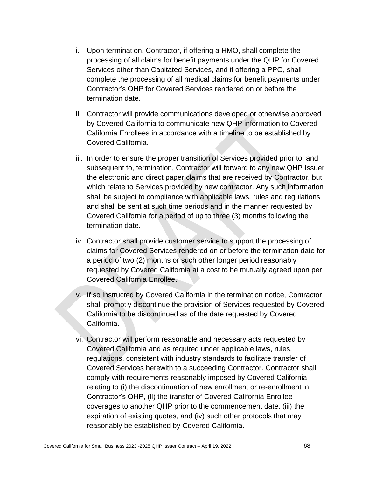- i. Upon termination, Contractor, if offering a HMO, shall complete the processing of all claims for benefit payments under the QHP for Covered Services other than Capitated Services, and if offering a PPO, shall complete the processing of all medical claims for benefit payments under Contractor's QHP for Covered Services rendered on or before the termination date.
- ii. Contractor will provide communications developed or otherwise approved by Covered California to communicate new QHP information to Covered California Enrollees in accordance with a timeline to be established by Covered California.
- iii. In order to ensure the proper transition of Services provided prior to, and subsequent to, termination, Contractor will forward to any new QHP Issuer the electronic and direct paper claims that are received by Contractor, but which relate to Services provided by new contractor. Any such information shall be subject to compliance with applicable laws, rules and regulations and shall be sent at such time periods and in the manner requested by Covered California for a period of up to three (3) months following the termination date.
- iv. Contractor shall provide customer service to support the processing of claims for Covered Services rendered on or before the termination date for a period of two (2) months or such other longer period reasonably requested by Covered California at a cost to be mutually agreed upon per Covered California Enrollee.
- v. If so instructed by Covered California in the termination notice, Contractor shall promptly discontinue the provision of Services requested by Covered California to be discontinued as of the date requested by Covered California.
- vi. Contractor will perform reasonable and necessary acts requested by Covered California and as required under applicable laws, rules, regulations, consistent with industry standards to facilitate transfer of Covered Services herewith to a succeeding Contractor. Contractor shall comply with requirements reasonably imposed by Covered California relating to (i) the discontinuation of new enrollment or re-enrollment in Contractor's QHP, (ii) the transfer of Covered California Enrollee coverages to another QHP prior to the commencement date, (iii) the expiration of existing quotes, and (iv) such other protocols that may reasonably be established by Covered California.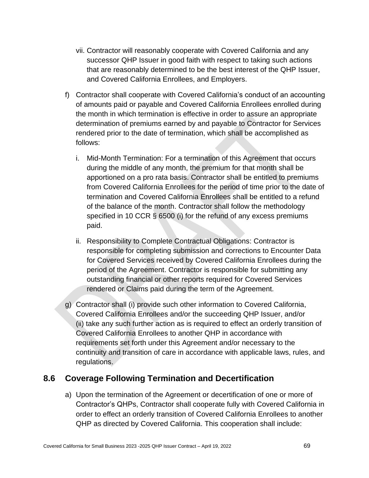- vii. Contractor will reasonably cooperate with Covered California and any successor QHP Issuer in good faith with respect to taking such actions that are reasonably determined to be the best interest of the QHP Issuer, and Covered California Enrollees, and Employers.
- f) Contractor shall cooperate with Covered California's conduct of an accounting of amounts paid or payable and Covered California Enrollees enrolled during the month in which termination is effective in order to assure an appropriate determination of premiums earned by and payable to Contractor for Services rendered prior to the date of termination, which shall be accomplished as follows:
	- i. Mid-Month Termination: For a termination of this Agreement that occurs during the middle of any month, the premium for that month shall be apportioned on a pro rata basis. Contractor shall be entitled to premiums from Covered California Enrollees for the period of time prior to the date of termination and Covered California Enrollees shall be entitled to a refund of the balance of the month. Contractor shall follow the methodology specified in 10 CCR § 6500 (i) for the refund of any excess premiums paid.
	- ii. Responsibility to Complete Contractual Obligations: Contractor is responsible for completing submission and corrections to Encounter Data for Covered Services received by Covered California Enrollees during the period of the Agreement. Contractor is responsible for submitting any outstanding financial or other reports required for Covered Services rendered or Claims paid during the term of the Agreement.
- g) Contractor shall (i) provide such other information to Covered California, Covered California Enrollees and/or the succeeding QHP Issuer, and/or (ii) take any such further action as is required to effect an orderly transition of Covered California Enrollees to another QHP in accordance with requirements set forth under this Agreement and/or necessary to the continuity and transition of care in accordance with applicable laws, rules, and regulations.

# **8.6 Coverage Following Termination and Decertification**

a) Upon the termination of the Agreement or decertification of one or more of Contractor's QHPs, Contractor shall cooperate fully with Covered California in order to effect an orderly transition of Covered California Enrollees to another QHP as directed by Covered California. This cooperation shall include: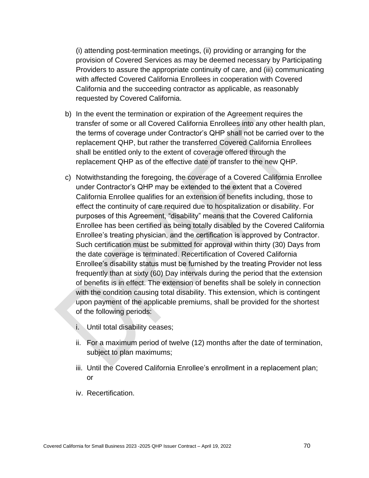(i) attending post-termination meetings, (ii) providing or arranging for the provision of Covered Services as may be deemed necessary by Participating Providers to assure the appropriate continuity of care, and (iii) communicating with affected Covered California Enrollees in cooperation with Covered California and the succeeding contractor as applicable, as reasonably requested by Covered California.

- b) In the event the termination or expiration of the Agreement requires the transfer of some or all Covered California Enrollees into any other health plan, the terms of coverage under Contractor's QHP shall not be carried over to the replacement QHP, but rather the transferred Covered California Enrollees shall be entitled only to the extent of coverage offered through the replacement QHP as of the effective date of transfer to the new QHP.
- c) Notwithstanding the foregoing, the coverage of a Covered California Enrollee under Contractor's QHP may be extended to the extent that a Covered California Enrollee qualifies for an extension of benefits including, those to effect the continuity of care required due to hospitalization or disability. For purposes of this Agreement, "disability" means that the Covered California Enrollee has been certified as being totally disabled by the Covered California Enrollee's treating physician, and the certification is approved by Contractor. Such certification must be submitted for approval within thirty (30) Days from the date coverage is terminated. Recertification of Covered California Enrollee's disability status must be furnished by the treating Provider not less frequently than at sixty (60) Day intervals during the period that the extension of benefits is in effect. The extension of benefits shall be solely in connection with the condition causing total disability. This extension, which is contingent upon payment of the applicable premiums, shall be provided for the shortest of the following periods:
	- i. Until total disability ceases;
	- ii. For a maximum period of twelve (12) months after the date of termination, subject to plan maximums;
	- iii. Until the Covered California Enrollee's enrollment in a replacement plan; or
	- iv. Recertification.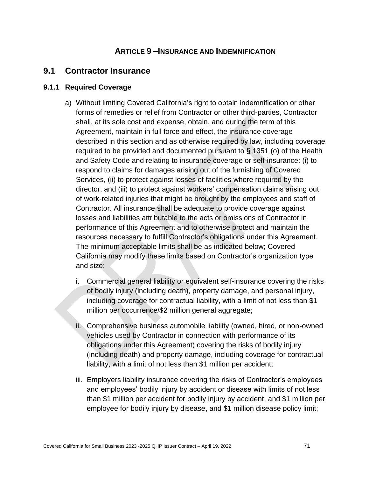### **ARTICLE 9 –INSURANCE AND INDEMNIFICATION**

#### **9.1 Contractor Insurance**

#### **9.1.1 Required Coverage**

- a) Without limiting Covered California's right to obtain indemnification or other forms of remedies or relief from Contractor or other third-parties, Contractor shall, at its sole cost and expense, obtain, and during the term of this Agreement, maintain in full force and effect, the insurance coverage described in this section and as otherwise required by law, including coverage required to be provided and documented pursuant to § 1351 (o) of the Health and Safety Code and relating to insurance coverage or self-insurance: (i) to respond to claims for damages arising out of the furnishing of Covered Services, (ii) to protect against losses of facilities where required by the director, and (iii) to protect against workers' compensation claims arising out of work-related injuries that might be brought by the employees and staff of Contractor. All insurance shall be adequate to provide coverage against losses and liabilities attributable to the acts or omissions of Contractor in performance of this Agreement and to otherwise protect and maintain the resources necessary to fulfill Contractor's obligations under this Agreement. The minimum acceptable limits shall be as indicated below; Covered California may modify these limits based on Contractor's organization type and size:
	- i. Commercial general liability or equivalent self-insurance covering the risks of bodily injury (including death), property damage, and personal injury, including coverage for contractual liability, with a limit of not less than \$1 million per occurrence/\$2 million general aggregate;
	- ii. Comprehensive business automobile liability (owned, hired, or non-owned vehicles used by Contractor in connection with performance of its obligations under this Agreement) covering the risks of bodily injury (including death) and property damage, including coverage for contractual liability, with a limit of not less than \$1 million per accident;
	- iii. Employers liability insurance covering the risks of Contractor's employees and employees' bodily injury by accident or disease with limits of not less than \$1 million per accident for bodily injury by accident, and \$1 million per employee for bodily injury by disease, and \$1 million disease policy limit;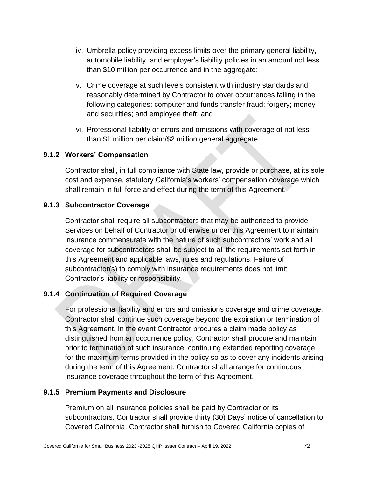- iv. Umbrella policy providing excess limits over the primary general liability, automobile liability, and employer's liability policies in an amount not less than \$10 million per occurrence and in the aggregate;
- v. Crime coverage at such levels consistent with industry standards and reasonably determined by Contractor to cover occurrences falling in the following categories: computer and funds transfer fraud; forgery; money and securities; and employee theft; and
- vi. Professional liability or errors and omissions with coverage of not less than \$1 million per claim/\$2 million general aggregate.

#### **9.1.2 Workers' Compensation**

Contractor shall, in full compliance with State law, provide or purchase, at its sole cost and expense, statutory California's workers' compensation coverage which shall remain in full force and effect during the term of this Agreement.

#### **9.1.3 Subcontractor Coverage**

Contractor shall require all subcontractors that may be authorized to provide Services on behalf of Contractor or otherwise under this Agreement to maintain insurance commensurate with the nature of such subcontractors' work and all coverage for subcontractors shall be subject to all the requirements set forth in this Agreement and applicable laws, rules and regulations. Failure of subcontractor(s) to comply with insurance requirements does not limit Contractor's liability or responsibility.

#### **9.1.4 Continuation of Required Coverage**

For professional liability and errors and omissions coverage and crime coverage, Contractor shall continue such coverage beyond the expiration or termination of this Agreement. In the event Contractor procures a claim made policy as distinguished from an occurrence policy, Contractor shall procure and maintain prior to termination of such insurance, continuing extended reporting coverage for the maximum terms provided in the policy so as to cover any incidents arising during the term of this Agreement. Contractor shall arrange for continuous insurance coverage throughout the term of this Agreement.

#### **9.1.5 Premium Payments and Disclosure**

Premium on all insurance policies shall be paid by Contractor or its subcontractors. Contractor shall provide thirty (30) Days' notice of cancellation to Covered California. Contractor shall furnish to Covered California copies of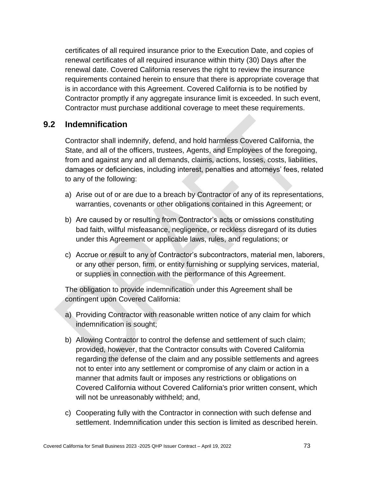certificates of all required insurance prior to the Execution Date, and copies of renewal certificates of all required insurance within thirty (30) Days after the renewal date. Covered California reserves the right to review the insurance requirements contained herein to ensure that there is appropriate coverage that is in accordance with this Agreement. Covered California is to be notified by Contractor promptly if any aggregate insurance limit is exceeded. In such event, Contractor must purchase additional coverage to meet these requirements.

#### **9.2 Indemnification**

Contractor shall indemnify, defend, and hold harmless Covered California, the State, and all of the officers, trustees, Agents, and Employees of the foregoing, from and against any and all demands, claims, actions, losses, costs, liabilities, damages or deficiencies, including interest, penalties and attorneys' fees, related to any of the following:

- a) Arise out of or are due to a breach by Contractor of any of its representations, warranties, covenants or other obligations contained in this Agreement; or
- b) Are caused by or resulting from Contractor's acts or omissions constituting bad faith, willful misfeasance, negligence, or reckless disregard of its duties under this Agreement or applicable laws, rules, and regulations; or
- c) Accrue or result to any of Contractor's subcontractors, material men, laborers, or any other person, firm, or entity furnishing or supplying services, material, or supplies in connection with the performance of this Agreement.

The obligation to provide indemnification under this Agreement shall be contingent upon Covered California:

- a) Providing Contractor with reasonable written notice of any claim for which indemnification is sought;
- b) Allowing Contractor to control the defense and settlement of such claim; provided, however, that the Contractor consults with Covered California regarding the defense of the claim and any possible settlements and agrees not to enter into any settlement or compromise of any claim or action in a manner that admits fault or imposes any restrictions or obligations on Covered California without Covered California's prior written consent, which will not be unreasonably withheld; and,
- c) Cooperating fully with the Contractor in connection with such defense and settlement. Indemnification under this section is limited as described herein.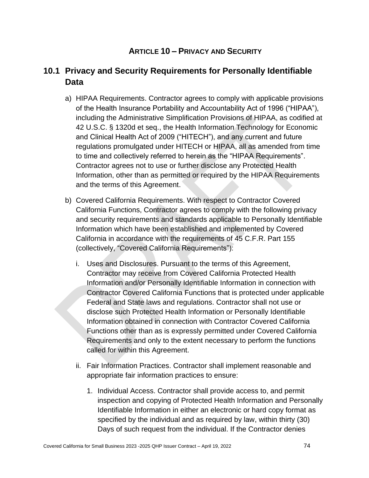# **ARTICLE 10 – PRIVACY AND SECURITY**

# **10.1 Privacy and Security Requirements for Personally Identifiable Data**

- a) HIPAA Requirements. Contractor agrees to comply with applicable provisions of the Health Insurance Portability and Accountability Act of 1996 ("HIPAA"), including the Administrative Simplification Provisions of HIPAA, as codified at 42 U.S.C. § 1320d et seq., the Health Information Technology for Economic and Clinical Health Act of 2009 ("HITECH"), and any current and future regulations promulgated under HITECH or HIPAA, all as amended from time to time and collectively referred to herein as the "HIPAA Requirements". Contractor agrees not to use or further disclose any Protected Health Information, other than as permitted or required by the HIPAA Requirements and the terms of this Agreement.
- b) Covered California Requirements. With respect to Contractor Covered California Functions, Contractor agrees to comply with the following privacy and security requirements and standards applicable to Personally Identifiable Information which have been established and implemented by Covered California in accordance with the requirements of 45 C.F.R. Part 155 (collectively, "Covered California Requirements"):
	- i. Uses and Disclosures. Pursuant to the terms of this Agreement, Contractor may receive from Covered California Protected Health Information and/or Personally Identifiable Information in connection with Contractor Covered California Functions that is protected under applicable Federal and State laws and regulations. Contractor shall not use or disclose such Protected Health Information or Personally Identifiable Information obtained in connection with Contractor Covered California Functions other than as is expressly permitted under Covered California Requirements and only to the extent necessary to perform the functions called for within this Agreement.
	- ii. Fair Information Practices. Contractor shall implement reasonable and appropriate fair information practices to ensure:
		- 1. Individual Access. Contractor shall provide access to, and permit inspection and copying of Protected Health Information and Personally Identifiable Information in either an electronic or hard copy format as specified by the individual and as required by law, within thirty (30) Days of such request from the individual. If the Contractor denies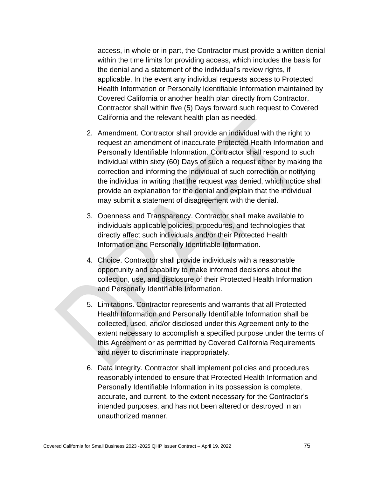access, in whole or in part, the Contractor must provide a written denial within the time limits for providing access, which includes the basis for the denial and a statement of the individual's review rights, if applicable. In the event any individual requests access to Protected Health Information or Personally Identifiable Information maintained by Covered California or another health plan directly from Contractor, Contractor shall within five (5) Days forward such request to Covered California and the relevant health plan as needed.

- 2. Amendment. Contractor shall provide an individual with the right to request an amendment of inaccurate Protected Health Information and Personally Identifiable Information. Contractor shall respond to such individual within sixty (60) Days of such a request either by making the correction and informing the individual of such correction or notifying the individual in writing that the request was denied, which notice shall provide an explanation for the denial and explain that the individual may submit a statement of disagreement with the denial.
- 3. Openness and Transparency. Contractor shall make available to individuals applicable policies, procedures, and technologies that directly affect such individuals and/or their Protected Health Information and Personally Identifiable Information.
- 4. Choice. Contractor shall provide individuals with a reasonable opportunity and capability to make informed decisions about the collection, use, and disclosure of their Protected Health Information and Personally Identifiable Information.
- 5. Limitations. Contractor represents and warrants that all Protected Health Information and Personally Identifiable Information shall be collected, used, and/or disclosed under this Agreement only to the extent necessary to accomplish a specified purpose under the terms of this Agreement or as permitted by Covered California Requirements and never to discriminate inappropriately.
- 6. Data Integrity. Contractor shall implement policies and procedures reasonably intended to ensure that Protected Health Information and Personally Identifiable Information in its possession is complete, accurate, and current, to the extent necessary for the Contractor's intended purposes, and has not been altered or destroyed in an unauthorized manner.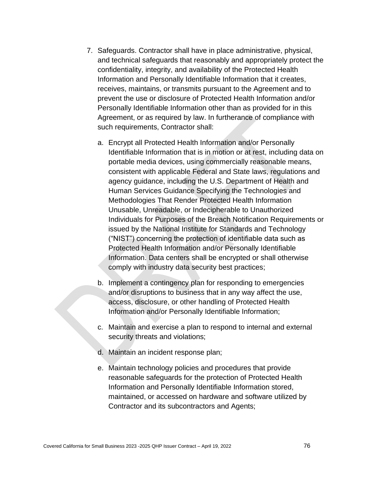- 7. Safeguards. Contractor shall have in place administrative, physical, and technical safeguards that reasonably and appropriately protect the confidentiality, integrity, and availability of the Protected Health Information and Personally Identifiable Information that it creates, receives, maintains, or transmits pursuant to the Agreement and to prevent the use or disclosure of Protected Health Information and/or Personally Identifiable Information other than as provided for in this Agreement, or as required by law. In furtherance of compliance with such requirements, Contractor shall:
	- a. Encrypt all Protected Health Information and/or Personally Identifiable Information that is in motion or at rest, including data on portable media devices, using commercially reasonable means, consistent with applicable Federal and State laws, regulations and agency guidance, including the U.S. Department of Health and Human Services Guidance Specifying the Technologies and Methodologies That Render Protected Health Information Unusable, Unreadable, or Indecipherable to Unauthorized Individuals for Purposes of the Breach Notification Requirements or issued by the National Institute for Standards and Technology ("NIST") concerning the protection of identifiable data such as Protected Health Information and/or Personally Identifiable Information. Data centers shall be encrypted or shall otherwise comply with industry data security best practices;
	- b. Implement a contingency plan for responding to emergencies and/or disruptions to business that in any way affect the use, access, disclosure, or other handling of Protected Health Information and/or Personally Identifiable Information;
	- c. Maintain and exercise a plan to respond to internal and external security threats and violations;
	- d. Maintain an incident response plan;
	- e. Maintain technology policies and procedures that provide reasonable safeguards for the protection of Protected Health Information and Personally Identifiable Information stored, maintained, or accessed on hardware and software utilized by Contractor and its subcontractors and Agents;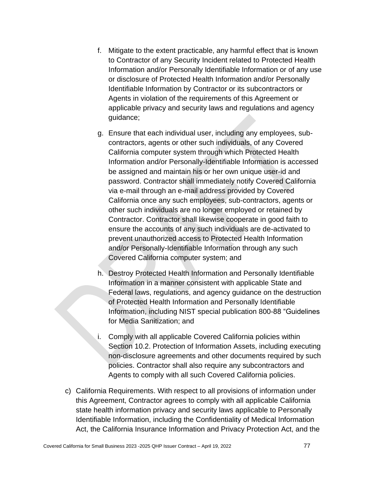- f. Mitigate to the extent practicable, any harmful effect that is known to Contractor of any Security Incident related to Protected Health Information and/or Personally Identifiable Information or of any use or disclosure of Protected Health Information and/or Personally Identifiable Information by Contractor or its subcontractors or Agents in violation of the requirements of this Agreement or applicable privacy and security laws and regulations and agency guidance;
- g. Ensure that each individual user, including any employees, subcontractors, agents or other such individuals, of any Covered California computer system through which Protected Health Information and/or Personally-Identifiable Information is accessed be assigned and maintain his or her own unique user-id and password. Contractor shall immediately notify Covered California via e-mail through an e-mail address provided by Covered California once any such employees, sub-contractors, agents or other such individuals are no longer employed or retained by Contractor. Contractor shall likewise cooperate in good faith to ensure the accounts of any such individuals are de-activated to prevent unauthorized access to Protected Health Information and/or Personally-Identifiable Information through any such Covered California computer system; and
- h. Destroy Protected Health Information and Personally Identifiable Information in a manner consistent with applicable State and Federal laws, regulations, and agency guidance on the destruction of Protected Health Information and Personally Identifiable Information, including NIST special publication 800-88 "Guidelines for Media Sanitization; and
- i. Comply with all applicable Covered California policies within Section 10.2. Protection of Information Assets, including executing non-disclosure agreements and other documents required by such policies. Contractor shall also require any subcontractors and Agents to comply with all such Covered California policies.
- c) California Requirements. With respect to all provisions of information under this Agreement, Contractor agrees to comply with all applicable California state health information privacy and security laws applicable to Personally Identifiable Information, including the Confidentiality of Medical Information Act, the California Insurance Information and Privacy Protection Act, and the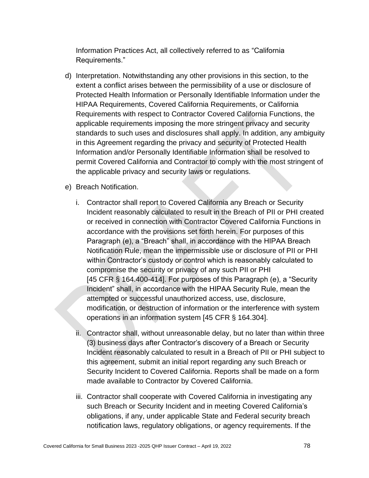Information Practices Act, all collectively referred to as "California Requirements."

- d) Interpretation. Notwithstanding any other provisions in this section, to the extent a conflict arises between the permissibility of a use or disclosure of Protected Health Information or Personally Identifiable Information under the HIPAA Requirements, Covered California Requirements, or California Requirements with respect to Contractor Covered California Functions, the applicable requirements imposing the more stringent privacy and security standards to such uses and disclosures shall apply. In addition, any ambiguity in this Agreement regarding the privacy and security of Protected Health Information and/or Personally Identifiable Information shall be resolved to permit Covered California and Contractor to comply with the most stringent of the applicable privacy and security laws or regulations.
- e) Breach Notification.
	- i. Contractor shall report to Covered California any Breach or Security Incident reasonably calculated to result in the Breach of PII or PHI created or received in connection with Contractor Covered California Functions in accordance with the provisions set forth herein. For purposes of this Paragraph (e), a "Breach" shall, in accordance with the HIPAA Breach Notification Rule, mean the impermissible use or disclosure of PII or PHI within Contractor's custody or control which is reasonably calculated to compromise the security or privacy of any such PII or PHI [45 CFR § 164.400-414]. For purposes of this Paragraph (e), a "Security Incident" shall, in accordance with the HIPAA Security Rule, mean the attempted or successful unauthorized access, use, disclosure, modification, or destruction of information or the interference with system operations in an information system [45 CFR § 164.304].
	- ii. Contractor shall, without unreasonable delay, but no later than within three (3) business days after Contractor's discovery of a Breach or Security Incident reasonably calculated to result in a Breach of PII or PHI subject to this agreement, submit an initial report regarding any such Breach or Security Incident to Covered California. Reports shall be made on a form made available to Contractor by Covered California.
	- iii. Contractor shall cooperate with Covered California in investigating any such Breach or Security Incident and in meeting Covered California's obligations, if any, under applicable State and Federal security breach notification laws, regulatory obligations, or agency requirements. If the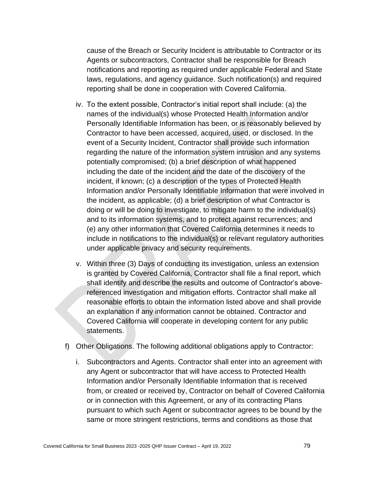cause of the Breach or Security Incident is attributable to Contractor or its Agents or subcontractors, Contractor shall be responsible for Breach notifications and reporting as required under applicable Federal and State laws, regulations, and agency guidance. Such notification(s) and required reporting shall be done in cooperation with Covered California.

- iv. To the extent possible, Contractor's initial report shall include: (a) the names of the individual(s) whose Protected Health Information and/or Personally Identifiable Information has been, or is reasonably believed by Contractor to have been accessed, acquired, used, or disclosed. In the event of a Security Incident, Contractor shall provide such information regarding the nature of the information system intrusion and any systems potentially compromised; (b) a brief description of what happened including the date of the incident and the date of the discovery of the incident, if known; (c) a description of the types of Protected Health Information and/or Personally Identifiable Information that were involved in the incident, as applicable; (d) a brief description of what Contractor is doing or will be doing to investigate, to mitigate harm to the individual(s) and to its information systems, and to protect against recurrences; and (e) any other information that Covered California determines it needs to include in notifications to the individual(s) or relevant regulatory authorities under applicable privacy and security requirements.
- v. Within three (3) Days of conducting its investigation, unless an extension is granted by Covered California, Contractor shall file a final report, which shall identify and describe the results and outcome of Contractor's abovereferenced investigation and mitigation efforts. Contractor shall make all reasonable efforts to obtain the information listed above and shall provide an explanation if any information cannot be obtained. Contractor and Covered California will cooperate in developing content for any public statements.
- f) Other Obligations. The following additional obligations apply to Contractor:
	- i. Subcontractors and Agents. Contractor shall enter into an agreement with any Agent or subcontractor that will have access to Protected Health Information and/or Personally Identifiable Information that is received from, or created or received by, Contractor on behalf of Covered California or in connection with this Agreement, or any of its contracting Plans pursuant to which such Agent or subcontractor agrees to be bound by the same or more stringent restrictions, terms and conditions as those that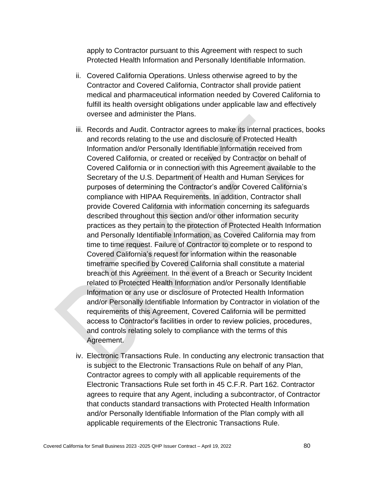apply to Contractor pursuant to this Agreement with respect to such Protected Health Information and Personally Identifiable Information.

- ii. Covered California Operations. Unless otherwise agreed to by the Contractor and Covered California, Contractor shall provide patient medical and pharmaceutical information needed by Covered California to fulfill its health oversight obligations under applicable law and effectively oversee and administer the Plans.
- iii. Records and Audit. Contractor agrees to make its internal practices, books and records relating to the use and disclosure of Protected Health Information and/or Personally Identifiable Information received from Covered California, or created or received by Contractor on behalf of Covered California or in connection with this Agreement available to the Secretary of the U.S. Department of Health and Human Services for purposes of determining the Contractor's and/or Covered California's compliance with HIPAA Requirements. In addition, Contractor shall provide Covered California with information concerning its safeguards described throughout this section and/or other information security practices as they pertain to the protection of Protected Health Information and Personally Identifiable Information, as Covered California may from time to time request. Failure of Contractor to complete or to respond to Covered California's request for information within the reasonable timeframe specified by Covered California shall constitute a material breach of this Agreement. In the event of a Breach or Security Incident related to Protected Health Information and/or Personally Identifiable Information or any use or disclosure of Protected Health Information and/or Personally Identifiable Information by Contractor in violation of the requirements of this Agreement, Covered California will be permitted access to Contractor's facilities in order to review policies, procedures, and controls relating solely to compliance with the terms of this Agreement.
- iv. Electronic Transactions Rule. In conducting any electronic transaction that is subject to the Electronic Transactions Rule on behalf of any Plan, Contractor agrees to comply with all applicable requirements of the Electronic Transactions Rule set forth in 45 C.F.R. Part 162. Contractor agrees to require that any Agent, including a subcontractor, of Contractor that conducts standard transactions with Protected Health Information and/or Personally Identifiable Information of the Plan comply with all applicable requirements of the Electronic Transactions Rule.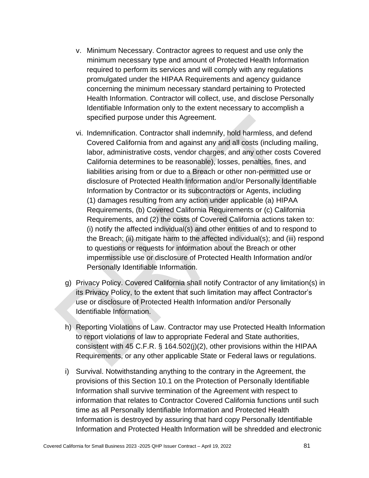- v. Minimum Necessary. Contractor agrees to request and use only the minimum necessary type and amount of Protected Health Information required to perform its services and will comply with any regulations promulgated under the HIPAA Requirements and agency guidance concerning the minimum necessary standard pertaining to Protected Health Information. Contractor will collect, use, and disclose Personally Identifiable Information only to the extent necessary to accomplish a specified purpose under this Agreement.
- vi. Indemnification. Contractor shall indemnify, hold harmless, and defend Covered California from and against any and all costs (including mailing, labor, administrative costs, vendor charges, and any other costs Covered California determines to be reasonable), losses, penalties, fines, and liabilities arising from or due to a Breach or other non-permitted use or disclosure of Protected Health Information and/or Personally Identifiable Information by Contractor or its subcontractors or Agents, including (1) damages resulting from any action under applicable (a) HIPAA Requirements, (b) Covered California Requirements or (c) California Requirements, and (2) the costs of Covered California actions taken to: (i) notify the affected individual(s) and other entities of and to respond to the Breach; (ii) mitigate harm to the affected individual(s); and (iii) respond to questions or requests for information about the Breach or other impermissible use or disclosure of Protected Health Information and/or Personally Identifiable Information.
- g) Privacy Policy. Covered California shall notify Contractor of any limitation(s) in its Privacy Policy, to the extent that such limitation may affect Contractor's use or disclosure of Protected Health Information and/or Personally Identifiable Information.
- h) Reporting Violations of Law. Contractor may use Protected Health Information to report violations of law to appropriate Federal and State authorities, consistent with 45 C.F.R. § 164.502(j)(2), other provisions within the HIPAA Requirements, or any other applicable State or Federal laws or regulations.
- i) Survival. Notwithstanding anything to the contrary in the Agreement, the provisions of this Section 10.1 on the Protection of Personally Identifiable Information shall survive termination of the Agreement with respect to information that relates to Contractor Covered California functions until such time as all Personally Identifiable Information and Protected Health Information is destroyed by assuring that hard copy Personally Identifiable Information and Protected Health Information will be shredded and electronic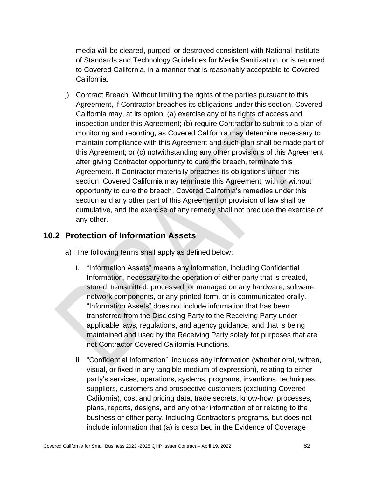media will be cleared, purged, or destroyed consistent with National Institute of Standards and Technology Guidelines for Media Sanitization, or is returned to Covered California, in a manner that is reasonably acceptable to Covered California.

j) Contract Breach. Without limiting the rights of the parties pursuant to this Agreement, if Contractor breaches its obligations under this section, Covered California may, at its option: (a) exercise any of its rights of access and inspection under this Agreement; (b) require Contractor to submit to a plan of monitoring and reporting, as Covered California may determine necessary to maintain compliance with this Agreement and such plan shall be made part of this Agreement; or (c) notwithstanding any other provisions of this Agreement, after giving Contractor opportunity to cure the breach, terminate this Agreement. If Contractor materially breaches its obligations under this section, Covered California may terminate this Agreement, with or without opportunity to cure the breach. Covered California's remedies under this section and any other part of this Agreement or provision of law shall be cumulative, and the exercise of any remedy shall not preclude the exercise of any other.

#### **10.2 Protection of Information Assets**

- a) The following terms shall apply as defined below:
	- i. "Information Assets" means any information, including Confidential Information, necessary to the operation of either party that is created, stored, transmitted, processed, or managed on any hardware, software, network components, or any printed form, or is communicated orally. "Information Assets" does not include information that has been transferred from the Disclosing Party to the Receiving Party under applicable laws, regulations, and agency guidance, and that is being maintained and used by the Receiving Party solely for purposes that are not Contractor Covered California Functions.
	- ii. "Confidential Information" includes any information (whether oral, written, visual, or fixed in any tangible medium of expression), relating to either party's services, operations, systems, programs, inventions, techniques, suppliers, customers and prospective customers (excluding Covered California), cost and pricing data, trade secrets, know-how, processes, plans, reports, designs, and any other information of or relating to the business or either party, including Contractor's programs, but does not include information that (a) is described in the Evidence of Coverage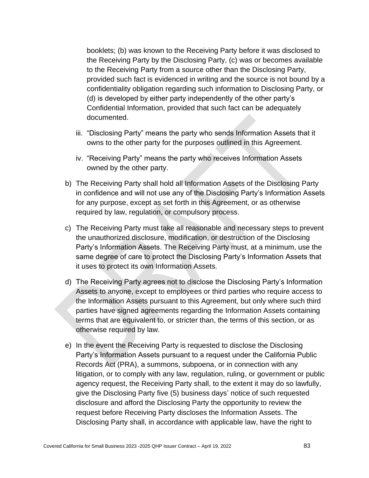booklets; (b) was known to the Receiving Party before it was disclosed to the Receiving Party by the Disclosing Party, (c) was or becomes available to the Receiving Party from a source other than the Disclosing Party, provided such fact is evidenced in writing and the source is not bound by a confidentiality obligation regarding such information to Disclosing Party, or (d) is developed by either party independently of the other party's Confidential Information, provided that such fact can be adequately documented.

- iii. "Disclosing Party" means the party who sends Information Assets that it owns to the other party for the purposes outlined in this Agreement.
- iv. "Receiving Party" means the party who receives Information Assets owned by the other party.
- b) The Receiving Party shall hold all Information Assets of the Disclosing Party in confidence and will not use any of the Disclosing Party's Information Assets for any purpose, except as set forth in this Agreement, or as otherwise required by law, regulation, or compulsory process.
- c) The Receiving Party must take all reasonable and necessary steps to prevent the unauthorized disclosure, modification, or destruction of the Disclosing Party's Information Assets. The Receiving Party must, at a minimum, use the same degree of care to protect the Disclosing Party's Information Assets that it uses to protect its own Information Assets.
- d) The Receiving Party agrees not to disclose the Disclosing Party's Information Assets to anyone, except to employees or third parties who require access to the Information Assets pursuant to this Agreement, but only where such third parties have signed agreements regarding the Information Assets containing terms that are equivalent to, or stricter than, the terms of this section, or as otherwise required by law.
- e) In the event the Receiving Party is requested to disclose the Disclosing Party's Information Assets pursuant to a request under the California Public Records Act (PRA), a summons, subpoena, or in connection with any litigation, or to comply with any law, regulation, ruling, or government or public agency request, the Receiving Party shall, to the extent it may do so lawfully, give the Disclosing Party five (5) business days' notice of such requested disclosure and afford the Disclosing Party the opportunity to review the request before Receiving Party discloses the Information Assets. The Disclosing Party shall, in accordance with applicable law, have the right to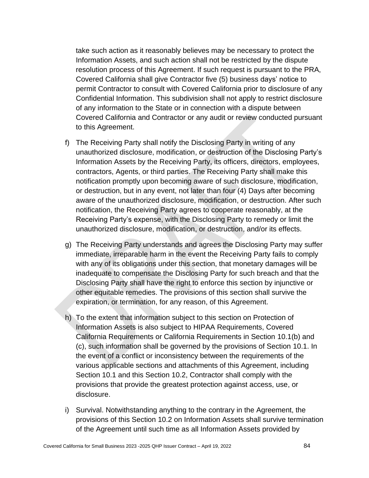take such action as it reasonably believes may be necessary to protect the Information Assets, and such action shall not be restricted by the dispute resolution process of this Agreement. If such request is pursuant to the PRA, Covered California shall give Contractor five (5) business days' notice to permit Contractor to consult with Covered California prior to disclosure of any Confidential Information. This subdivision shall not apply to restrict disclosure of any information to the State or in connection with a dispute between Covered California and Contractor or any audit or review conducted pursuant to this Agreement.

- f) The Receiving Party shall notify the Disclosing Party in writing of any unauthorized disclosure, modification, or destruction of the Disclosing Party's Information Assets by the Receiving Party, its officers, directors, employees, contractors, Agents, or third parties. The Receiving Party shall make this notification promptly upon becoming aware of such disclosure, modification, or destruction, but in any event, not later than four (4) Days after becoming aware of the unauthorized disclosure, modification, or destruction. After such notification, the Receiving Party agrees to cooperate reasonably, at the Receiving Party's expense, with the Disclosing Party to remedy or limit the unauthorized disclosure, modification, or destruction, and/or its effects.
- g) The Receiving Party understands and agrees the Disclosing Party may suffer immediate, irreparable harm in the event the Receiving Party fails to comply with any of its obligations under this section, that monetary damages will be inadequate to compensate the Disclosing Party for such breach and that the Disclosing Party shall have the right to enforce this section by injunctive or other equitable remedies. The provisions of this section shall survive the expiration, or termination, for any reason, of this Agreement.
- h) To the extent that information subject to this section on Protection of Information Assets is also subject to HIPAA Requirements, Covered California Requirements or California Requirements in Section 10.1(b) and (c), such information shall be governed by the provisions of Section 10.1. In the event of a conflict or inconsistency between the requirements of the various applicable sections and attachments of this Agreement, including Section 10.1 and this Section 10.2, Contractor shall comply with the provisions that provide the greatest protection against access, use, or disclosure.
- i) Survival. Notwithstanding anything to the contrary in the Agreement, the provisions of this Section 10.2 on Information Assets shall survive termination of the Agreement until such time as all Information Assets provided by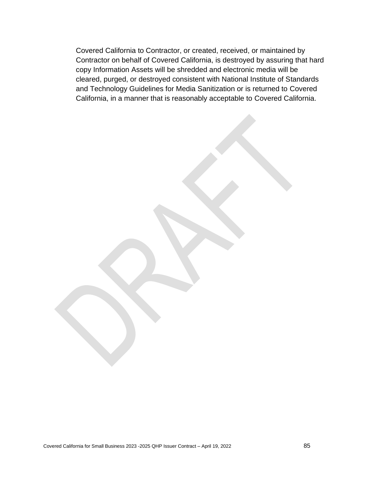Covered California to Contractor, or created, received, or maintained by Contractor on behalf of Covered California, is destroyed by assuring that hard copy Information Assets will be shredded and electronic media will be cleared, purged, or destroyed consistent with National Institute of Standards and Technology Guidelines for Media Sanitization or is returned to Covered California, in a manner that is reasonably acceptable to Covered California.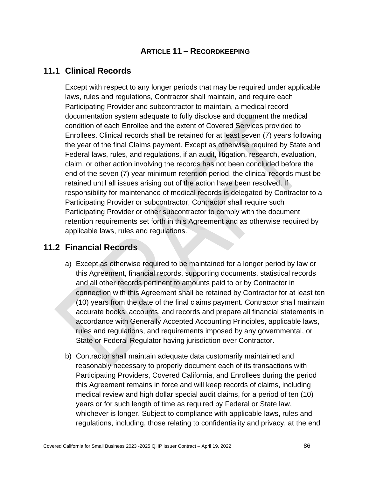# **ARTICLE 11 – RECORDKEEPING**

# **11.1 Clinical Records**

Except with respect to any longer periods that may be required under applicable laws, rules and regulations, Contractor shall maintain, and require each Participating Provider and subcontractor to maintain, a medical record documentation system adequate to fully disclose and document the medical condition of each Enrollee and the extent of Covered Services provided to Enrollees. Clinical records shall be retained for at least seven (7) years following the year of the final Claims payment. Except as otherwise required by State and Federal laws, rules, and regulations, if an audit, litigation, research, evaluation, claim, or other action involving the records has not been concluded before the end of the seven (7) year minimum retention period, the clinical records must be retained until all issues arising out of the action have been resolved. If responsibility for maintenance of medical records is delegated by Contractor to a Participating Provider or subcontractor, Contractor shall require such Participating Provider or other subcontractor to comply with the document retention requirements set forth in this Agreement and as otherwise required by applicable laws, rules and regulations.

## **11.2 Financial Records**

- a) Except as otherwise required to be maintained for a longer period by law or this Agreement, financial records, supporting documents, statistical records and all other records pertinent to amounts paid to or by Contractor in connection with this Agreement shall be retained by Contractor for at least ten (10) years from the date of the final claims payment. Contractor shall maintain accurate books, accounts, and records and prepare all financial statements in accordance with Generally Accepted Accounting Principles, applicable laws, rules and regulations, and requirements imposed by any governmental, or State or Federal Regulator having jurisdiction over Contractor.
- b) Contractor shall maintain adequate data customarily maintained and reasonably necessary to properly document each of its transactions with Participating Providers, Covered California, and Enrollees during the period this Agreement remains in force and will keep records of claims, including medical review and high dollar special audit claims, for a period of ten (10) years or for such length of time as required by Federal or State law, whichever is longer. Subject to compliance with applicable laws, rules and regulations, including, those relating to confidentiality and privacy, at the end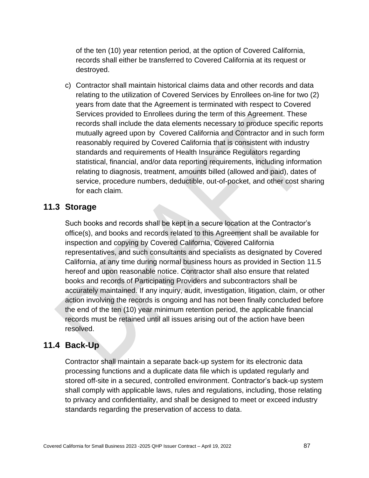of the ten (10) year retention period, at the option of Covered California, records shall either be transferred to Covered California at its request or destroyed.

c) Contractor shall maintain historical claims data and other records and data relating to the utilization of Covered Services by Enrollees on-line for two (2) years from date that the Agreement is terminated with respect to Covered Services provided to Enrollees during the term of this Agreement. These records shall include the data elements necessary to produce specific reports mutually agreed upon by Covered California and Contractor and in such form reasonably required by Covered California that is consistent with industry standards and requirements of Health Insurance Regulators regarding statistical, financial, and/or data reporting requirements, including information relating to diagnosis, treatment, amounts billed (allowed and paid), dates of service, procedure numbers, deductible, out-of-pocket, and other cost sharing for each claim.

#### **11.3 Storage**

Such books and records shall be kept in a secure location at the Contractor's office(s), and books and records related to this Agreement shall be available for inspection and copying by Covered California, Covered California representatives, and such consultants and specialists as designated by Covered California, at any time during normal business hours as provided in Section 11.5 hereof and upon reasonable notice. Contractor shall also ensure that related books and records of Participating Providers and subcontractors shall be accurately maintained. If any inquiry, audit, investigation, litigation, claim, or other action involving the records is ongoing and has not been finally concluded before the end of the ten (10) year minimum retention period, the applicable financial records must be retained until all issues arising out of the action have been resolved.

#### **11.4 Back-Up**

Contractor shall maintain a separate back-up system for its electronic data processing functions and a duplicate data file which is updated regularly and stored off-site in a secured, controlled environment. Contractor's back-up system shall comply with applicable laws, rules and regulations, including, those relating to privacy and confidentiality, and shall be designed to meet or exceed industry standards regarding the preservation of access to data.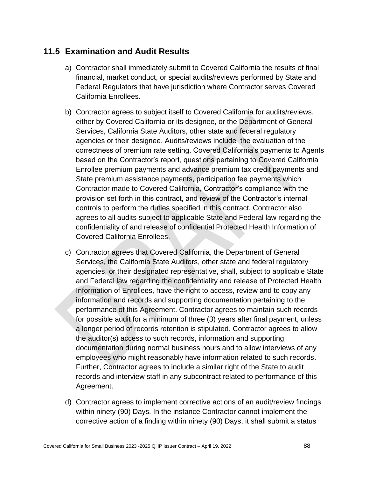# **11.5 Examination and Audit Results**

- a) Contractor shall immediately submit to Covered California the results of final financial, market conduct, or special audits/reviews performed by State and Federal Regulators that have jurisdiction where Contractor serves Covered California Enrollees.
- b) Contractor agrees to subject itself to Covered California for audits/reviews, either by Covered California or its designee, or the Department of General Services, California State Auditors, other state and federal regulatory agencies or their designee. Audits/reviews include the evaluation of the correctness of premium rate setting, Covered California's payments to Agents based on the Contractor's report, questions pertaining to Covered California Enrollee premium payments and advance premium tax credit payments and State premium assistance payments, participation fee payments which Contractor made to Covered California, Contractor's compliance with the provision set forth in this contract, and review of the Contractor's internal controls to perform the duties specified in this contract. Contractor also agrees to all audits subject to applicable State and Federal law regarding the confidentiality of and release of confidential Protected Health Information of Covered California Enrollees.
- c) Contractor agrees that Covered California, the Department of General Services, the California State Auditors, other state and federal regulatory agencies, or their designated representative, shall, subject to applicable State and Federal law regarding the confidentiality and release of Protected Health Information of Enrollees, have the right to access, review and to copy any information and records and supporting documentation pertaining to the performance of this Agreement. Contractor agrees to maintain such records for possible audit for a minimum of three (3) years after final payment, unless a longer period of records retention is stipulated. Contractor agrees to allow the auditor(s) access to such records, information and supporting documentation during normal business hours and to allow interviews of any employees who might reasonably have information related to such records. Further, Contractor agrees to include a similar right of the State to audit records and interview staff in any subcontract related to performance of this Agreement.
- d) Contractor agrees to implement corrective actions of an audit/review findings within ninety (90) Days. In the instance Contractor cannot implement the corrective action of a finding within ninety (90) Days, it shall submit a status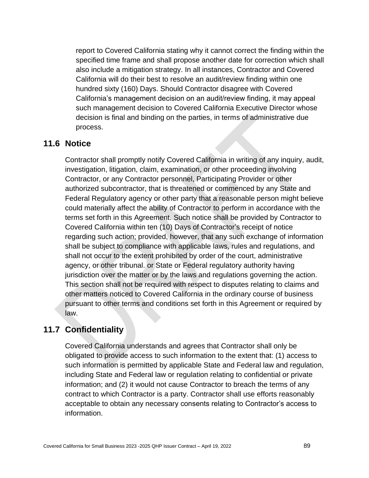report to Covered California stating why it cannot correct the finding within the specified time frame and shall propose another date for correction which shall also include a mitigation strategy. In all instances, Contractor and Covered California will do their best to resolve an audit/review finding within one hundred sixty (160) Days. Should Contractor disagree with Covered California's management decision on an audit/review finding, it may appeal such management decision to Covered California Executive Director whose decision is final and binding on the parties, in terms of administrative due process.

## **11.6 Notice**

Contractor shall promptly notify Covered California in writing of any inquiry, audit, investigation, litigation, claim, examination, or other proceeding involving Contractor, or any Contractor personnel, Participating Provider or other authorized subcontractor, that is threatened or commenced by any State and Federal Regulatory agency or other party that a reasonable person might believe could materially affect the ability of Contractor to perform in accordance with the terms set forth in this Agreement. Such notice shall be provided by Contractor to Covered California within ten (10) Days of Contractor's receipt of notice regarding such action; provided, however, that any such exchange of information shall be subject to compliance with applicable laws, rules and regulations, and shall not occur to the extent prohibited by order of the court, administrative agency, or other tribunal. or State or Federal regulatory authority having jurisdiction over the matter or by the laws and regulations governing the action. This section shall not be required with respect to disputes relating to claims and other matters noticed to Covered California in the ordinary course of business pursuant to other terms and conditions set forth in this Agreement or required by law.

## **11.7 Confidentiality**

Covered California understands and agrees that Contractor shall only be obligated to provide access to such information to the extent that: (1) access to such information is permitted by applicable State and Federal law and regulation, including State and Federal law or regulation relating to confidential or private information; and (2) it would not cause Contractor to breach the terms of any contract to which Contractor is a party. Contractor shall use efforts reasonably acceptable to obtain any necessary consents relating to Contractor's access to information.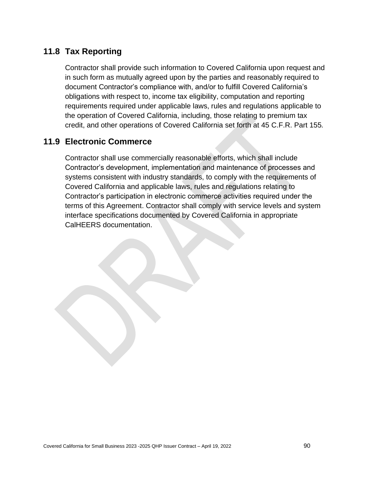# **11.8 Tax Reporting**

Contractor shall provide such information to Covered California upon request and in such form as mutually agreed upon by the parties and reasonably required to document Contractor's compliance with, and/or to fulfill Covered California's obligations with respect to, income tax eligibility, computation and reporting requirements required under applicable laws, rules and regulations applicable to the operation of Covered California, including, those relating to premium tax credit, and other operations of Covered California set forth at 45 C.F.R. Part 155*.*

# **11.9 Electronic Commerce**

Contractor shall use commercially reasonable efforts, which shall include Contractor's development, implementation and maintenance of processes and systems consistent with industry standards, to comply with the requirements of Covered California and applicable laws, rules and regulations relating to Contractor's participation in electronic commerce activities required under the terms of this Agreement. Contractor shall comply with service levels and system interface specifications documented by Covered California in appropriate CalHEERS documentation.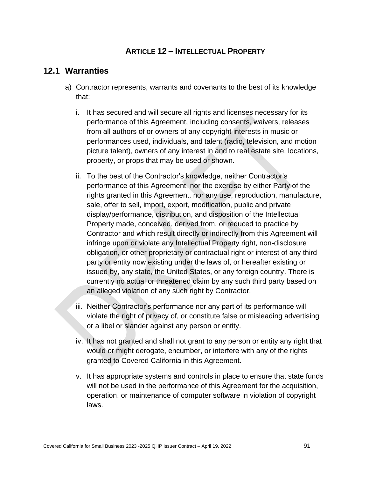## **ARTICLE 12 – INTELLECTUAL PROPERTY**

#### **12.1 Warranties**

- a) Contractor represents, warrants and covenants to the best of its knowledge that:
	- i. It has secured and will secure all rights and licenses necessary for its performance of this Agreement, including consents, waivers, releases from all authors of or owners of any copyright interests in music or performances used, individuals, and talent (radio, television, and motion picture talent), owners of any interest in and to real estate site, locations, property, or props that may be used or shown.
	- ii. To the best of the Contractor's knowledge, neither Contractor's performance of this Agreement, nor the exercise by either Party of the rights granted in this Agreement, nor any use, reproduction, manufacture, sale, offer to sell, import, export, modification, public and private display/performance, distribution, and disposition of the Intellectual Property made, conceived, derived from, or reduced to practice by Contractor and which result directly or indirectly from this Agreement will infringe upon or violate any Intellectual Property right, non-disclosure obligation, or other proprietary or contractual right or interest of any thirdparty or entity now existing under the laws of, or hereafter existing or issued by, any state, the United States, or any foreign country. There is currently no actual or threatened claim by any such third party based on an alleged violation of any such right by Contractor.
	- iii. Neither Contractor's performance nor any part of its performance will violate the right of privacy of, or constitute false or misleading advertising or a libel or slander against any person or entity.
	- iv. It has not granted and shall not grant to any person or entity any right that would or might derogate, encumber, or interfere with any of the rights granted to Covered California in this Agreement.
	- v. It has appropriate systems and controls in place to ensure that state funds will not be used in the performance of this Agreement for the acquisition, operation, or maintenance of computer software in violation of copyright laws.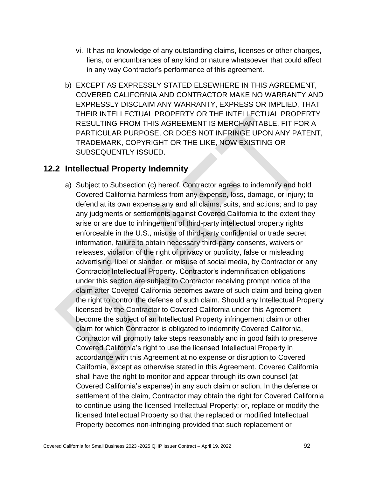- vi. It has no knowledge of any outstanding claims, licenses or other charges, liens, or encumbrances of any kind or nature whatsoever that could affect in any way Contractor's performance of this agreement.
- b) EXCEPT AS EXPRESSLY STATED ELSEWHERE IN THIS AGREEMENT, COVERED CALIFORNIA AND CONTRACTOR MAKE NO WARRANTY AND EXPRESSLY DISCLAIM ANY WARRANTY, EXPRESS OR IMPLIED, THAT THEIR INTELLECTUAL PROPERTY OR THE INTELLECTUAL PROPERTY RESULTING FROM THIS AGREEMENT IS MERCHANTABLE, FIT FOR A PARTICULAR PURPOSE, OR DOES NOT INFRINGE UPON ANY PATENT, TRADEMARK, COPYRIGHT OR THE LIKE, NOW EXISTING OR SUBSEQUENTLY ISSUED.

## **12.2 Intellectual Property Indemnity**

a) Subject to Subsection (c) hereof, Contractor agrees to indemnify and hold Covered California harmless from any expense, loss, damage, or injury; to defend at its own expense any and all claims, suits, and actions; and to pay any judgments or settlements against Covered California to the extent they arise or are due to infringement of third-party intellectual property rights enforceable in the U.S., misuse of third-party confidential or trade secret information, failure to obtain necessary third-party consents, waivers or releases, violation of the right of privacy or publicity, false or misleading advertising, libel or slander, or misuse of social media, by Contractor or any Contractor Intellectual Property. Contractor's indemnification obligations under this section are subject to Contractor receiving prompt notice of the claim after Covered California becomes aware of such claim and being given the right to control the defense of such claim. Should any Intellectual Property licensed by the Contractor to Covered California under this Agreement become the subject of an Intellectual Property infringement claim or other claim for which Contractor is obligated to indemnify Covered California, Contractor will promptly take steps reasonably and in good faith to preserve Covered California's right to use the licensed Intellectual Property in accordance with this Agreement at no expense or disruption to Covered California, except as otherwise stated in this Agreement. Covered California shall have the right to monitor and appear through its own counsel (at Covered California's expense) in any such claim or action. In the defense or settlement of the claim, Contractor may obtain the right for Covered California to continue using the licensed Intellectual Property; or, replace or modify the licensed Intellectual Property so that the replaced or modified Intellectual Property becomes non-infringing provided that such replacement or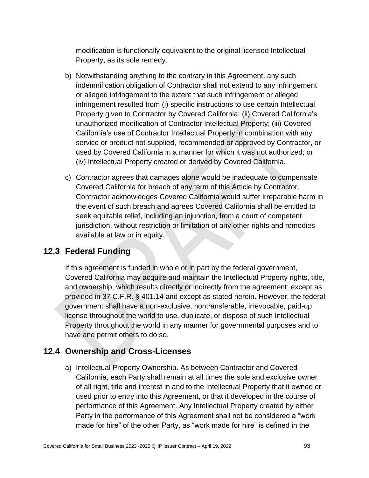modification is functionally equivalent to the original licensed Intellectual Property, as its sole remedy.

- b) Notwithstanding anything to the contrary in this Agreement, any such indemnification obligation of Contractor shall not extend to any infringement or alleged infringement to the extent that such infringement or alleged infringement resulted from (i) specific instructions to use certain Intellectual Property given to Contractor by Covered California; (ii) Covered California's unauthorized modification of Contractor Intellectual Property; (iii) Covered California's use of Contractor Intellectual Property in combination with any service or product not supplied, recommended or approved by Contractor, or used by Covered California in a manner for which it was not authorized; or (iv) Intellectual Property created or derived by Covered California.
- c) Contractor agrees that damages alone would be inadequate to compensate Covered California for breach of any term of this Article by Contractor. Contractor acknowledges Covered California would suffer irreparable harm in the event of such breach and agrees Covered California shall be entitled to seek equitable relief, including an injunction, from a court of competent jurisdiction, without restriction or limitation of any other rights and remedies available at law or in equity.

# **12.3 Federal Funding**

If this agreement is funded in whole or in part by the federal government, Covered California may acquire and maintain the Intellectual Property rights, title, and ownership, which results directly or indirectly from the agreement; except as provided in 37 C.F.R. § 401.14 and except as stated herein. However, the federal government shall have a non-exclusive, nontransferable, irrevocable, paid-up license throughout the world to use, duplicate, or dispose of such Intellectual Property throughout the world in any manner for governmental purposes and to have and permit others to do so.

# **12.4 Ownership and Cross-Licenses**

a) Intellectual Property Ownership. As between Contractor and Covered California, each Party shall remain at all times the sole and exclusive owner of all right, title and interest in and to the Intellectual Property that it owned or used prior to entry into this Agreement, or that it developed in the course of performance of this Agreement. Any Intellectual Property created by either Party in the performance of this Agreement shall not be considered a "work made for hire" of the other Party, as "work made for hire" is defined in the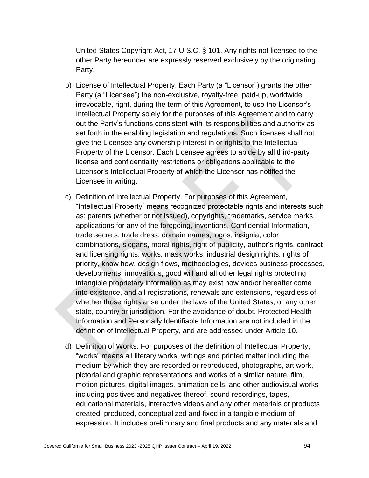United States Copyright Act, 17 U.S.C. § 101. Any rights not licensed to the other Party hereunder are expressly reserved exclusively by the originating Party.

- b) License of Intellectual Property. Each Party (a "Licensor") grants the other Party (a "Licensee") the non-exclusive, royalty-free, paid-up, worldwide, irrevocable, right, during the term of this Agreement, to use the Licensor's Intellectual Property solely for the purposes of this Agreement and to carry out the Party's functions consistent with its responsibilities and authority as set forth in the enabling legislation and regulations. Such licenses shall not give the Licensee any ownership interest in or rights to the Intellectual Property of the Licensor. Each Licensee agrees to abide by all third-party license and confidentiality restrictions or obligations applicable to the Licensor's Intellectual Property of which the Licensor has notified the Licensee in writing.
- c) Definition of Intellectual Property. For purposes of this Agreement, "Intellectual Property" means recognized protectable rights and interests such as: patents (whether or not issued), copyrights, trademarks, service marks, applications for any of the foregoing, inventions, Confidential Information, trade secrets, trade dress, domain names, logos, insignia, color combinations, slogans, moral rights, right of publicity, author's rights, contract and licensing rights, works, mask works, industrial design rights, rights of priority, know how, design flows, methodologies, devices business processes, developments, innovations, good will and all other legal rights protecting intangible proprietary information as may exist now and/or hereafter come into existence, and all registrations, renewals and extensions, regardless of whether those rights arise under the laws of the United States, or any other state, country or jurisdiction. For the avoidance of doubt, Protected Health Information and Personally Identifiable Information are not included in the definition of Intellectual Property, and are addressed under Article 10.
- d) Definition of Works. For purposes of the definition of Intellectual Property, "works" means all literary works, writings and printed matter including the medium by which they are recorded or reproduced, photographs, art work, pictorial and graphic representations and works of a similar nature, film, motion pictures, digital images, animation cells, and other audiovisual works including positives and negatives thereof, sound recordings, tapes, educational materials, interactive videos and any other materials or products created, produced, conceptualized and fixed in a tangible medium of expression. It includes preliminary and final products and any materials and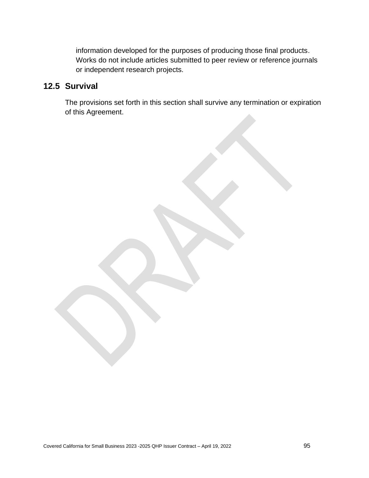information developed for the purposes of producing those final products. Works do not include articles submitted to peer review or reference journals or independent research projects.

# **12.5 Survival**

The provisions set forth in this section shall survive any termination or expiration of this Agreement.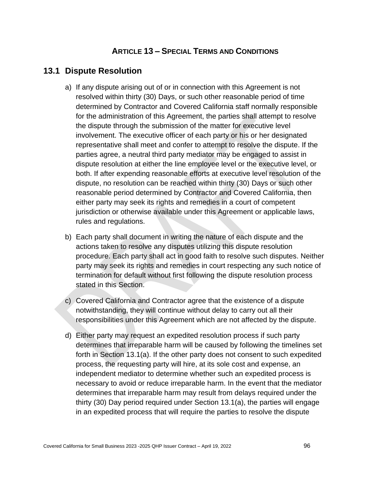### **ARTICLE 13 – SPECIAL TERMS AND CONDITIONS**

#### **13.1 Dispute Resolution**

- a) If any dispute arising out of or in connection with this Agreement is not resolved within thirty (30) Days, or such other reasonable period of time determined by Contractor and Covered California staff normally responsible for the administration of this Agreement, the parties shall attempt to resolve the dispute through the submission of the matter for executive level involvement. The executive officer of each party or his or her designated representative shall meet and confer to attempt to resolve the dispute. If the parties agree, a neutral third party mediator may be engaged to assist in dispute resolution at either the line employee level or the executive level, or both. If after expending reasonable efforts at executive level resolution of the dispute, no resolution can be reached within thirty (30) Days or such other reasonable period determined by Contractor and Covered California, then either party may seek its rights and remedies in a court of competent jurisdiction or otherwise available under this Agreement or applicable laws, rules and regulations.
- b) Each party shall document in writing the nature of each dispute and the actions taken to resolve any disputes utilizing this dispute resolution procedure. Each party shall act in good faith to resolve such disputes. Neither party may seek its rights and remedies in court respecting any such notice of termination for default without first following the dispute resolution process stated in this Section.
- c) Covered California and Contractor agree that the existence of a dispute notwithstanding, they will continue without delay to carry out all their responsibilities under this Agreement which are not affected by the dispute.
- d) Either party may request an expedited resolution process if such party determines that irreparable harm will be caused by following the timelines set forth in Section 13.1(a). If the other party does not consent to such expedited process, the requesting party will hire, at its sole cost and expense, an independent mediator to determine whether such an expedited process is necessary to avoid or reduce irreparable harm. In the event that the mediator determines that irreparable harm may result from delays required under the thirty (30) Day period required under Section 13.1(a), the parties will engage in an expedited process that will require the parties to resolve the dispute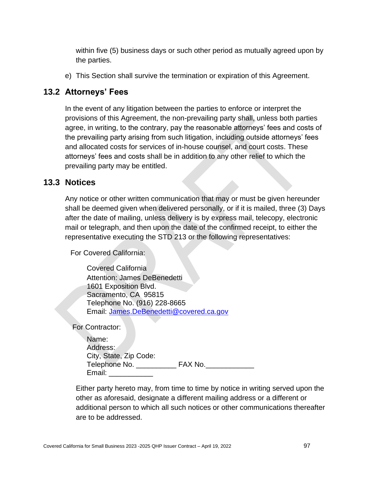within five (5) business days or such other period as mutually agreed upon by the parties.

e) This Section shall survive the termination or expiration of this Agreement.

# **13.2 Attorneys' Fees**

In the event of any litigation between the parties to enforce or interpret the provisions of this Agreement, the non-prevailing party shall, unless both parties agree, in writing, to the contrary, pay the reasonable attorneys' fees and costs of the prevailing party arising from such litigation, including outside attorneys' fees and allocated costs for services of in-house counsel, and court costs. These attorneys' fees and costs shall be in addition to any other relief to which the prevailing party may be entitled.

# **13.3 Notices**

Any notice or other written communication that may or must be given hereunder shall be deemed given when delivered personally, or if it is mailed, three (3) Days after the date of mailing, unless delivery is by express mail, telecopy, electronic mail or telegraph, and then upon the date of the confirmed receipt, to either the representative executing the STD 213 or the following representatives:

For Covered California:

Covered California Attention: James DeBenedetti 1601 Exposition Blvd. Sacramento, CA 95815 Telephone No. (916) 228-8665 Email: [James.DeBenedetti@covered.ca.gov](mailto:James.DeBenedetti@covered.ca.gov)

For Contractor:

| Name:                  |         |
|------------------------|---------|
| Address:               |         |
| City, State, Zip Code: |         |
| Telephone No.          | FAX No. |
| Email:                 |         |

Either party hereto may, from time to time by notice in writing served upon the other as aforesaid, designate a different mailing address or a different or additional person to which all such notices or other communications thereafter are to be addressed.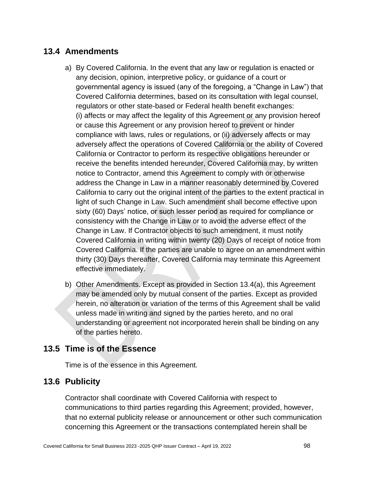# **13.4 Amendments**

- a) By Covered California. In the event that any law or regulation is enacted or any decision, opinion, interpretive policy, or guidance of a court or governmental agency is issued (any of the foregoing, a "Change in Law") that Covered California determines, based on its consultation with legal counsel, regulators or other state-based or Federal health benefit exchanges: (i) affects or may affect the legality of this Agreement or any provision hereof or cause this Agreement or any provision hereof to prevent or hinder compliance with laws, rules or regulations, or (ii) adversely affects or may adversely affect the operations of Covered California or the ability of Covered California or Contractor to perform its respective obligations hereunder or receive the benefits intended hereunder, Covered California may, by written notice to Contractor, amend this Agreement to comply with or otherwise address the Change in Law in a manner reasonably determined by Covered California to carry out the original intent of the parties to the extent practical in light of such Change in Law. Such amendment shall become effective upon sixty (60) Days' notice, or such lesser period as required for compliance or consistency with the Change in Law or to avoid the adverse effect of the Change in Law. If Contractor objects to such amendment, it must notify Covered California in writing within twenty (20) Days of receipt of notice from Covered California. If the parties are unable to agree on an amendment within thirty (30) Days thereafter, Covered California may terminate this Agreement effective immediately.
- b) Other Amendments. Except as provided in Section 13.4(a), this Agreement may be amended only by mutual consent of the parties. Except as provided herein, no alteration or variation of the terms of this Agreement shall be valid unless made in writing and signed by the parties hereto, and no oral understanding or agreement not incorporated herein shall be binding on any of the parties hereto.

# **13.5 Time is of the Essence**

Time is of the essence in this Agreement.

# **13.6 Publicity**

Contractor shall coordinate with Covered California with respect to communications to third parties regarding this Agreement; provided, however, that no external publicity release or announcement or other such communication concerning this Agreement or the transactions contemplated herein shall be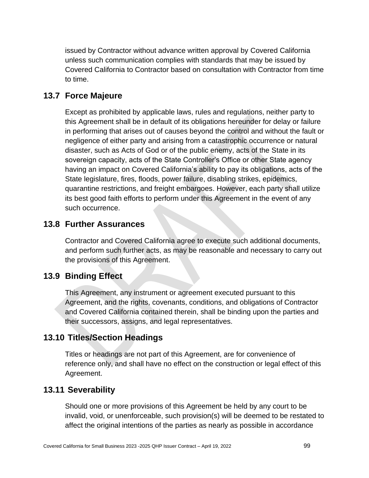issued by Contractor without advance written approval by Covered California unless such communication complies with standards that may be issued by Covered California to Contractor based on consultation with Contractor from time to time.

### **13.7 Force Majeure**

Except as prohibited by applicable laws, rules and regulations, neither party to this Agreement shall be in default of its obligations hereunder for delay or failure in performing that arises out of causes beyond the control and without the fault or negligence of either party and arising from a catastrophic occurrence or natural disaster, such as Acts of God or of the public enemy, acts of the State in its sovereign capacity, acts of the State Controller's Office or other State agency having an impact on Covered California's ability to pay its obligations, acts of the State legislature, fires, floods, power failure, disabling strikes, epidemics, quarantine restrictions, and freight embargoes. However, each party shall utilize its best good faith efforts to perform under this Agreement in the event of any such occurrence.

#### **13.8 Further Assurances**

Contractor and Covered California agree to execute such additional documents, and perform such further acts, as may be reasonable and necessary to carry out the provisions of this Agreement.

#### **13.9 Binding Effect**

This Agreement, any instrument or agreement executed pursuant to this Agreement, and the rights, covenants, conditions, and obligations of Contractor and Covered California contained therein, shall be binding upon the parties and their successors, assigns, and legal representatives.

## **13.10 Titles/Section Headings**

Titles or headings are not part of this Agreement, are for convenience of reference only, and shall have no effect on the construction or legal effect of this Agreement.

### **13.11 Severability**

Should one or more provisions of this Agreement be held by any court to be invalid, void, or unenforceable, such provision(s) will be deemed to be restated to affect the original intentions of the parties as nearly as possible in accordance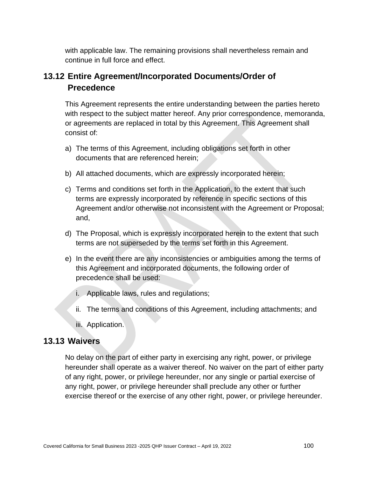with applicable law. The remaining provisions shall nevertheless remain and continue in full force and effect.

# **13.12 Entire Agreement/Incorporated Documents/Order of Precedence**

This Agreement represents the entire understanding between the parties hereto with respect to the subject matter hereof. Any prior correspondence, memoranda, or agreements are replaced in total by this Agreement. This Agreement shall consist of:

- a) The terms of this Agreement, including obligations set forth in other documents that are referenced herein;
- b) All attached documents, which are expressly incorporated herein;
- c) Terms and conditions set forth in the Application, to the extent that such terms are expressly incorporated by reference in specific sections of this Agreement and/or otherwise not inconsistent with the Agreement or Proposal; and,
- d) The Proposal, which is expressly incorporated herein to the extent that such terms are not superseded by the terms set forth in this Agreement.
- e) In the event there are any inconsistencies or ambiguities among the terms of this Agreement and incorporated documents, the following order of precedence shall be used:
	- i. Applicable laws, rules and regulations;
	- ii. The terms and conditions of this Agreement, including attachments; and
	- iii. Application.

# **13.13 Waivers**

No delay on the part of either party in exercising any right, power, or privilege hereunder shall operate as a waiver thereof. No waiver on the part of either party of any right, power, or privilege hereunder, nor any single or partial exercise of any right, power, or privilege hereunder shall preclude any other or further exercise thereof or the exercise of any other right, power, or privilege hereunder.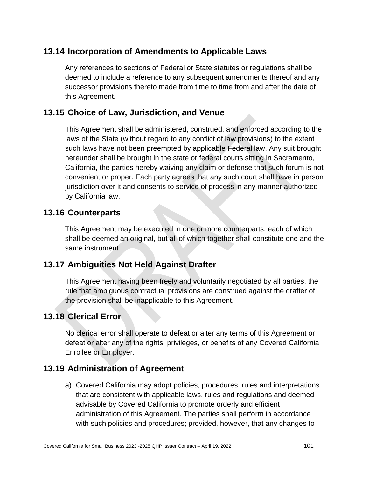# **13.14 Incorporation of Amendments to Applicable Laws**

Any references to sections of Federal or State statutes or regulations shall be deemed to include a reference to any subsequent amendments thereof and any successor provisions thereto made from time to time from and after the date of this Agreement.

### **13.15 Choice of Law, Jurisdiction, and Venue**

This Agreement shall be administered, construed, and enforced according to the laws of the State (without regard to any conflict of law provisions) to the extent such laws have not been preempted by applicable Federal law. Any suit brought hereunder shall be brought in the state or federal courts sitting in Sacramento, California, the parties hereby waiving any claim or defense that such forum is not convenient or proper. Each party agrees that any such court shall have in person jurisdiction over it and consents to service of process in any manner authorized by California law.

#### **13.16 Counterparts**

This Agreement may be executed in one or more counterparts, each of which shall be deemed an original, but all of which together shall constitute one and the same instrument.

### **13.17 Ambiguities Not Held Against Drafter**

This Agreement having been freely and voluntarily negotiated by all parties, the rule that ambiguous contractual provisions are construed against the drafter of the provision shall be inapplicable to this Agreement.

### **13.18 Clerical Error**

No clerical error shall operate to defeat or alter any terms of this Agreement or defeat or alter any of the rights, privileges, or benefits of any Covered California Enrollee or Employer.

### **13.19 Administration of Agreement**

a) Covered California may adopt policies, procedures, rules and interpretations that are consistent with applicable laws, rules and regulations and deemed advisable by Covered California to promote orderly and efficient administration of this Agreement. The parties shall perform in accordance with such policies and procedures; provided, however, that any changes to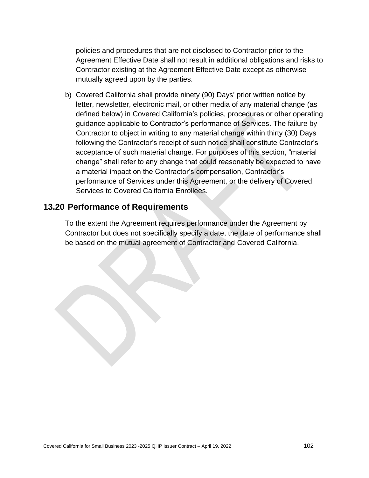policies and procedures that are not disclosed to Contractor prior to the Agreement Effective Date shall not result in additional obligations and risks to Contractor existing at the Agreement Effective Date except as otherwise mutually agreed upon by the parties.

b) Covered California shall provide ninety (90) Days' prior written notice by letter, newsletter, electronic mail, or other media of any material change (as defined below) in Covered California's policies, procedures or other operating guidance applicable to Contractor's performance of Services. The failure by Contractor to object in writing to any material change within thirty (30) Days following the Contractor's receipt of such notice shall constitute Contractor's acceptance of such material change. For purposes of this section, "material change" shall refer to any change that could reasonably be expected to have a material impact on the Contractor's compensation, Contractor's performance of Services under this Agreement, or the delivery of Covered Services to Covered California Enrollees.

#### **13.20 Performance of Requirements**

To the extent the Agreement requires performance under the Agreement by Contractor but does not specifically specify a date, the date of performance shall be based on the mutual agreement of Contractor and Covered California.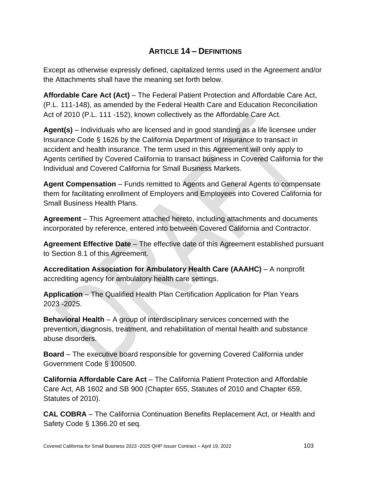# **ARTICLE 14 – DEFINITIONS**

Except as otherwise expressly defined, capitalized terms used in the Agreement and/or the Attachments shall have the meaning set forth below.

**Affordable Care Act (Act)** – The Federal Patient Protection and Affordable Care Act, (P.L. 111-148), as amended by the Federal Health Care and Education Reconciliation Act of 2010 (P.L. 111 -152), known collectively as the Affordable Care Act.

**Agent(s)** – Individuals who are licensed and in good standing as a life licensee under Insurance Code § 1626 by the California Department of Insurance to transact in accident and health insurance. The term used in this Agreement will only apply to Agents certified by Covered California to transact business in Covered California for the Individual and Covered California for Small Business Markets.

**Agent Compensation** – Funds remitted to Agents and General Agents to compensate them for facilitating enrollment of Employers and Employees into Covered California for Small Business Health Plans.

**Agreement** – This Agreement attached hereto, including attachments and documents incorporated by reference, entered into between Covered California and Contractor.

**Agreement Effective Date** – The effective date of this Agreement established pursuant to Section 8.1 of this Agreement.

**Accreditation Association for Ambulatory Health Care (AAAHC)** – A nonprofit accrediting agency for ambulatory health care settings.

**Application** – The Qualified Health Plan Certification Application for Plan Years 2023 -2025.

**Behavioral Health** – A group of interdisciplinary services concerned with the prevention, diagnosis, treatment, and rehabilitation of mental health and substance abuse disorders.

**Board** – The executive board responsible for governing Covered California under Government Code § 100500.

**California Affordable Care Act** – The California Patient Protection and Affordable Care Act, AB 1602 and SB 900 (Chapter 655, Statutes of 2010 and Chapter 659, Statutes of 2010).

**CAL COBRA** – The California Continuation Benefits Replacement Act, or Health and Safety Code § 1366.20 et seq.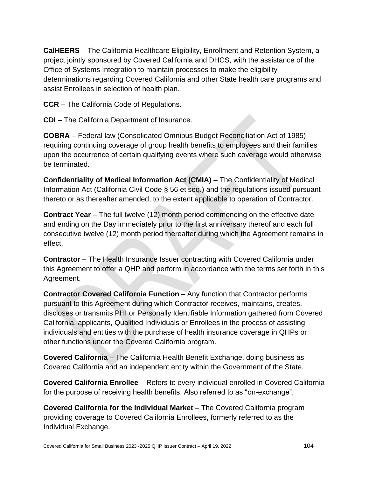**CalHEERS** – The California Healthcare Eligibility, Enrollment and Retention System, a project jointly sponsored by Covered California and DHCS, with the assistance of the Office of Systems Integration to maintain processes to make the eligibility determinations regarding Covered California and other State health care programs and assist Enrollees in selection of health plan.

**CCR** – The California Code of Regulations.

**CDI** – The California Department of Insurance.

**COBRA** – Federal law (Consolidated Omnibus Budget Reconciliation Act of 1985) requiring continuing coverage of group health benefits to employees and their families upon the occurrence of certain qualifying events where such coverage would otherwise be terminated.

**Confidentiality of Medical Information Act (CMIA)** – The Confidentiality of Medical Information Act (California Civil Code § 56 et seq.) and the regulations issued pursuant thereto or as thereafter amended, to the extent applicable to operation of Contractor.

**Contract Year** – The full twelve (12) month period commencing on the effective date and ending on the Day immediately prior to the first anniversary thereof and each full consecutive twelve (12) month period thereafter during which the Agreement remains in effect.

**Contractor** – The Health Insurance Issuer contracting with Covered California under this Agreement to offer a QHP and perform in accordance with the terms set forth in this Agreement.

**Contractor Covered California Function** – Any function that Contractor performs pursuant to this Agreement during which Contractor receives, maintains, creates, discloses or transmits PHI or Personally Identifiable Information gathered from Covered California, applicants, Qualified Individuals or Enrollees in the process of assisting individuals and entities with the purchase of health insurance coverage in QHPs or other functions under the Covered California program.

**Covered California** – The California Health Benefit Exchange, doing business as Covered California and an independent entity within the Government of the State.

**Covered California Enrollee** – Refers to every individual enrolled in Covered California for the purpose of receiving health benefits. Also referred to as "on-exchange".

**Covered California for the Individual Market** – The Covered California program providing coverage to Covered California Enrollees, formerly referred to as the Individual Exchange.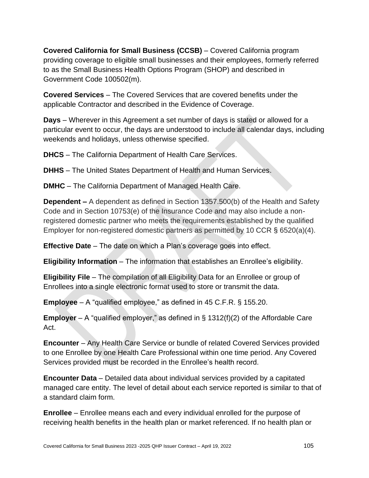**Covered California for Small Business (CCSB)** – Covered California program providing coverage to eligible small businesses and their employees, formerly referred to as the Small Business Health Options Program (SHOP) and described in Government Code 100502(m).

**Covered Services** – The Covered Services that are covered benefits under the applicable Contractor and described in the Evidence of Coverage.

**Days** – Wherever in this Agreement a set number of days is stated or allowed for a particular event to occur, the days are understood to include all calendar days, including weekends and holidays, unless otherwise specified.

**DHCS** – The California Department of Health Care Services.

**DHHS** – The United States Department of Health and Human Services.

**DMHC** – The California Department of Managed Health Care.

**Dependent –** A dependent as defined in Section 1357.500(b) of the Health and Safety Code and in Section 10753(e) of the Insurance Code and may also include a nonregistered domestic partner who meets the requirements established by the qualified Employer for non-registered domestic partners as permitted by 10 CCR § 6520(a)(4).

**Effective Date** – The date on which a Plan's coverage goes into effect.

**Eligibility Information** – The information that establishes an Enrollee's eligibility.

**Eligibility File** – The compilation of all Eligibility Data for an Enrollee or group of Enrollees into a single electronic format used to store or transmit the data.

**Employee** – A "qualified employee," as defined in 45 C.F.R. § 155.20.

**Employer** – A "qualified employer," as defined in § 1312(f)(2) of the Affordable Care Act.

**Encounter** – Any Health Care Service or bundle of related Covered Services provided to one Enrollee by one Health Care Professional within one time period. Any Covered Services provided must be recorded in the Enrollee's health record.

**Encounter Data** – Detailed data about individual services provided by a capitated managed care entity. The level of detail about each service reported is similar to that of a standard claim form.

**Enrollee** – Enrollee means each and every individual enrolled for the purpose of receiving health benefits in the health plan or market referenced. If no health plan or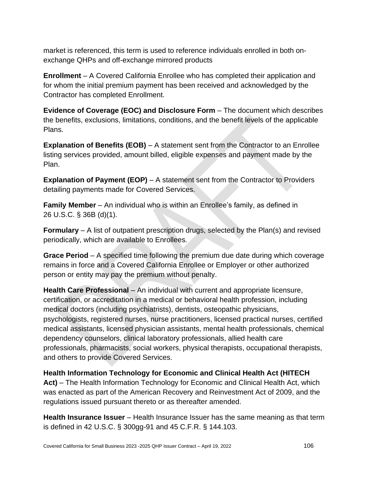market is referenced, this term is used to reference individuals enrolled in both onexchange QHPs and off-exchange mirrored products

**Enrollment** – A Covered California Enrollee who has completed their application and for whom the initial premium payment has been received and acknowledged by the Contractor has completed Enrollment.

**Evidence of Coverage (EOC) and Disclosure Form** – The document which describes the benefits, exclusions, limitations, conditions, and the benefit levels of the applicable Plans.

**Explanation of Benefits (EOB)** – A statement sent from the Contractor to an Enrollee listing services provided, amount billed, eligible expenses and payment made by the Plan.

**Explanation of Payment (EOP)** – A statement sent from the Contractor to Providers detailing payments made for Covered Services.

**Family Member** – An individual who is within an Enrollee's family, as defined in 26 U.S.C. § 36B (d)(1).

**Formulary** – A list of outpatient prescription drugs, selected by the Plan(s) and revised periodically, which are available to Enrollees.

**Grace Period** – A specified time following the premium due date during which coverage remains in force and a Covered California Enrollee or Employer or other authorized person or entity may pay the premium without penalty.

**Health Care Professional** – An individual with current and appropriate licensure, certification, or accreditation in a medical or behavioral health profession, including medical doctors (including psychiatrists), dentists, osteopathic physicians, psychologists, registered nurses, nurse practitioners, licensed practical nurses, certified medical assistants, licensed physician assistants, mental health professionals, chemical dependency counselors, clinical laboratory professionals, allied health care professionals, pharmacists, social workers, physical therapists, occupational therapists, and others to provide Covered Services.

**Health Information Technology for Economic and Clinical Health Act (HITECH Act)** – The Health Information Technology for Economic and Clinical Health Act, which was enacted as part of the American Recovery and Reinvestment Act of 2009, and the regulations issued pursuant thereto or as thereafter amended.

**Health Insurance Issuer** – Health Insurance Issuer has the same meaning as that term is defined in 42 U.S.C. § 300gg-91 and 45 C.F.R. § 144.103.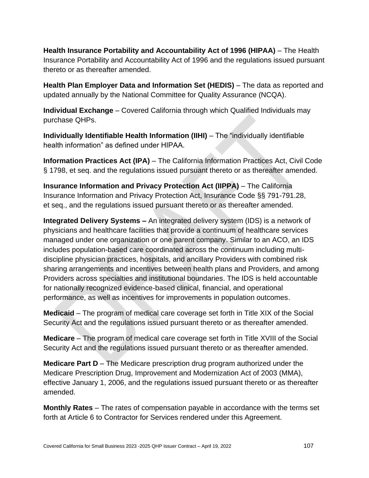**Health Insurance Portability and Accountability Act of 1996 (HIPAA)** – The Health Insurance Portability and Accountability Act of 1996 and the regulations issued pursuant thereto or as thereafter amended.

**Health Plan Employer Data and Information Set (HEDIS)** – The data as reported and updated annually by the National Committee for Quality Assurance (NCQA).

**Individual Exchange** – Covered California through which Qualified Individuals may purchase QHPs.

**Individually Identifiable Health Information (IIHI)** – The "individually identifiable health information" as defined under HIPAA.

**Information Practices Act (IPA)** – The California Information Practices Act, Civil Code § 1798, et seq. and the regulations issued pursuant thereto or as thereafter amended.

**Insurance Information and Privacy Protection Act (IIPPA)** – The California Insurance Information and Privacy Protection Act, Insurance Code §§ 791-791.28, et seq., and the regulations issued pursuant thereto or as thereafter amended.

**Integrated Delivery Systems –** An integrated delivery system (IDS) is a network of physicians and healthcare facilities that provide a continuum of healthcare services managed under one organization or one parent company. Similar to an ACO, an IDS includes population-based care coordinated across the continuum including multidiscipline physician practices, hospitals, and ancillary Providers with combined risk sharing arrangements and incentives between health plans and Providers, and among Providers across specialties and institutional boundaries. The IDS is held accountable for nationally recognized evidence-based clinical, financial, and operational performance, as well as incentives for improvements in population outcomes.

**Medicaid** – The program of medical care coverage set forth in Title XIX of the Social Security Act and the regulations issued pursuant thereto or as thereafter amended.

**Medicare** – The program of medical care coverage set forth in Title XVIII of the Social Security Act and the regulations issued pursuant thereto or as thereafter amended.

**Medicare Part D** – The Medicare prescription drug program authorized under the Medicare Prescription Drug, Improvement and Modernization Act of 2003 (MMA), effective January 1, 2006, and the regulations issued pursuant thereto or as thereafter amended.

**Monthly Rates** – The rates of compensation payable in accordance with the terms set forth at Article 6 to Contractor for Services rendered under this Agreement.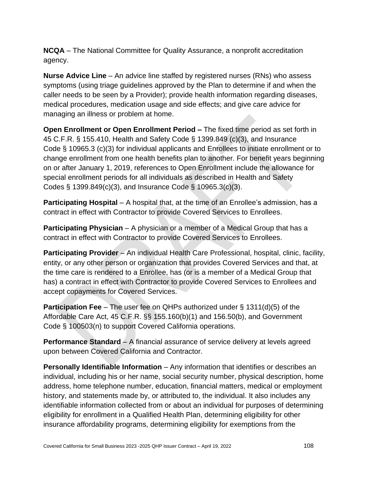**NCQA** – The National Committee for Quality Assurance, a nonprofit accreditation agency.

**Nurse Advice Line** – An advice line staffed by registered nurses (RNs) who assess symptoms (using triage guidelines approved by the Plan to determine if and when the caller needs to be seen by a Provider); provide health information regarding diseases, medical procedures, medication usage and side effects; and give care advice for managing an illness or problem at home.

**Open Enrollment or Open Enrollment Period –** The fixed time period as set forth in 45 C.F.R. § 155.410, Health and Safety Code § 1399.849 (c)(3), and Insurance Code § 10965.3 (c)(3) for individual applicants and Enrollees to initiate enrollment or to change enrollment from one health benefits plan to another. For benefit years beginning on or after January 1, 2019, references to Open Enrollment include the allowance for special enrollment periods for all individuals as described in Health and Safety Codes § 1399.849(c)(3), and Insurance Code § 10965.3(c)(3).

**Participating Hospital** – A hospital that, at the time of an Enrollee's admission, has a contract in effect with Contractor to provide Covered Services to Enrollees.

**Participating Physician** – A physician or a member of a Medical Group that has a contract in effect with Contractor to provide Covered Services to Enrollees.

**Participating Provider** – An individual Health Care Professional, hospital, clinic, facility, entity, or any other person or organization that provides Covered Services and that, at the time care is rendered to a Enrollee, has (or is a member of a Medical Group that has) a contract in effect with Contractor to provide Covered Services to Enrollees and accept copayments for Covered Services.

**Participation Fee** – The user fee on QHPs authorized under § 1311(d)(5) of the Affordable Care Act, 45 C.F.R. §§ 155.160(b)(1) and 156.50(b), and Government Code § 100503(n) to support Covered California operations.

**Performance Standard** – A financial assurance of service delivery at levels agreed upon between Covered California and Contractor.

**Personally Identifiable Information** – Any information that identifies or describes an individual, including his or her name, social security number, physical description, home address, home telephone number, education, financial matters, medical or employment history, and statements made by, or attributed to, the individual. It also includes any identifiable information collected from or about an individual for purposes of determining eligibility for enrollment in a Qualified Health Plan, determining eligibility for other insurance affordability programs, determining eligibility for exemptions from the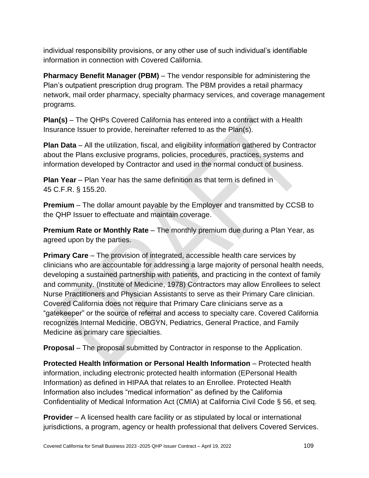individual responsibility provisions, or any other use of such individual's identifiable information in connection with Covered California.

**Pharmacy Benefit Manager (PBM)** – The vendor responsible for administering the Plan's outpatient prescription drug program. The PBM provides a retail pharmacy network, mail order pharmacy, specialty pharmacy services, and coverage management programs.

**Plan(s)** – The QHPs Covered California has entered into a contract with a Health Insurance Issuer to provide, hereinafter referred to as the Plan(s).

**Plan Data** – All the utilization, fiscal, and eligibility information gathered by Contractor about the Plans exclusive programs, policies, procedures, practices, systems and information developed by Contractor and used in the normal conduct of business.

**Plan Year** – Plan Year has the same definition as that term is defined in 45 C.F.R. § 155.20.

**Premium** – The dollar amount payable by the Employer and transmitted by CCSB to the QHP Issuer to effectuate and maintain coverage.

**Premium Rate or Monthly Rate** – The monthly premium due during a Plan Year, as agreed upon by the parties.

**Primary Care** – The provision of integrated, accessible health care services by clinicians who are accountable for addressing a large majority of personal health needs, developing a sustained partnership with patients, and practicing in the context of family and community. (Institute of Medicine, 1978) Contractors may allow Enrollees to select Nurse Practitioners and Physician Assistants to serve as their Primary Care clinician. Covered California does not require that Primary Care clinicians serve as a "gatekeeper" or the source of referral and access to specialty care. Covered California recognizes Internal Medicine, OBGYN, Pediatrics, General Practice, and Family Medicine as primary care specialties.

**Proposal** – The proposal submitted by Contractor in response to the Application.

**Protected Health Information or Personal Health Information** – Protected health information, including electronic protected health information (EPersonal Health Information) as defined in HIPAA that relates to an Enrollee. Protected Health Information also includes "medical information" as defined by the California Confidentiality of Medical Information Act (CMIA) at California Civil Code § 56, et seq.

**Provider** – A licensed health care facility or as stipulated by local or international jurisdictions, a program, agency or health professional that delivers Covered Services.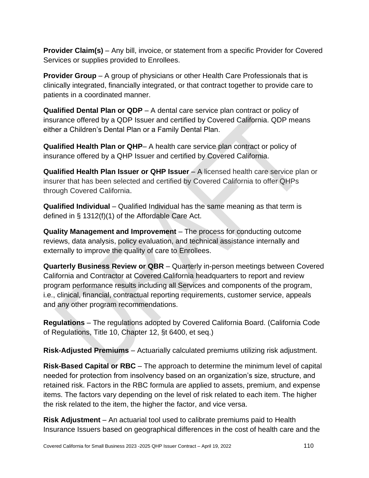**Provider Claim(s)** – Any bill, invoice, or statement from a specific Provider for Covered Services or supplies provided to Enrollees.

**Provider Group** – A group of physicians or other Health Care Professionals that is clinically integrated, financially integrated, or that contract together to provide care to patients in a coordinated manner.

**Qualified Dental Plan or QDP** – A dental care service plan contract or policy of insurance offered by a QDP Issuer and certified by Covered California. QDP means either a Children's Dental Plan or a Family Dental Plan.

**Qualified Health Plan or QHP**– A health care service plan contract or policy of insurance offered by a QHP Issuer and certified by Covered California.

**Qualified Health Plan Issuer or QHP Issuer** – A licensed health care service plan or insurer that has been selected and certified by Covered California to offer QHPs through Covered California.

**Qualified Individual** – Qualified Individual has the same meaning as that term is defined in § 1312(f)(1) of the Affordable Care Act.

**Quality Management and Improvement** – The process for conducting outcome reviews, data analysis, policy evaluation, and technical assistance internally and externally to improve the quality of care to Enrollees.

**Quarterly Business Review or QBR** – Quarterly in-person meetings between Covered California and Contractor at Covered California headquarters to report and review program performance results including all Services and components of the program, i.e., clinical, financial, contractual reporting requirements, customer service, appeals and any other program recommendations.

**Regulations** – The regulations adopted by Covered California Board. (California Code of Regulations, Title 10, Chapter 12, §t 6400, et seq.)

**Risk-Adjusted Premiums** – Actuarially calculated premiums utilizing risk adjustment.

**Risk-Based Capital or RBC** – The approach to determine the minimum level of capital needed for protection from insolvency based on an organization's size, structure, and retained risk. Factors in the RBC formula are applied to assets, premium, and expense items. The factors vary depending on the level of risk related to each item. The higher the risk related to the item, the higher the factor, and vice versa.

**Risk Adjustment** – An actuarial tool used to calibrate premiums paid to Health Insurance Issuers based on geographical differences in the cost of health care and the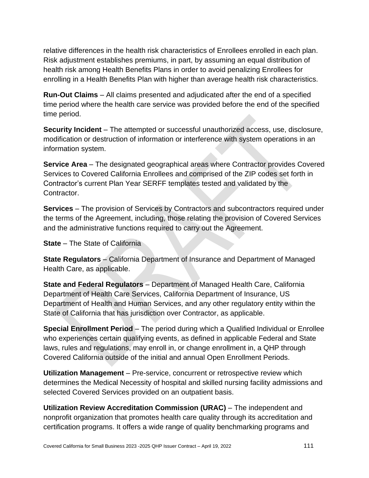relative differences in the health risk characteristics of Enrollees enrolled in each plan. Risk adjustment establishes premiums, in part, by assuming an equal distribution of health risk among Health Benefits Plans in order to avoid penalizing Enrollees for enrolling in a Health Benefits Plan with higher than average health risk characteristics.

**Run-Out Claims** – All claims presented and adjudicated after the end of a specified time period where the health care service was provided before the end of the specified time period.

**Security Incident** – The attempted or successful unauthorized access, use, disclosure, modification or destruction of information or interference with system operations in an information system.

**Service Area** – The designated geographical areas where Contractor provides Covered Services to Covered California Enrollees and comprised of the ZIP codes set forth in Contractor's current Plan Year SERFF templates tested and validated by the Contractor.

**Services** – The provision of Services by Contractors and subcontractors required under the terms of the Agreement, including, those relating the provision of Covered Services and the administrative functions required to carry out the Agreement.

**State** – The State of California

**State Regulators** – California Department of Insurance and Department of Managed Health Care, as applicable.

**State and Federal Regulators** – Department of Managed Health Care, California Department of Health Care Services, California Department of Insurance, US Department of Health and Human Services, and any other regulatory entity within the State of California that has jurisdiction over Contractor, as applicable.

**Special Enrollment Period** – The period during which a Qualified Individual or Enrollee who experiences certain qualifying events, as defined in applicable Federal and State laws, rules and regulations, may enroll in, or change enrollment in, a QHP through Covered California outside of the initial and annual Open Enrollment Periods.

**Utilization Management** – Pre-service, concurrent or retrospective review which determines the Medical Necessity of hospital and skilled nursing facility admissions and selected Covered Services provided on an outpatient basis.

**Utilization Review Accreditation Commission (URAC)** – The independent and nonprofit organization that promotes health care quality through its accreditation and certification programs. It offers a wide range of quality benchmarking programs and